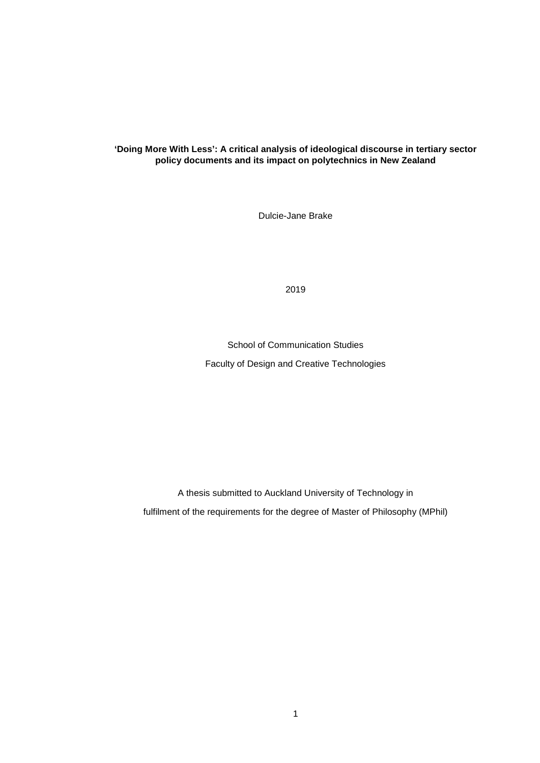# **'Doing More With Less': A critical analysis of ideological discourse in tertiary sector policy documents and its impact on polytechnics in New Zealand**

Dulcie-Jane Brake

2019

School of Communication Studies Faculty of Design and Creative Technologies

A thesis submitted to Auckland University of Technology in fulfilment of the requirements for the degree of Master of Philosophy (MPhil)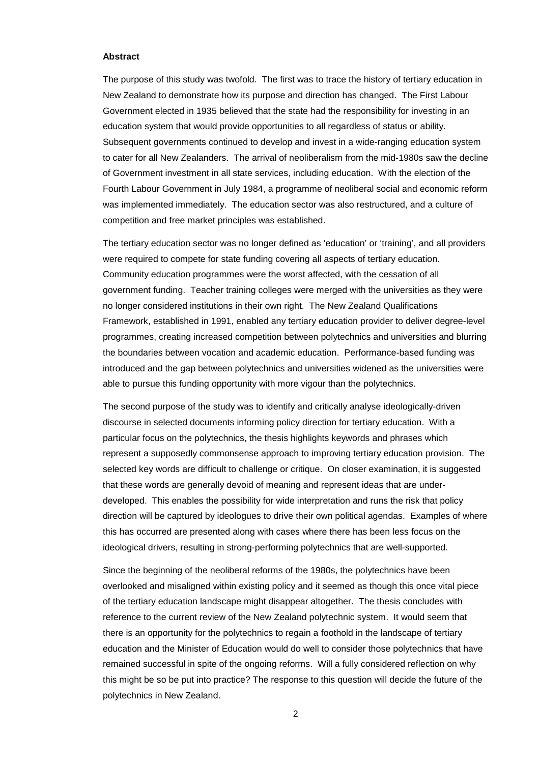#### **Abstract**

The purpose of this study was twofold. The first was to trace the history of tertiary education in New Zealand to demonstrate how its purpose and direction has changed. The First Labour Government elected in 1935 believed that the state had the responsibility for investing in an education system that would provide opportunities to all regardless of status or ability. Subsequent governments continued to develop and invest in a wide-ranging education system to cater for all New Zealanders. The arrival of neoliberalism from the mid-1980s saw the decline of Government investment in all state services, including education. With the election of the Fourth Labour Government in July 1984, a programme of neoliberal social and economic reform was implemented immediately. The education sector was also restructured, and a culture of competition and free market principles was established.

The tertiary education sector was no longer defined as 'education' or 'training', and all providers were required to compete for state funding covering all aspects of tertiary education. Community education programmes were the worst affected, with the cessation of all government funding. Teacher training colleges were merged with the universities as they were no longer considered institutions in their own right. The New Zealand Qualifications Framework, established in 1991, enabled any tertiary education provider to deliver degree-level programmes, creating increased competition between polytechnics and universities and blurring the boundaries between vocation and academic education. Performance-based funding was introduced and the gap between polytechnics and universities widened as the universities were able to pursue this funding opportunity with more vigour than the polytechnics.

The second purpose of the study was to identify and critically analyse ideologically-driven discourse in selected documents informing policy direction for tertiary education. With a particular focus on the polytechnics, the thesis highlights keywords and phrases which represent a supposedly commonsense approach to improving tertiary education provision. The selected key words are difficult to challenge or critique. On closer examination, it is suggested that these words are generally devoid of meaning and represent ideas that are underdeveloped. This enables the possibility for wide interpretation and runs the risk that policy direction will be captured by ideologues to drive their own political agendas. Examples of where this has occurred are presented along with cases where there has been less focus on the ideological drivers, resulting in strong-performing polytechnics that are well-supported.

Since the beginning of the neoliberal reforms of the 1980s, the polytechnics have been overlooked and misaligned within existing policy and it seemed as though this once vital piece of the tertiary education landscape might disappear altogether. The thesis concludes with reference to the current review of the New Zealand polytechnic system. It would seem that there is an opportunity for the polytechnics to regain a foothold in the landscape of tertiary education and the Minister of Education would do well to consider those polytechnics that have remained successful in spite of the ongoing reforms. Will a fully considered reflection on why this might be so be put into practice? The response to this question will decide the future of the polytechnics in New Zealand.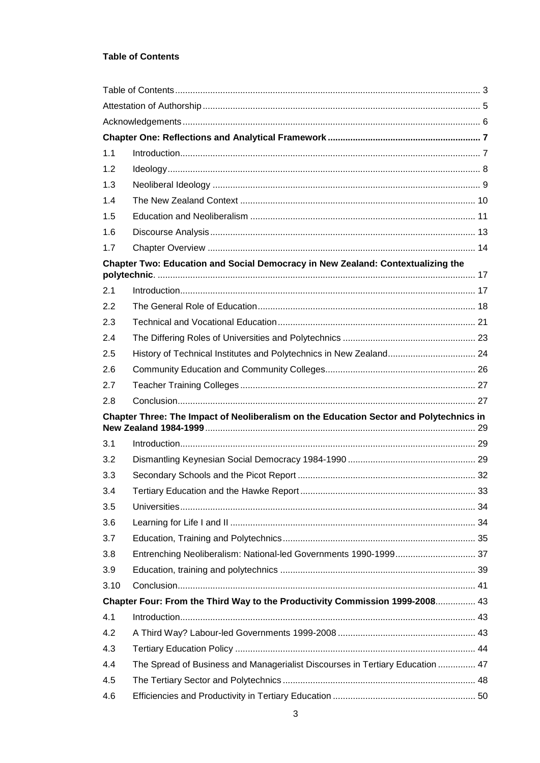# **Table of Contents**

| 1.1       |                                                                                        |  |  |  |
|-----------|----------------------------------------------------------------------------------------|--|--|--|
| 1.2       |                                                                                        |  |  |  |
| 1.3       |                                                                                        |  |  |  |
| 1.4       |                                                                                        |  |  |  |
| 1.5       |                                                                                        |  |  |  |
| 1.6       |                                                                                        |  |  |  |
| 1.7       |                                                                                        |  |  |  |
|           | Chapter Two: Education and Social Democracy in New Zealand: Contextualizing the        |  |  |  |
|           |                                                                                        |  |  |  |
| 2.1<br>22 |                                                                                        |  |  |  |
| 2.3       |                                                                                        |  |  |  |
| 2.4       |                                                                                        |  |  |  |
| 2.5       |                                                                                        |  |  |  |
| 2.6       | History of Technical Institutes and Polytechnics in New Zealand 24                     |  |  |  |
| 2.7       |                                                                                        |  |  |  |
| 2.8       |                                                                                        |  |  |  |
|           |                                                                                        |  |  |  |
|           | Chapter Three: The Impact of Neoliberalism on the Education Sector and Polytechnics in |  |  |  |
| 3.1       |                                                                                        |  |  |  |
| 3.2       |                                                                                        |  |  |  |
| 3.3       |                                                                                        |  |  |  |
| 3.4       |                                                                                        |  |  |  |
| 3.5       |                                                                                        |  |  |  |
| 3.6       |                                                                                        |  |  |  |
| 3.7       |                                                                                        |  |  |  |
| 3.8       |                                                                                        |  |  |  |
| 3.9       |                                                                                        |  |  |  |
| 3.10      |                                                                                        |  |  |  |
|           | Chapter Four: From the Third Way to the Productivity Commission 1999-2008 43           |  |  |  |
| 4.1       |                                                                                        |  |  |  |
| 4.2       |                                                                                        |  |  |  |
| 4.3       |                                                                                        |  |  |  |
| 4.4       | The Spread of Business and Managerialist Discourses in Tertiary Education  47          |  |  |  |
| 4.5       |                                                                                        |  |  |  |
| 4.6       |                                                                                        |  |  |  |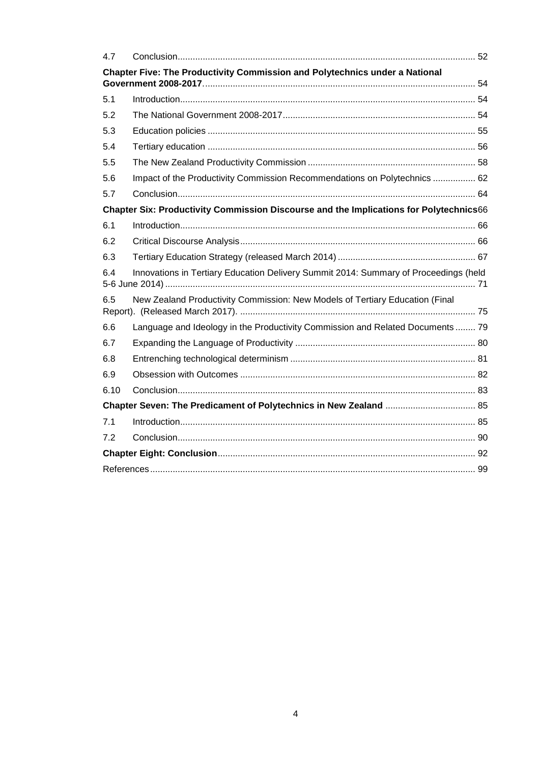| 4.7                                                                                    |                                                                                      |  |  |  |
|----------------------------------------------------------------------------------------|--------------------------------------------------------------------------------------|--|--|--|
|                                                                                        | Chapter Five: The Productivity Commission and Polytechnics under a National          |  |  |  |
| 5.1                                                                                    |                                                                                      |  |  |  |
| 5.2                                                                                    |                                                                                      |  |  |  |
| 5.3                                                                                    |                                                                                      |  |  |  |
| 5.4                                                                                    |                                                                                      |  |  |  |
| 5.5                                                                                    |                                                                                      |  |  |  |
| 5.6                                                                                    | Impact of the Productivity Commission Recommendations on Polytechnics  62            |  |  |  |
| 5.7                                                                                    |                                                                                      |  |  |  |
| Chapter Six: Productivity Commission Discourse and the Implications for Polytechnics66 |                                                                                      |  |  |  |
| 6.1                                                                                    |                                                                                      |  |  |  |
| 6.2                                                                                    |                                                                                      |  |  |  |
| 6.3                                                                                    |                                                                                      |  |  |  |
| 6.4                                                                                    | Innovations in Tertiary Education Delivery Summit 2014: Summary of Proceedings (held |  |  |  |
| 6.5                                                                                    | New Zealand Productivity Commission: New Models of Tertiary Education (Final         |  |  |  |
| 6.6                                                                                    | Language and Ideology in the Productivity Commission and Related Documents  79       |  |  |  |
| 6.7                                                                                    |                                                                                      |  |  |  |
| 6.8                                                                                    |                                                                                      |  |  |  |
| 6.9                                                                                    |                                                                                      |  |  |  |
| 6.10                                                                                   |                                                                                      |  |  |  |
|                                                                                        |                                                                                      |  |  |  |
| 7.1                                                                                    |                                                                                      |  |  |  |
| 7.2                                                                                    |                                                                                      |  |  |  |
|                                                                                        |                                                                                      |  |  |  |
|                                                                                        |                                                                                      |  |  |  |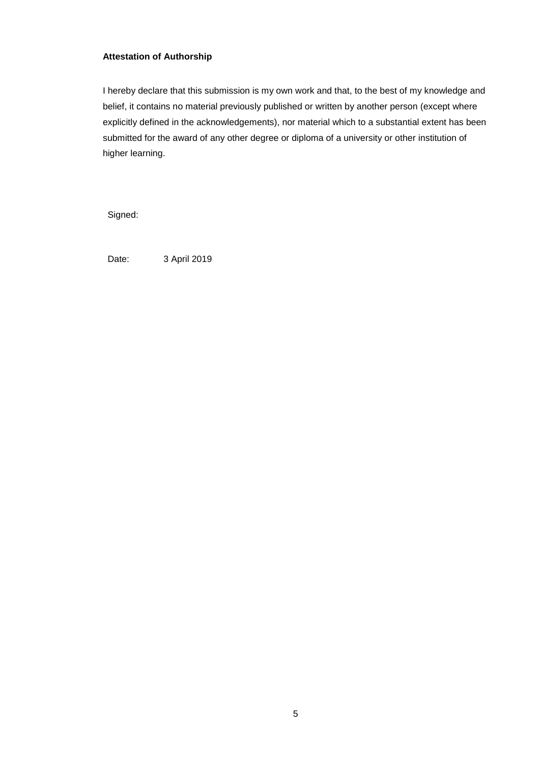# **Attestation of Authorship**

I hereby declare that this submission is my own work and that, to the best of my knowledge and belief, it contains no material previously published or written by another person (except where explicitly defined in the acknowledgements), nor material which to a substantial extent has been submitted for the award of any other degree or diploma of a university or other institution of higher learning.

Signed:

Date: 3 April 2019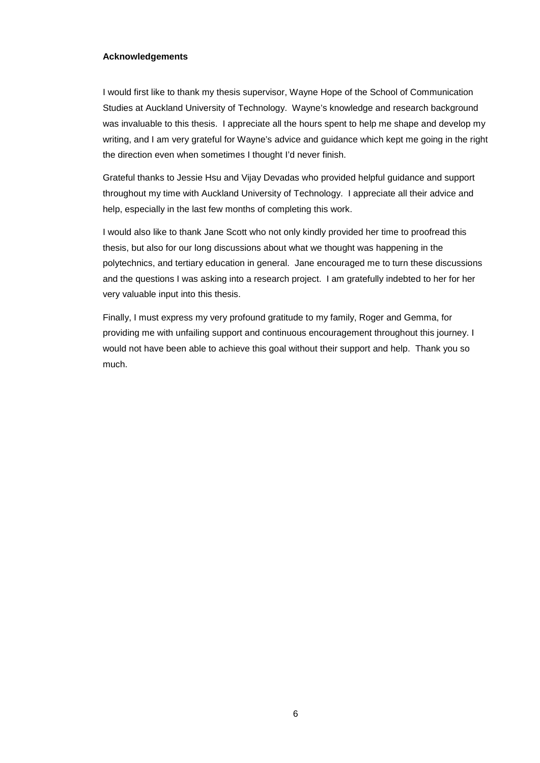# **Acknowledgements**

I would first like to thank my thesis supervisor, Wayne Hope of the School of Communication Studies at Auckland University of Technology. Wayne's knowledge and research background was invaluable to this thesis. I appreciate all the hours spent to help me shape and develop my writing, and I am very grateful for Wayne's advice and guidance which kept me going in the right the direction even when sometimes I thought I'd never finish.

Grateful thanks to Jessie Hsu and Vijay Devadas who provided helpful guidance and support throughout my time with Auckland University of Technology. I appreciate all their advice and help, especially in the last few months of completing this work.

I would also like to thank Jane Scott who not only kindly provided her time to proofread this thesis, but also for our long discussions about what we thought was happening in the polytechnics, and tertiary education in general. Jane encouraged me to turn these discussions and the questions I was asking into a research project. I am gratefully indebted to her for her very valuable input into this thesis.

Finally, I must express my very profound gratitude to my family, Roger and Gemma, for providing me with unfailing support and continuous encouragement throughout this journey. I would not have been able to achieve this goal without their support and help. Thank you so much.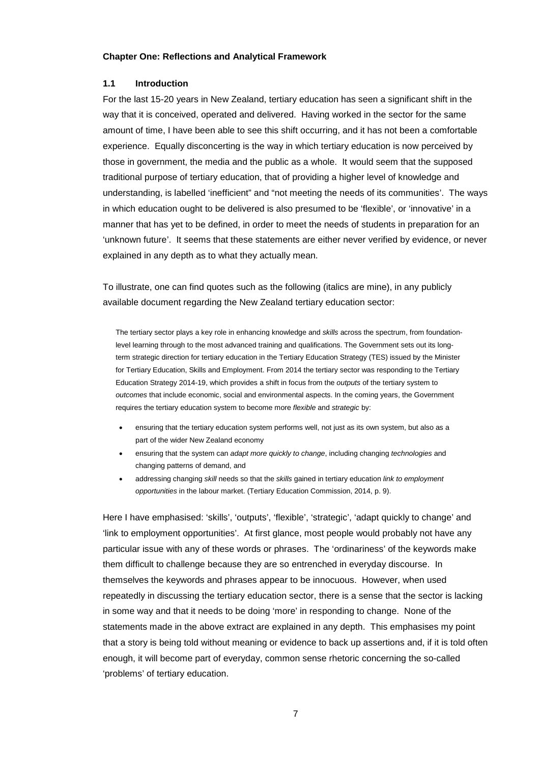### **Chapter One: Reflections and Analytical Framework**

### **1.1 Introduction**

For the last 15-20 years in New Zealand, tertiary education has seen a significant shift in the way that it is conceived, operated and delivered. Having worked in the sector for the same amount of time, I have been able to see this shift occurring, and it has not been a comfortable experience. Equally disconcerting is the way in which tertiary education is now perceived by those in government, the media and the public as a whole. It would seem that the supposed traditional purpose of tertiary education, that of providing a higher level of knowledge and understanding, is labelled 'inefficient" and "not meeting the needs of its communities'. The ways in which education ought to be delivered is also presumed to be 'flexible', or 'innovative' in a manner that has yet to be defined, in order to meet the needs of students in preparation for an 'unknown future'. It seems that these statements are either never verified by evidence, or never explained in any depth as to what they actually mean.

To illustrate, one can find quotes such as the following (italics are mine), in any publicly available document regarding the New Zealand tertiary education sector:

The tertiary sector plays a key role in enhancing knowledge and *skills* across the spectrum, from foundationlevel learning through to the most advanced training and qualifications. The Government sets out its longterm strategic direction for tertiary education in the Tertiary Education Strategy (TES) issued by the Minister for Tertiary Education, Skills and Employment. From 2014 the tertiary sector was responding to the Tertiary Education Strategy 2014-19, which provides a shift in focus from the *outputs* of the tertiary system to *outcomes* that include economic, social and environmental aspects. In the coming years, the Government requires the tertiary education system to become more *flexible* and *strategic* by:

- ensuring that the tertiary education system performs well, not just as its own system, but also as a part of the wider New Zealand economy
- ensuring that the system can *adapt more quickly to change*, including changing *technologies* and changing patterns of demand, and
- addressing changing *skill* needs so that the *skills* gained in tertiary education *link to employment opportunities* in the labour market. (Tertiary Education Commission, 2014, p. 9).

Here I have emphasised: 'skills', 'outputs', 'flexible', 'strategic', 'adapt quickly to change' and 'link to employment opportunities'. At first glance, most people would probably not have any particular issue with any of these words or phrases. The 'ordinariness' of the keywords make them difficult to challenge because they are so entrenched in everyday discourse. In themselves the keywords and phrases appear to be innocuous. However, when used repeatedly in discussing the tertiary education sector, there is a sense that the sector is lacking in some way and that it needs to be doing 'more' in responding to change. None of the statements made in the above extract are explained in any depth. This emphasises my point that a story is being told without meaning or evidence to back up assertions and, if it is told often enough, it will become part of everyday, common sense rhetoric concerning the so-called 'problems' of tertiary education.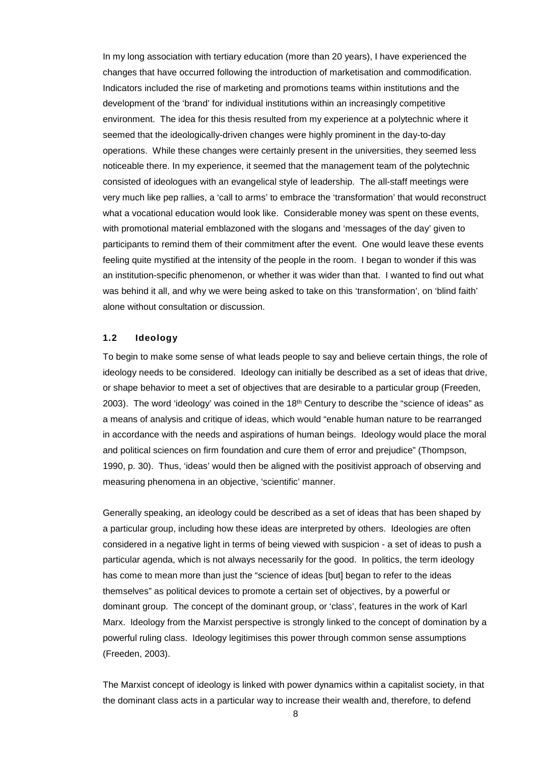In my long association with tertiary education (more than 20 years), I have experienced the changes that have occurred following the introduction of marketisation and commodification. Indicators included the rise of marketing and promotions teams within institutions and the development of the 'brand' for individual institutions within an increasingly competitive environment. The idea for this thesis resulted from my experience at a polytechnic where it seemed that the ideologically-driven changes were highly prominent in the day-to-day operations. While these changes were certainly present in the universities, they seemed less noticeable there. In my experience, it seemed that the management team of the polytechnic consisted of ideologues with an evangelical style of leadership. The all-staff meetings were very much like pep rallies, a 'call to arms' to embrace the 'transformation' that would reconstruct what a vocational education would look like. Considerable money was spent on these events, with promotional material emblazoned with the slogans and 'messages of the day' given to participants to remind them of their commitment after the event. One would leave these events feeling quite mystified at the intensity of the people in the room. I began to wonder if this was an institution-specific phenomenon, or whether it was wider than that. I wanted to find out what was behind it all, and why we were being asked to take on this 'transformation', on 'blind faith' alone without consultation or discussion.

### **1.2 Ideology**

To begin to make some sense of what leads people to say and believe certain things, the role of ideology needs to be considered. Ideology can initially be described as a set of ideas that drive, or shape behavior to meet a set of objectives that are desirable to a particular group (Freeden, 2003). The word 'ideology' was coined in the 18<sup>th</sup> Century to describe the "science of ideas" as a means of analysis and critique of ideas, which would "enable human nature to be rearranged in accordance with the needs and aspirations of human beings. Ideology would place the moral and political sciences on firm foundation and cure them of error and prejudice" (Thompson, 1990, p. 30). Thus, 'ideas' would then be aligned with the positivist approach of observing and measuring phenomena in an objective, 'scientific' manner.

Generally speaking, an ideology could be described as a set of ideas that has been shaped by a particular group, including how these ideas are interpreted by others. Ideologies are often considered in a negative light in terms of being viewed with suspicion - a set of ideas to push a particular agenda, which is not always necessarily for the good. In politics, the term ideology has come to mean more than just the "science of ideas [but] began to refer to the ideas themselves" as political devices to promote a certain set of objectives, by a powerful or dominant group. The concept of the dominant group, or 'class', features in the work of Karl Marx. Ideology from the Marxist perspective is strongly linked to the concept of domination by a powerful ruling class. Ideology legitimises this power through common sense assumptions (Freeden, 2003).

The Marxist concept of ideology is linked with power dynamics within a capitalist society, in that the dominant class acts in a particular way to increase their wealth and, therefore, to defend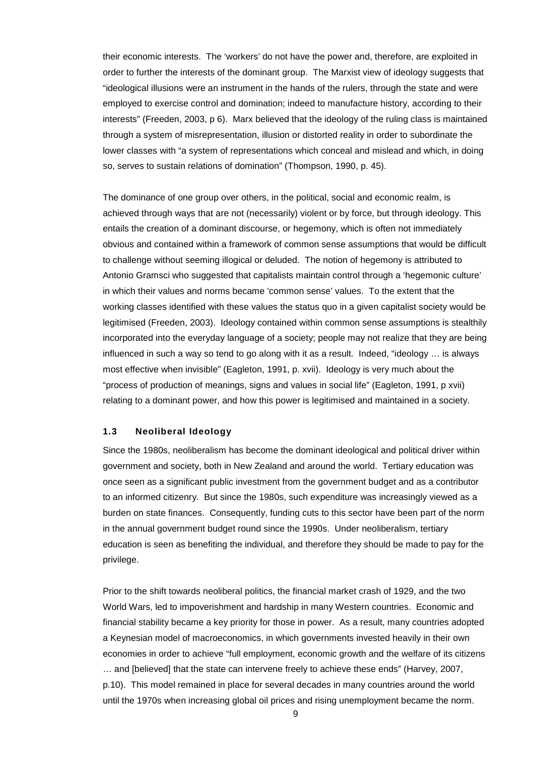their economic interests. The 'workers' do not have the power and, therefore, are exploited in order to further the interests of the dominant group. The Marxist view of ideology suggests that "ideological illusions were an instrument in the hands of the rulers, through the state and were employed to exercise control and domination; indeed to manufacture history, according to their interests" (Freeden, 2003, p 6). Marx believed that the ideology of the ruling class is maintained through a system of misrepresentation, illusion or distorted reality in order to subordinate the lower classes with "a system of representations which conceal and mislead and which, in doing so, serves to sustain relations of domination" (Thompson, 1990, p. 45).

The dominance of one group over others, in the political, social and economic realm, is achieved through ways that are not (necessarily) violent or by force, but through ideology. This entails the creation of a dominant discourse, or hegemony, which is often not immediately obvious and contained within a framework of common sense assumptions that would be difficult to challenge without seeming illogical or deluded. The notion of hegemony is attributed to Antonio Gramsci who suggested that capitalists maintain control through a 'hegemonic culture' in which their values and norms became 'common sense' values. To the extent that the working classes identified with these values the status quo in a given capitalist society would be legitimised (Freeden, 2003). Ideology contained within common sense assumptions is stealthily incorporated into the everyday language of a society; people may not realize that they are being influenced in such a way so tend to go along with it as a result. Indeed, "ideology … is always most effective when invisible" (Eagleton, 1991, p. xvii). Ideology is very much about the "process of production of meanings, signs and values in social life" (Eagleton, 1991, p xvii) relating to a dominant power, and how this power is legitimised and maintained in a society.

# **1.3 Neoliberal Ideology**

Since the 1980s, neoliberalism has become the dominant ideological and political driver within government and society, both in New Zealand and around the world. Tertiary education was once seen as a significant public investment from the government budget and as a contributor to an informed citizenry. But since the 1980s, such expenditure was increasingly viewed as a burden on state finances. Consequently, funding cuts to this sector have been part of the norm in the annual government budget round since the 1990s. Under neoliberalism, tertiary education is seen as benefiting the individual, and therefore they should be made to pay for the privilege.

Prior to the shift towards neoliberal politics, the financial market crash of 1929, and the two World Wars, led to impoverishment and hardship in many Western countries. Economic and financial stability became a key priority for those in power. As a result, many countries adopted a Keynesian model of macroeconomics, in which governments invested heavily in their own economies in order to achieve "full employment, economic growth and the welfare of its citizens … and [believed] that the state can intervene freely to achieve these ends" (Harvey, 2007, p.10). This model remained in place for several decades in many countries around the world until the 1970s when increasing global oil prices and rising unemployment became the norm.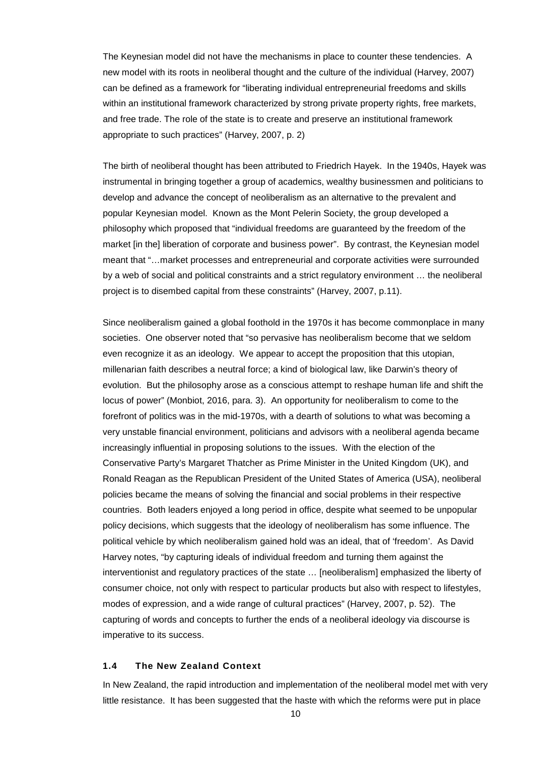The Keynesian model did not have the mechanisms in place to counter these tendencies. A new model with its roots in neoliberal thought and the culture of the individual (Harvey, 2007) can be defined as a framework for "liberating individual entrepreneurial freedoms and skills within an institutional framework characterized by strong private property rights, free markets, and free trade. The role of the state is to create and preserve an institutional framework appropriate to such practices" (Harvey, 2007, p. 2)

The birth of neoliberal thought has been attributed to Friedrich Hayek. In the 1940s, Hayek was instrumental in bringing together a group of academics, wealthy businessmen and politicians to develop and advance the concept of neoliberalism as an alternative to the prevalent and popular Keynesian model. Known as the Mont Pelerin Society, the group developed a philosophy which proposed that "individual freedoms are guaranteed by the freedom of the market [in the] liberation of corporate and business power". By contrast, the Keynesian model meant that "…market processes and entrepreneurial and corporate activities were surrounded by a web of social and political constraints and a strict regulatory environment … the neoliberal project is to disembed capital from these constraints" (Harvey, 2007, p.11).

Since neoliberalism gained a global foothold in the 1970s it has become commonplace in many societies. One observer noted that "so pervasive has neoliberalism become that we seldom even recognize it as an ideology. We appear to accept the proposition that this utopian, millenarian faith describes a neutral force; a kind of biological law, like Darwin's theory of evolution. But the philosophy arose as a conscious attempt to reshape human life and shift the locus of power" (Monbiot, 2016, para. 3). An opportunity for neoliberalism to come to the forefront of politics was in the mid-1970s, with a dearth of solutions to what was becoming a very unstable financial environment, politicians and advisors with a neoliberal agenda became increasingly influential in proposing solutions to the issues. With the election of the Conservative Party's Margaret Thatcher as Prime Minister in the United Kingdom (UK), and Ronald Reagan as the Republican President of the United States of America (USA), neoliberal policies became the means of solving the financial and social problems in their respective countries. Both leaders enjoyed a long period in office, despite what seemed to be unpopular policy decisions, which suggests that the ideology of neoliberalism has some influence. The political vehicle by which neoliberalism gained hold was an ideal, that of 'freedom'. As David Harvey notes, "by capturing ideals of individual freedom and turning them against the interventionist and regulatory practices of the state … [neoliberalism] emphasized the liberty of consumer choice, not only with respect to particular products but also with respect to lifestyles, modes of expression, and a wide range of cultural practices" (Harvey, 2007, p. 52). The capturing of words and concepts to further the ends of a neoliberal ideology via discourse is imperative to its success.

#### **1.4 The New Zealand Context**

In New Zealand, the rapid introduction and implementation of the neoliberal model met with very little resistance. It has been suggested that the haste with which the reforms were put in place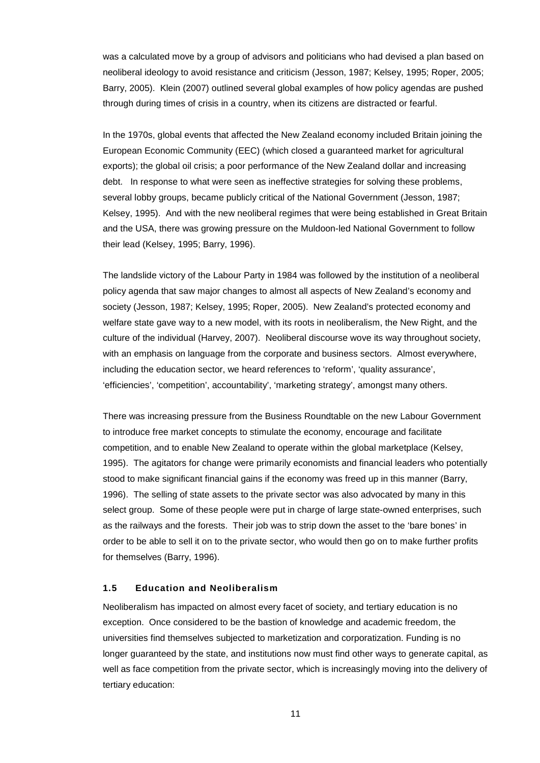was a calculated move by a group of advisors and politicians who had devised a plan based on neoliberal ideology to avoid resistance and criticism (Jesson, 1987; Kelsey, 1995; Roper, 2005; Barry, 2005). Klein (2007) outlined several global examples of how policy agendas are pushed through during times of crisis in a country, when its citizens are distracted or fearful.

In the 1970s, global events that affected the New Zealand economy included Britain joining the European Economic Community (EEC) (which closed a guaranteed market for agricultural exports); the global oil crisis; a poor performance of the New Zealand dollar and increasing debt. In response to what were seen as ineffective strategies for solving these problems, several lobby groups, became publicly critical of the National Government (Jesson, 1987; Kelsey, 1995). And with the new neoliberal regimes that were being established in Great Britain and the USA, there was growing pressure on the Muldoon-led National Government to follow their lead (Kelsey, 1995; Barry, 1996).

The landslide victory of the Labour Party in 1984 was followed by the institution of a neoliberal policy agenda that saw major changes to almost all aspects of New Zealand's economy and society (Jesson, 1987; Kelsey, 1995; Roper, 2005). New Zealand's protected economy and welfare state gave way to a new model, with its roots in neoliberalism, the New Right, and the culture of the individual (Harvey, 2007). Neoliberal discourse wove its way throughout society, with an emphasis on language from the corporate and business sectors. Almost everywhere, including the education sector, we heard references to 'reform', 'quality assurance', 'efficiencies', 'competition', accountability', 'marketing strategy', amongst many others.

There was increasing pressure from the Business Roundtable on the new Labour Government to introduce free market concepts to stimulate the economy, encourage and facilitate competition, and to enable New Zealand to operate within the global marketplace (Kelsey, 1995). The agitators for change were primarily economists and financial leaders who potentially stood to make significant financial gains if the economy was freed up in this manner (Barry, 1996). The selling of state assets to the private sector was also advocated by many in this select group. Some of these people were put in charge of large state-owned enterprises, such as the railways and the forests. Their job was to strip down the asset to the 'bare bones' in order to be able to sell it on to the private sector, who would then go on to make further profits for themselves (Barry, 1996).

### **1.5 Education and Neoliberalism**

Neoliberalism has impacted on almost every facet of society, and tertiary education is no exception. Once considered to be the bastion of knowledge and academic freedom, the universities find themselves subjected to marketization and corporatization. Funding is no longer guaranteed by the state, and institutions now must find other ways to generate capital, as well as face competition from the private sector, which is increasingly moving into the delivery of tertiary education: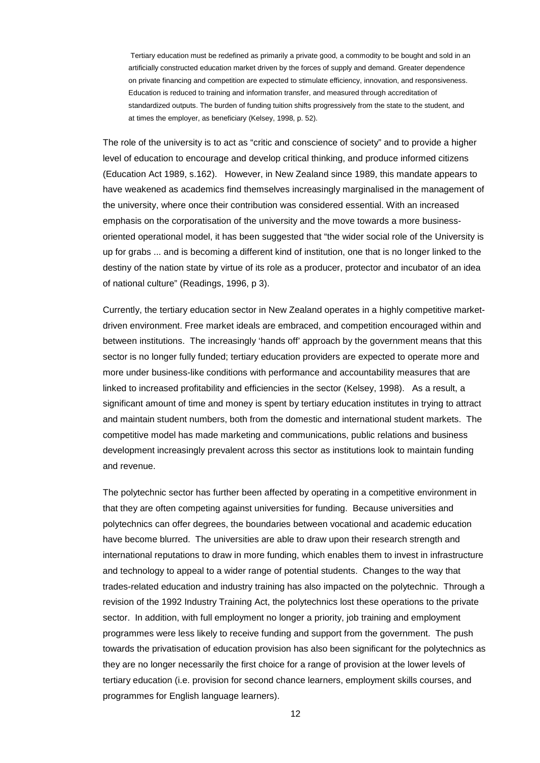Tertiary education must be redefined as primarily a private good, a commodity to be bought and sold in an artificially constructed education market driven by the forces of supply and demand. Greater dependence on private financing and competition are expected to stimulate efficiency, innovation, and responsiveness. Education is reduced to training and information transfer, and measured through accreditation of standardized outputs. The burden of funding tuition shifts progressively from the state to the student, and at times the employer, as beneficiary (Kelsey, 1998, p. 52).

The role of the university is to act as "critic and conscience of society" and to provide a higher level of education to encourage and develop critical thinking, and produce informed citizens (Education Act 1989, s.162). However, in New Zealand since 1989, this mandate appears to have weakened as academics find themselves increasingly marginalised in the management of the university, where once their contribution was considered essential. With an increased emphasis on the corporatisation of the university and the move towards a more businessoriented operational model, it has been suggested that "the wider social role of the University is up for grabs ... and is becoming a different kind of institution, one that is no longer linked to the destiny of the nation state by virtue of its role as a producer, protector and incubator of an idea of national culture" (Readings, 1996, p 3).

Currently, the tertiary education sector in New Zealand operates in a highly competitive marketdriven environment. Free market ideals are embraced, and competition encouraged within and between institutions. The increasingly 'hands off' approach by the government means that this sector is no longer fully funded; tertiary education providers are expected to operate more and more under business-like conditions with performance and accountability measures that are linked to increased profitability and efficiencies in the sector (Kelsey, 1998). As a result, a significant amount of time and money is spent by tertiary education institutes in trying to attract and maintain student numbers, both from the domestic and international student markets. The competitive model has made marketing and communications, public relations and business development increasingly prevalent across this sector as institutions look to maintain funding and revenue.

The polytechnic sector has further been affected by operating in a competitive environment in that they are often competing against universities for funding. Because universities and polytechnics can offer degrees, the boundaries between vocational and academic education have become blurred. The universities are able to draw upon their research strength and international reputations to draw in more funding, which enables them to invest in infrastructure and technology to appeal to a wider range of potential students. Changes to the way that trades-related education and industry training has also impacted on the polytechnic. Through a revision of the 1992 Industry Training Act, the polytechnics lost these operations to the private sector. In addition, with full employment no longer a priority, job training and employment programmes were less likely to receive funding and support from the government. The push towards the privatisation of education provision has also been significant for the polytechnics as they are no longer necessarily the first choice for a range of provision at the lower levels of tertiary education (i.e. provision for second chance learners, employment skills courses, and programmes for English language learners).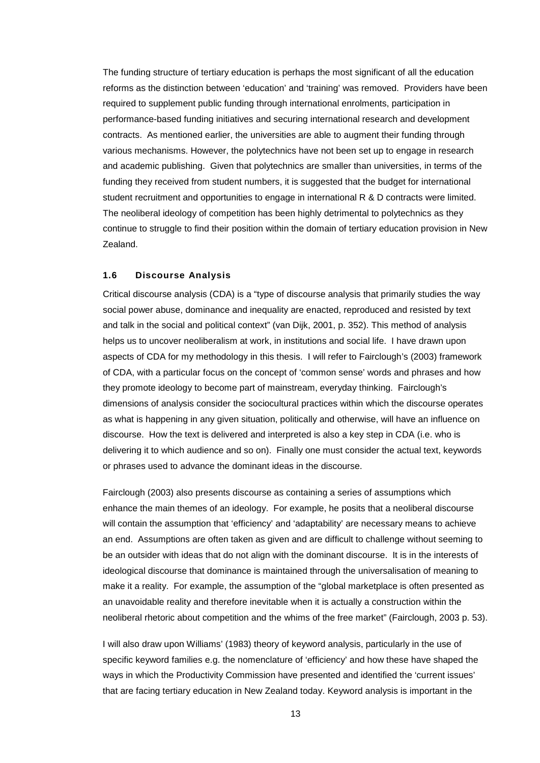The funding structure of tertiary education is perhaps the most significant of all the education reforms as the distinction between 'education' and 'training' was removed. Providers have been required to supplement public funding through international enrolments, participation in performance-based funding initiatives and securing international research and development contracts. As mentioned earlier, the universities are able to augment their funding through various mechanisms. However, the polytechnics have not been set up to engage in research and academic publishing. Given that polytechnics are smaller than universities, in terms of the funding they received from student numbers, it is suggested that the budget for international student recruitment and opportunities to engage in international R & D contracts were limited. The neoliberal ideology of competition has been highly detrimental to polytechnics as they continue to struggle to find their position within the domain of tertiary education provision in New Zealand.

# **1.6 Discourse Analysis**

Critical discourse analysis (CDA) is a "type of discourse analysis that primarily studies the way social power abuse, dominance and inequality are enacted, reproduced and resisted by text and talk in the social and political context" (van Dijk, 2001, p. 352). This method of analysis helps us to uncover neoliberalism at work, in institutions and social life. I have drawn upon aspects of CDA for my methodology in this thesis. I will refer to Fairclough's (2003) framework of CDA, with a particular focus on the concept of 'common sense' words and phrases and how they promote ideology to become part of mainstream, everyday thinking. Fairclough's dimensions of analysis consider the sociocultural practices within which the discourse operates as what is happening in any given situation, politically and otherwise, will have an influence on discourse. How the text is delivered and interpreted is also a key step in CDA (i.e. who is delivering it to which audience and so on). Finally one must consider the actual text, keywords or phrases used to advance the dominant ideas in the discourse.

Fairclough (2003) also presents discourse as containing a series of assumptions which enhance the main themes of an ideology. For example, he posits that a neoliberal discourse will contain the assumption that 'efficiency' and 'adaptability' are necessary means to achieve an end. Assumptions are often taken as given and are difficult to challenge without seeming to be an outsider with ideas that do not align with the dominant discourse. It is in the interests of ideological discourse that dominance is maintained through the universalisation of meaning to make it a reality. For example, the assumption of the "global marketplace is often presented as an unavoidable reality and therefore inevitable when it is actually a construction within the neoliberal rhetoric about competition and the whims of the free market" (Fairclough, 2003 p. 53).

I will also draw upon Williams' (1983) theory of keyword analysis, particularly in the use of specific keyword families e.g. the nomenclature of 'efficiency' and how these have shaped the ways in which the Productivity Commission have presented and identified the 'current issues' that are facing tertiary education in New Zealand today. Keyword analysis is important in the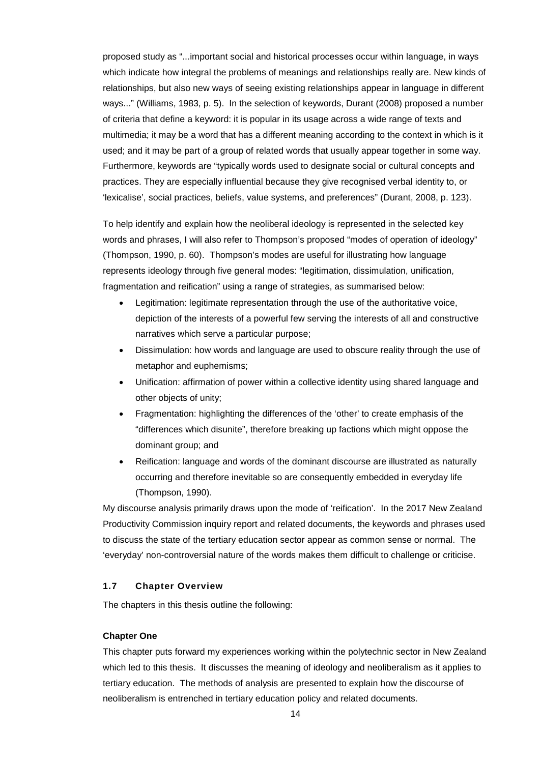proposed study as "...important social and historical processes occur within language, in ways which indicate how integral the problems of meanings and relationships really are. New kinds of relationships, but also new ways of seeing existing relationships appear in language in different ways..." (Williams, 1983, p. 5). In the selection of keywords, Durant (2008) proposed a number of criteria that define a keyword: it is popular in its usage across a wide range of texts and multimedia; it may be a word that has a different meaning according to the context in which is it used; and it may be part of a group of related words that usually appear together in some way. Furthermore, keywords are "typically words used to designate social or cultural concepts and practices. They are especially influential because they give recognised verbal identity to, or 'lexicalise', social practices, beliefs, value systems, and preferences" (Durant, 2008, p. 123).

To help identify and explain how the neoliberal ideology is represented in the selected key words and phrases, I will also refer to Thompson's proposed "modes of operation of ideology" (Thompson, 1990, p. 60). Thompson's modes are useful for illustrating how language represents ideology through five general modes: "legitimation, dissimulation, unification, fragmentation and reification" using a range of strategies, as summarised below:

- Legitimation: legitimate representation through the use of the authoritative voice, depiction of the interests of a powerful few serving the interests of all and constructive narratives which serve a particular purpose;
- Dissimulation: how words and language are used to obscure reality through the use of metaphor and euphemisms;
- Unification: affirmation of power within a collective identity using shared language and other objects of unity;
- Fragmentation: highlighting the differences of the 'other' to create emphasis of the "differences which disunite", therefore breaking up factions which might oppose the dominant group; and
- Reification: language and words of the dominant discourse are illustrated as naturally occurring and therefore inevitable so are consequently embedded in everyday life (Thompson, 1990).

My discourse analysis primarily draws upon the mode of 'reification'. In the 2017 New Zealand Productivity Commission inquiry report and related documents, the keywords and phrases used to discuss the state of the tertiary education sector appear as common sense or normal. The 'everyday' non-controversial nature of the words makes them difficult to challenge or criticise.

# **1.7 Chapter Overview**

The chapters in this thesis outline the following:

### **Chapter One**

This chapter puts forward my experiences working within the polytechnic sector in New Zealand which led to this thesis. It discusses the meaning of ideology and neoliberalism as it applies to tertiary education. The methods of analysis are presented to explain how the discourse of neoliberalism is entrenched in tertiary education policy and related documents.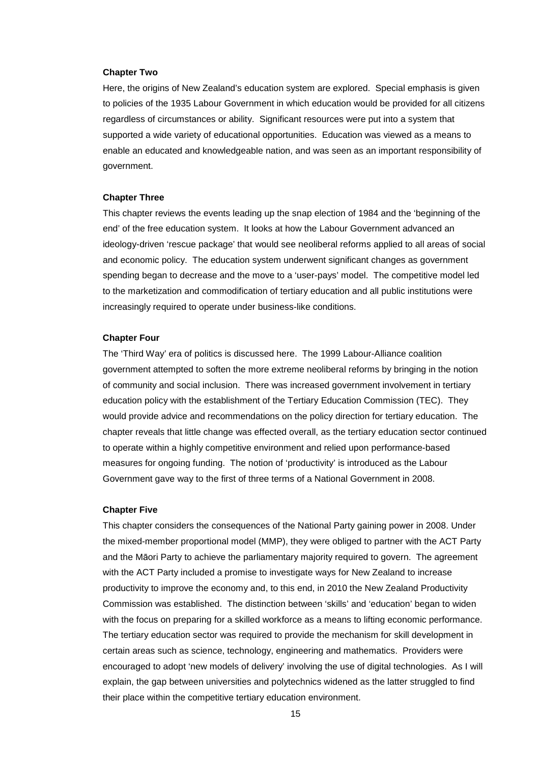#### **Chapter Two**

Here, the origins of New Zealand's education system are explored. Special emphasis is given to policies of the 1935 Labour Government in which education would be provided for all citizens regardless of circumstances or ability. Significant resources were put into a system that supported a wide variety of educational opportunities. Education was viewed as a means to enable an educated and knowledgeable nation, and was seen as an important responsibility of government.

#### **Chapter Three**

This chapter reviews the events leading up the snap election of 1984 and the 'beginning of the end' of the free education system. It looks at how the Labour Government advanced an ideology-driven 'rescue package' that would see neoliberal reforms applied to all areas of social and economic policy. The education system underwent significant changes as government spending began to decrease and the move to a 'user-pays' model. The competitive model led to the marketization and commodification of tertiary education and all public institutions were increasingly required to operate under business-like conditions.

#### **Chapter Four**

The 'Third Way' era of politics is discussed here. The 1999 Labour-Alliance coalition government attempted to soften the more extreme neoliberal reforms by bringing in the notion of community and social inclusion. There was increased government involvement in tertiary education policy with the establishment of the Tertiary Education Commission (TEC). They would provide advice and recommendations on the policy direction for tertiary education. The chapter reveals that little change was effected overall, as the tertiary education sector continued to operate within a highly competitive environment and relied upon performance-based measures for ongoing funding. The notion of 'productivity' is introduced as the Labour Government gave way to the first of three terms of a National Government in 2008.

#### **Chapter Five**

This chapter considers the consequences of the National Party gaining power in 2008. Under the mixed-member proportional model (MMP), they were obliged to partner with the ACT Party and the Māori Party to achieve the parliamentary majority required to govern. The agreement with the ACT Party included a promise to investigate ways for New Zealand to increase productivity to improve the economy and, to this end, in 2010 the New Zealand Productivity Commission was established. The distinction between 'skills' and 'education' began to widen with the focus on preparing for a skilled workforce as a means to lifting economic performance. The tertiary education sector was required to provide the mechanism for skill development in certain areas such as science, technology, engineering and mathematics. Providers were encouraged to adopt 'new models of delivery' involving the use of digital technologies. As I will explain, the gap between universities and polytechnics widened as the latter struggled to find their place within the competitive tertiary education environment.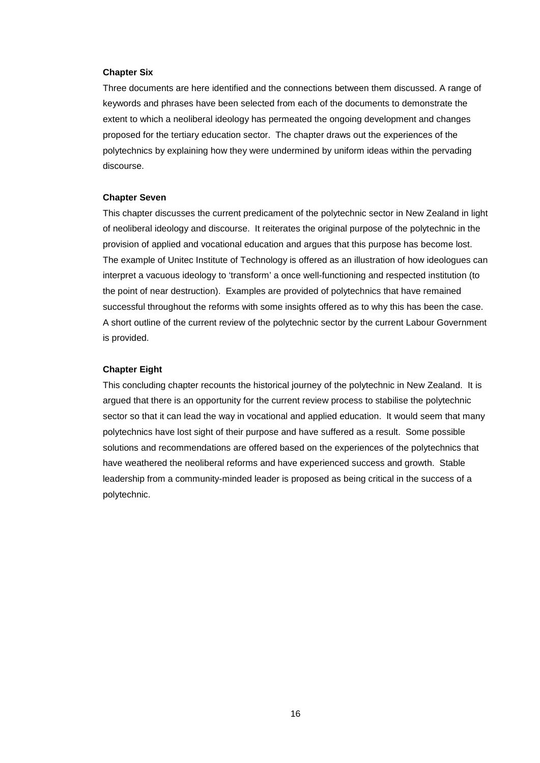### **Chapter Six**

Three documents are here identified and the connections between them discussed. A range of keywords and phrases have been selected from each of the documents to demonstrate the extent to which a neoliberal ideology has permeated the ongoing development and changes proposed for the tertiary education sector. The chapter draws out the experiences of the polytechnics by explaining how they were undermined by uniform ideas within the pervading discourse.

#### **Chapter Seven**

This chapter discusses the current predicament of the polytechnic sector in New Zealand in light of neoliberal ideology and discourse. It reiterates the original purpose of the polytechnic in the provision of applied and vocational education and argues that this purpose has become lost. The example of Unitec Institute of Technology is offered as an illustration of how ideologues can interpret a vacuous ideology to 'transform' a once well-functioning and respected institution (to the point of near destruction). Examples are provided of polytechnics that have remained successful throughout the reforms with some insights offered as to why this has been the case. A short outline of the current review of the polytechnic sector by the current Labour Government is provided.

### **Chapter Eight**

This concluding chapter recounts the historical journey of the polytechnic in New Zealand. It is argued that there is an opportunity for the current review process to stabilise the polytechnic sector so that it can lead the way in vocational and applied education. It would seem that many polytechnics have lost sight of their purpose and have suffered as a result. Some possible solutions and recommendations are offered based on the experiences of the polytechnics that have weathered the neoliberal reforms and have experienced success and growth. Stable leadership from a community-minded leader is proposed as being critical in the success of a polytechnic.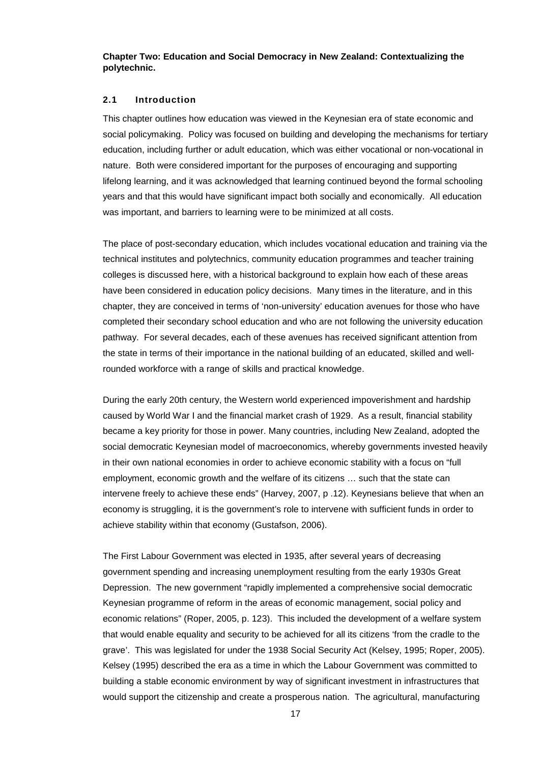**Chapter Two: Education and Social Democracy in New Zealand: Contextualizing the polytechnic.**

#### **2.1 Introduction**

This chapter outlines how education was viewed in the Keynesian era of state economic and social policymaking. Policy was focused on building and developing the mechanisms for tertiary education, including further or adult education, which was either vocational or non-vocational in nature. Both were considered important for the purposes of encouraging and supporting lifelong learning, and it was acknowledged that learning continued beyond the formal schooling years and that this would have significant impact both socially and economically. All education was important, and barriers to learning were to be minimized at all costs.

The place of post-secondary education, which includes vocational education and training via the technical institutes and polytechnics, community education programmes and teacher training colleges is discussed here, with a historical background to explain how each of these areas have been considered in education policy decisions. Many times in the literature, and in this chapter, they are conceived in terms of 'non-university' education avenues for those who have completed their secondary school education and who are not following the university education pathway. For several decades, each of these avenues has received significant attention from the state in terms of their importance in the national building of an educated, skilled and wellrounded workforce with a range of skills and practical knowledge.

During the early 20th century, the Western world experienced impoverishment and hardship caused by World War I and the financial market crash of 1929. As a result, financial stability became a key priority for those in power. Many countries, including New Zealand, adopted the social democratic Keynesian model of macroeconomics, whereby governments invested heavily in their own national economies in order to achieve economic stability with a focus on "full employment, economic growth and the welfare of its citizens … such that the state can intervene freely to achieve these ends" (Harvey, 2007, p .12). Keynesians believe that when an economy is struggling, it is the government's role to intervene with sufficient funds in order to achieve stability within that economy (Gustafson, 2006).

The First Labour Government was elected in 1935, after several years of decreasing government spending and increasing unemployment resulting from the early 1930s Great Depression. The new government "rapidly implemented a comprehensive social democratic Keynesian programme of reform in the areas of economic management, social policy and economic relations" (Roper, 2005, p. 123). This included the development of a welfare system that would enable equality and security to be achieved for all its citizens 'from the cradle to the grave'. This was legislated for under the 1938 Social Security Act (Kelsey, 1995; Roper, 2005). Kelsey (1995) described the era as a time in which the Labour Government was committed to building a stable economic environment by way of significant investment in infrastructures that would support the citizenship and create a prosperous nation. The agricultural, manufacturing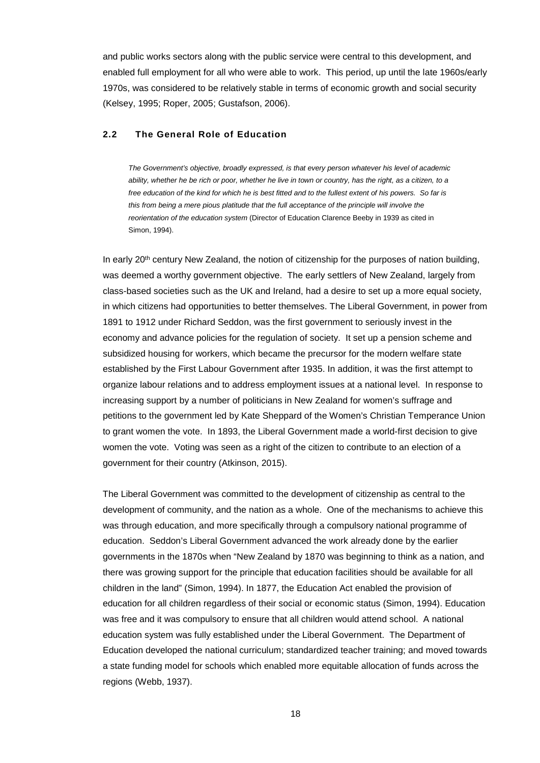and public works sectors along with the public service were central to this development, and enabled full employment for all who were able to work. This period, up until the late 1960s/early 1970s, was considered to be relatively stable in terms of economic growth and social security (Kelsey, 1995; Roper, 2005; Gustafson, 2006).

# **2.2 The General Role of Education**

*The Government's objective, broadly expressed, is that every person whatever his level of academic ability, whether he be rich or poor, whether he live in town or country, has the right, as a citizen, to a free education of the kind for which he is best fitted and to the fullest extent of his powers. So far is this from being a mere pious platitude that the full acceptance of the principle will involve the reorientation of the education system* (Director of Education Clarence Beeby in 1939 as cited in Simon, 1994).

In early 20<sup>th</sup> century New Zealand, the notion of citizenship for the purposes of nation building, was deemed a worthy government objective. The early settlers of New Zealand, largely from class-based societies such as the UK and Ireland, had a desire to set up a more equal society, in which citizens had opportunities to better themselves. The Liberal Government, in power from 1891 to 1912 under Richard Seddon, was the first government to seriously invest in the economy and advance policies for the regulation of society. It set up a pension scheme and subsidized housing for workers, which became the precursor for the modern welfare state established by the First Labour Government after 1935. In addition, it was the first attempt to organize labour relations and to address employment issues at a national level. In response to increasing support by a number of politicians in New Zealand for women's suffrage and petitions to the government led by Kate Sheppard of the Women's Christian Temperance Union to grant women the vote. In 1893, the Liberal Government made a world-first decision to give women the vote. Voting was seen as a right of the citizen to contribute to an election of a government for their country (Atkinson, 2015).

The Liberal Government was committed to the development of citizenship as central to the development of community, and the nation as a whole. One of the mechanisms to achieve this was through education, and more specifically through a compulsory national programme of education. Seddon's Liberal Government advanced the work already done by the earlier governments in the 1870s when "New Zealand by 1870 was beginning to think as a nation, and there was growing support for the principle that education facilities should be available for all children in the land" (Simon, 1994). In 1877, the Education Act enabled the provision of education for all children regardless of their social or economic status (Simon, 1994). Education was free and it was compulsory to ensure that all children would attend school. A national education system was fully established under the Liberal Government. The Department of Education developed the national curriculum; standardized teacher training; and moved towards a state funding model for schools which enabled more equitable allocation of funds across the regions (Webb, 1937).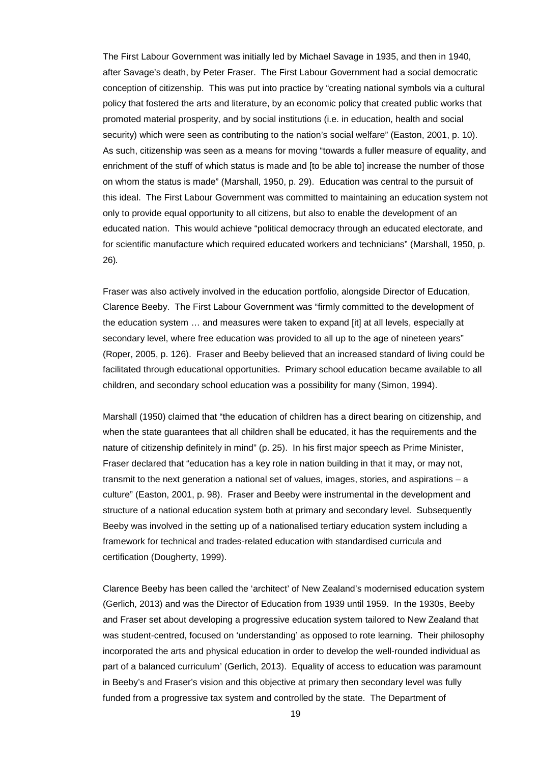The First Labour Government was initially led by Michael Savage in 1935, and then in 1940, after Savage's death, by Peter Fraser. The First Labour Government had a social democratic conception of citizenship. This was put into practice by "creating national symbols via a cultural policy that fostered the arts and literature, by an economic policy that created public works that promoted material prosperity, and by social institutions (i.e. in education, health and social security) which were seen as contributing to the nation's social welfare" (Easton, 2001, p. 10). As such, citizenship was seen as a means for moving "towards a fuller measure of equality, and enrichment of the stuff of which status is made and [to be able to] increase the number of those on whom the status is made" (Marshall, 1950, p. 29). Education was central to the pursuit of this ideal. The First Labour Government was committed to maintaining an education system not only to provide equal opportunity to all citizens, but also to enable the development of an educated nation. This would achieve "political democracy through an educated electorate, and for scientific manufacture which required educated workers and technicians" (Marshall, 1950, p. 26).

Fraser was also actively involved in the education portfolio, alongside Director of Education, Clarence Beeby. The First Labour Government was "firmly committed to the development of the education system … and measures were taken to expand [it] at all levels, especially at secondary level, where free education was provided to all up to the age of nineteen years" (Roper, 2005, p. 126). Fraser and Beeby believed that an increased standard of living could be facilitated through educational opportunities. Primary school education became available to all children, and secondary school education was a possibility for many (Simon, 1994).

Marshall (1950) claimed that "the education of children has a direct bearing on citizenship, and when the state guarantees that all children shall be educated, it has the requirements and the nature of citizenship definitely in mind" (p. 25). In his first major speech as Prime Minister, Fraser declared that "education has a key role in nation building in that it may, or may not, transmit to the next generation a national set of values, images, stories, and aspirations – a culture" (Easton, 2001, p. 98). Fraser and Beeby were instrumental in the development and structure of a national education system both at primary and secondary level. Subsequently Beeby was involved in the setting up of a nationalised tertiary education system including a framework for technical and trades-related education with standardised curricula and certification (Dougherty, 1999).

Clarence Beeby has been called the 'architect' of New Zealand's modernised education system (Gerlich, 2013) and was the Director of Education from 1939 until 1959. In the 1930s, Beeby and Fraser set about developing a progressive education system tailored to New Zealand that was student-centred, focused on 'understanding' as opposed to rote learning. Their philosophy incorporated the arts and physical education in order to develop the well-rounded individual as part of a balanced curriculum' (Gerlich, 2013). Equality of access to education was paramount in Beeby's and Fraser's vision and this objective at primary then secondary level was fully funded from a progressive tax system and controlled by the state. The Department of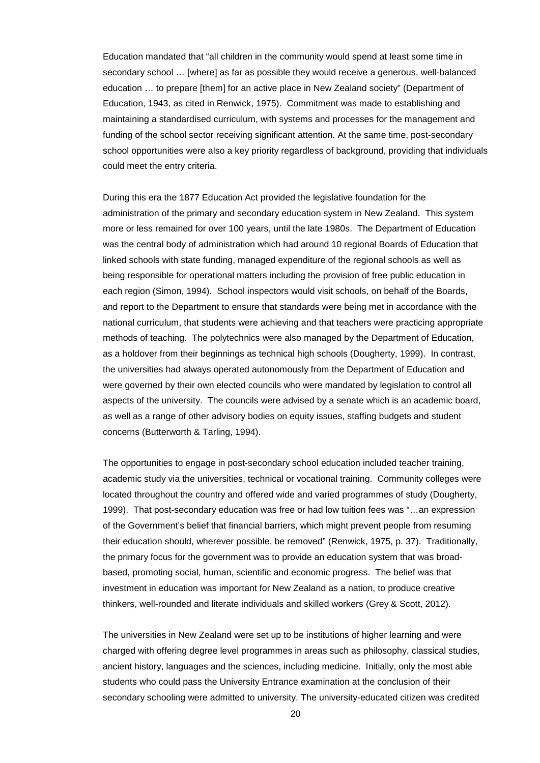Education mandated that "all children in the community would spend at least some time in secondary school … [where] as far as possible they would receive a generous, well-balanced education … to prepare [them] for an active place in New Zealand society" (Department of Education, 1943, as cited in Renwick, 1975). Commitment was made to establishing and maintaining a standardised curriculum, with systems and processes for the management and funding of the school sector receiving significant attention. At the same time, post-secondary school opportunities were also a key priority regardless of background, providing that individuals could meet the entry criteria.

During this era the 1877 Education Act provided the legislative foundation for the administration of the primary and secondary education system in New Zealand. This system more or less remained for over 100 years, until the late 1980s. The Department of Education was the central body of administration which had around 10 regional Boards of Education that linked schools with state funding, managed expenditure of the regional schools as well as being responsible for operational matters including the provision of free public education in each region (Simon, 1994). School inspectors would visit schools, on behalf of the Boards, and report to the Department to ensure that standards were being met in accordance with the national curriculum, that students were achieving and that teachers were practicing appropriate methods of teaching. The polytechnics were also managed by the Department of Education, as a holdover from their beginnings as technical high schools (Dougherty, 1999). In contrast, the universities had always operated autonomously from the Department of Education and were governed by their own elected councils who were mandated by legislation to control all aspects of the university. The councils were advised by a senate which is an academic board, as well as a range of other advisory bodies on equity issues, staffing budgets and student concerns (Butterworth & Tarling, 1994).

The opportunities to engage in post-secondary school education included teacher training, academic study via the universities, technical or vocational training. Community colleges were located throughout the country and offered wide and varied programmes of study (Dougherty, 1999). That post-secondary education was free or had low tuition fees was "…an expression of the Government's belief that financial barriers, which might prevent people from resuming their education should, wherever possible, be removed" (Renwick, 1975, p. 37). Traditionally, the primary focus for the government was to provide an education system that was broadbased, promoting social, human, scientific and economic progress. The belief was that investment in education was important for New Zealand as a nation, to produce creative thinkers, well-rounded and literate individuals and skilled workers (Grey & Scott, 2012).

The universities in New Zealand were set up to be institutions of higher learning and were charged with offering degree level programmes in areas such as philosophy, classical studies, ancient history, languages and the sciences, including medicine. Initially, only the most able students who could pass the University Entrance examination at the conclusion of their secondary schooling were admitted to university. The university-educated citizen was credited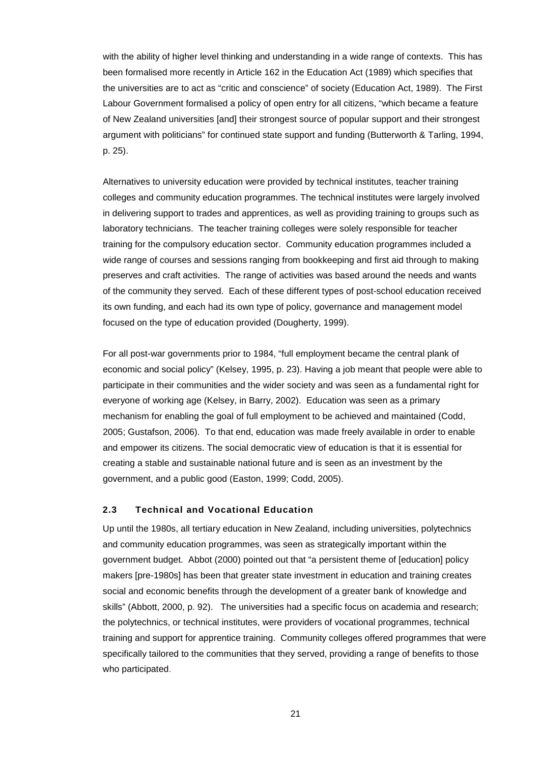with the ability of higher level thinking and understanding in a wide range of contexts. This has been formalised more recently in Article 162 in the Education Act (1989) which specifies that the universities are to act as "critic and conscience" of society (Education Act, 1989). The First Labour Government formalised a policy of open entry for all citizens, "which became a feature of New Zealand universities [and] their strongest source of popular support and their strongest argument with politicians" for continued state support and funding (Butterworth & Tarling, 1994, p. 25).

Alternatives to university education were provided by technical institutes, teacher training colleges and community education programmes. The technical institutes were largely involved in delivering support to trades and apprentices, as well as providing training to groups such as laboratory technicians. The teacher training colleges were solely responsible for teacher training for the compulsory education sector. Community education programmes included a wide range of courses and sessions ranging from bookkeeping and first aid through to making preserves and craft activities. The range of activities was based around the needs and wants of the community they served. Each of these different types of post-school education received its own funding, and each had its own type of policy, governance and management model focused on the type of education provided (Dougherty, 1999).

For all post-war governments prior to 1984, "full employment became the central plank of economic and social policy" (Kelsey, 1995, p. 23). Having a job meant that people were able to participate in their communities and the wider society and was seen as a fundamental right for everyone of working age (Kelsey, in Barry, 2002). Education was seen as a primary mechanism for enabling the goal of full employment to be achieved and maintained (Codd, 2005; Gustafson, 2006). To that end, education was made freely available in order to enable and empower its citizens. The social democratic view of education is that it is essential for creating a stable and sustainable national future and is seen as an investment by the government, and a public good (Easton, 1999; Codd, 2005).

# **2.3 Technical and Vocational Education**

Up until the 1980s, all tertiary education in New Zealand, including universities, polytechnics and community education programmes, was seen as strategically important within the government budget. Abbot (2000) pointed out that "a persistent theme of [education] policy makers [pre-1980s] has been that greater state investment in education and training creates social and economic benefits through the development of a greater bank of knowledge and skills" (Abbott, 2000, p. 92). The universities had a specific focus on academia and research; the polytechnics, or technical institutes, were providers of vocational programmes, technical training and support for apprentice training. Community colleges offered programmes that were specifically tailored to the communities that they served, providing a range of benefits to those who participated.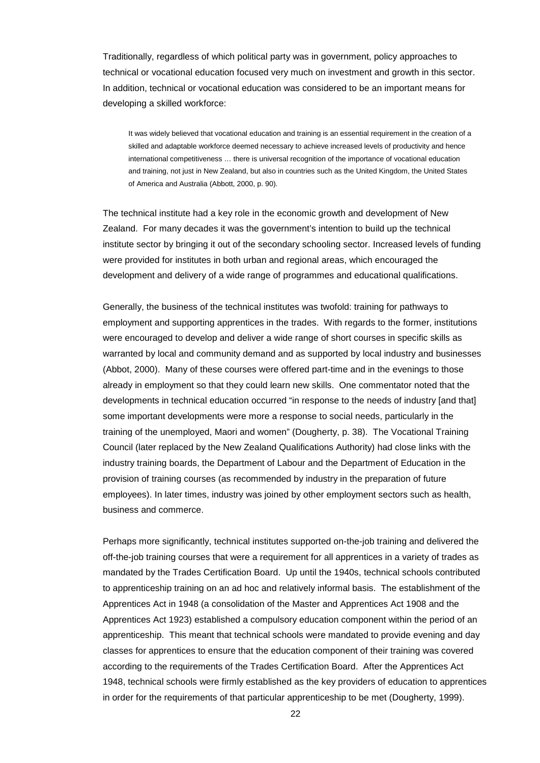Traditionally, regardless of which political party was in government, policy approaches to technical or vocational education focused very much on investment and growth in this sector. In addition, technical or vocational education was considered to be an important means for developing a skilled workforce:

It was widely believed that vocational education and training is an essential requirement in the creation of a skilled and adaptable workforce deemed necessary to achieve increased levels of productivity and hence international competitiveness … there is universal recognition of the importance of vocational education and training, not just in New Zealand, but also in countries such as the United Kingdom, the United States of America and Australia (Abbott, 2000, p. 90).

The technical institute had a key role in the economic growth and development of New Zealand. For many decades it was the government's intention to build up the technical institute sector by bringing it out of the secondary schooling sector. Increased levels of funding were provided for institutes in both urban and regional areas, which encouraged the development and delivery of a wide range of programmes and educational qualifications.

Generally, the business of the technical institutes was twofold: training for pathways to employment and supporting apprentices in the trades. With regards to the former, institutions were encouraged to develop and deliver a wide range of short courses in specific skills as warranted by local and community demand and as supported by local industry and businesses (Abbot, 2000). Many of these courses were offered part-time and in the evenings to those already in employment so that they could learn new skills. One commentator noted that the developments in technical education occurred "in response to the needs of industry [and that] some important developments were more a response to social needs, particularly in the training of the unemployed, Maori and women" (Dougherty, p. 38). The Vocational Training Council (later replaced by the New Zealand Qualifications Authority) had close links with the industry training boards, the Department of Labour and the Department of Education in the provision of training courses (as recommended by industry in the preparation of future employees). In later times, industry was joined by other employment sectors such as health, business and commerce.

Perhaps more significantly, technical institutes supported on-the-job training and delivered the off-the-job training courses that were a requirement for all apprentices in a variety of trades as mandated by the Trades Certification Board. Up until the 1940s, technical schools contributed to apprenticeship training on an ad hoc and relatively informal basis. The establishment of the Apprentices Act in 1948 (a consolidation of the Master and Apprentices Act 1908 and the Apprentices Act 1923) established a compulsory education component within the period of an apprenticeship. This meant that technical schools were mandated to provide evening and day classes for apprentices to ensure that the education component of their training was covered according to the requirements of the Trades Certification Board. After the Apprentices Act 1948, technical schools were firmly established as the key providers of education to apprentices in order for the requirements of that particular apprenticeship to be met (Dougherty, 1999).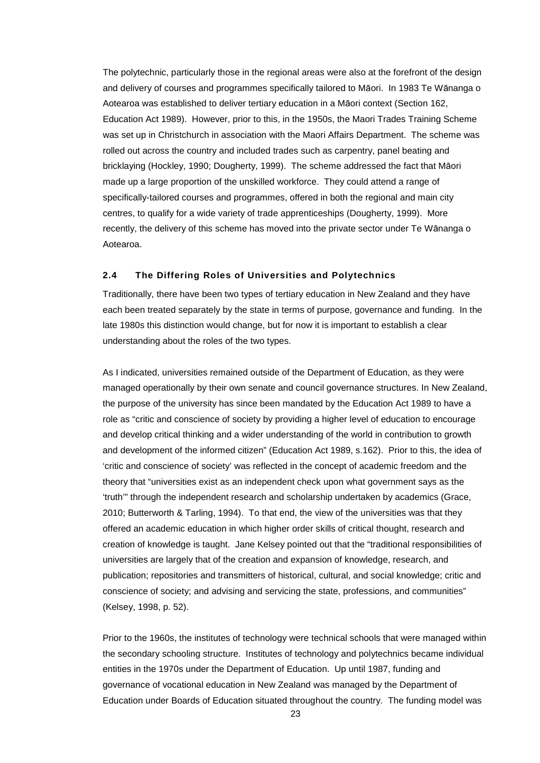The polytechnic, particularly those in the regional areas were also at the forefront of the design and delivery of courses and programmes specifically tailored to Māori. In 1983 Te Wānanga o Aotearoa was established to deliver tertiary education in a Māori context (Section 162, Education Act 1989). However, prior to this, in the 1950s, the Maori Trades Training Scheme was set up in Christchurch in association with the Maori Affairs Department. The scheme was rolled out across the country and included trades such as carpentry, panel beating and bricklaying (Hockley, 1990; Dougherty, 1999). The scheme addressed the fact that Māori made up a large proportion of the unskilled workforce. They could attend a range of specifically-tailored courses and programmes, offered in both the regional and main city centres, to qualify for a wide variety of trade apprenticeships (Dougherty, 1999). More recently, the delivery of this scheme has moved into the private sector under Te Wānanga o Aotearoa.

# **2.4 The Differing Roles of Universities and Polytechnics**

Traditionally, there have been two types of tertiary education in New Zealand and they have each been treated separately by the state in terms of purpose, governance and funding. In the late 1980s this distinction would change, but for now it is important to establish a clear understanding about the roles of the two types.

As I indicated, universities remained outside of the Department of Education, as they were managed operationally by their own senate and council governance structures. In New Zealand, the purpose of the university has since been mandated by the Education Act 1989 to have a role as "critic and conscience of society by providing a higher level of education to encourage and develop critical thinking and a wider understanding of the world in contribution to growth and development of the informed citizen" (Education Act 1989, s.162). Prior to this, the idea of 'critic and conscience of society' was reflected in the concept of academic freedom and the theory that "universities exist as an independent check upon what government says as the 'truth'" through the independent research and scholarship undertaken by academics (Grace, 2010; Butterworth & Tarling, 1994). To that end, the view of the universities was that they offered an academic education in which higher order skills of critical thought, research and creation of knowledge is taught. Jane Kelsey pointed out that the "traditional responsibilities of universities are largely that of the creation and expansion of knowledge, research, and publication; repositories and transmitters of historical, cultural, and social knowledge; critic and conscience of society; and advising and servicing the state, professions, and communities" (Kelsey, 1998, p. 52).

Prior to the 1960s, the institutes of technology were technical schools that were managed within the secondary schooling structure. Institutes of technology and polytechnics became individual entities in the 1970s under the Department of Education. Up until 1987, funding and governance of vocational education in New Zealand was managed by the Department of Education under Boards of Education situated throughout the country. The funding model was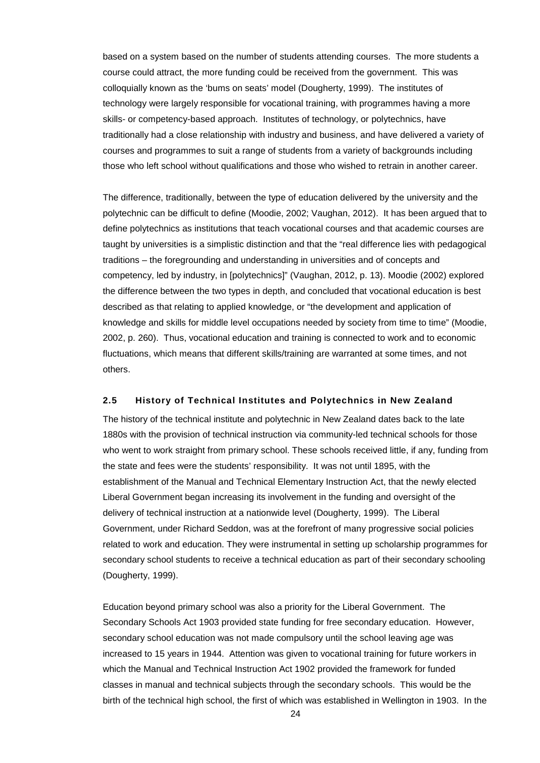based on a system based on the number of students attending courses. The more students a course could attract, the more funding could be received from the government. This was colloquially known as the 'bums on seats' model (Dougherty, 1999). The institutes of technology were largely responsible for vocational training, with programmes having a more skills- or competency-based approach. Institutes of technology, or polytechnics, have traditionally had a close relationship with industry and business, and have delivered a variety of courses and programmes to suit a range of students from a variety of backgrounds including those who left school without qualifications and those who wished to retrain in another career.

The difference, traditionally, between the type of education delivered by the university and the polytechnic can be difficult to define (Moodie, 2002; Vaughan, 2012). It has been argued that to define polytechnics as institutions that teach vocational courses and that academic courses are taught by universities is a simplistic distinction and that the "real difference lies with pedagogical traditions – the foregrounding and understanding in universities and of concepts and competency, led by industry, in [polytechnics]" (Vaughan, 2012, p. 13). Moodie (2002) explored the difference between the two types in depth, and concluded that vocational education is best described as that relating to applied knowledge, or "the development and application of knowledge and skills for middle level occupations needed by society from time to time" (Moodie, 2002, p. 260). Thus, vocational education and training is connected to work and to economic fluctuations, which means that different skills/training are warranted at some times, and not others.

### **2.5 History of Technical Institutes and Polytechnics in New Zealand**

The history of the technical institute and polytechnic in New Zealand dates back to the late 1880s with the provision of technical instruction via community-led technical schools for those who went to work straight from primary school. These schools received little, if any, funding from the state and fees were the students' responsibility. It was not until 1895, with the establishment of the Manual and Technical Elementary Instruction Act, that the newly elected Liberal Government began increasing its involvement in the funding and oversight of the delivery of technical instruction at a nationwide level (Dougherty, 1999). The Liberal Government, under Richard Seddon, was at the forefront of many progressive social policies related to work and education. They were instrumental in setting up scholarship programmes for secondary school students to receive a technical education as part of their secondary schooling (Dougherty, 1999).

Education beyond primary school was also a priority for the Liberal Government. The Secondary Schools Act 1903 provided state funding for free secondary education. However, secondary school education was not made compulsory until the school leaving age was increased to 15 years in 1944. Attention was given to vocational training for future workers in which the Manual and Technical Instruction Act 1902 provided the framework for funded classes in manual and technical subjects through the secondary schools. This would be the birth of the technical high school, the first of which was established in Wellington in 1903. In the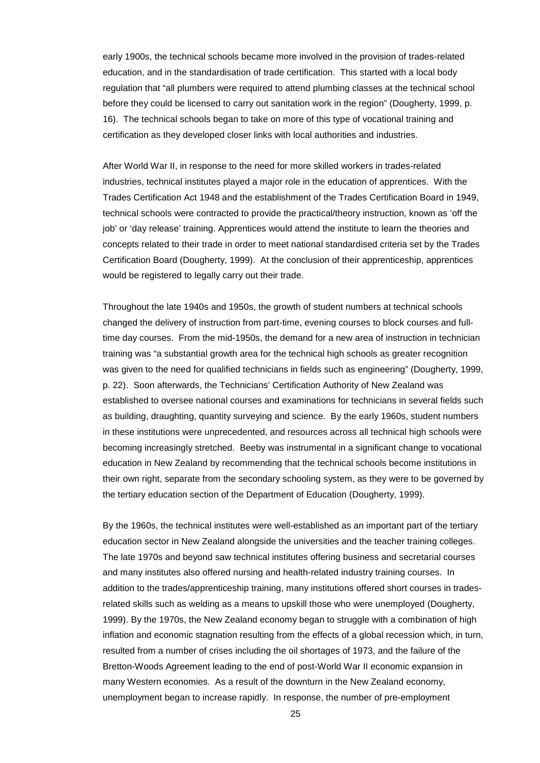early 1900s, the technical schools became more involved in the provision of trades-related education, and in the standardisation of trade certification. This started with a local body regulation that "all plumbers were required to attend plumbing classes at the technical school before they could be licensed to carry out sanitation work in the region" (Dougherty, 1999, p. 16). The technical schools began to take on more of this type of vocational training and certification as they developed closer links with local authorities and industries.

After World War II, in response to the need for more skilled workers in trades-related industries, technical institutes played a major role in the education of apprentices. With the Trades Certification Act 1948 and the establishment of the Trades Certification Board in 1949, technical schools were contracted to provide the practical/theory instruction, known as 'off the job' or 'day release' training. Apprentices would attend the institute to learn the theories and concepts related to their trade in order to meet national standardised criteria set by the Trades Certification Board (Dougherty, 1999). At the conclusion of their apprenticeship, apprentices would be registered to legally carry out their trade.

Throughout the late 1940s and 1950s, the growth of student numbers at technical schools changed the delivery of instruction from part-time, evening courses to block courses and fulltime day courses. From the mid-1950s, the demand for a new area of instruction in technician training was "a substantial growth area for the technical high schools as greater recognition was given to the need for qualified technicians in fields such as engineering" (Dougherty, 1999, p. 22). Soon afterwards, the Technicians' Certification Authority of New Zealand was established to oversee national courses and examinations for technicians in several fields such as building, draughting, quantity surveying and science. By the early 1960s, student numbers in these institutions were unprecedented, and resources across all technical high schools were becoming increasingly stretched. Beeby was instrumental in a significant change to vocational education in New Zealand by recommending that the technical schools become institutions in their own right, separate from the secondary schooling system, as they were to be governed by the tertiary education section of the Department of Education (Dougherty, 1999).

By the 1960s, the technical institutes were well-established as an important part of the tertiary education sector in New Zealand alongside the universities and the teacher training colleges. The late 1970s and beyond saw technical institutes offering business and secretarial courses and many institutes also offered nursing and health-related industry training courses. In addition to the trades/apprenticeship training, many institutions offered short courses in tradesrelated skills such as welding as a means to upskill those who were unemployed (Dougherty, 1999). By the 1970s, the New Zealand economy began to struggle with a combination of high inflation and economic stagnation resulting from the effects of a global recession which, in turn, resulted from a number of crises including the oil shortages of 1973, and the failure of the Bretton-Woods Agreement leading to the end of post-World War II economic expansion in many Western economies. As a result of the downturn in the New Zealand economy, unemployment began to increase rapidly. In response, the number of pre-employment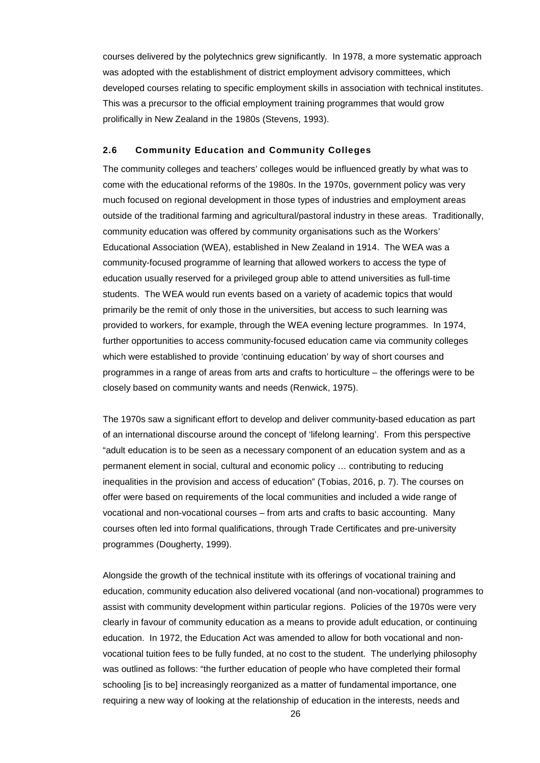courses delivered by the polytechnics grew significantly. In 1978, a more systematic approach was adopted with the establishment of district employment advisory committees, which developed courses relating to specific employment skills in association with technical institutes. This was a precursor to the official employment training programmes that would grow prolifically in New Zealand in the 1980s (Stevens, 1993).

### **2.6 Community Education and Community Colleges**

The community colleges and teachers' colleges would be influenced greatly by what was to come with the educational reforms of the 1980s. In the 1970s, government policy was very much focused on regional development in those types of industries and employment areas outside of the traditional farming and agricultural/pastoral industry in these areas. Traditionally, community education was offered by community organisations such as the Workers' Educational Association (WEA), established in New Zealand in 1914. The WEA was a community-focused programme of learning that allowed workers to access the type of education usually reserved for a privileged group able to attend universities as full-time students. The WEA would run events based on a variety of academic topics that would primarily be the remit of only those in the universities, but access to such learning was provided to workers, for example, through the WEA evening lecture programmes. In 1974, further opportunities to access community-focused education came via community colleges which were established to provide 'continuing education' by way of short courses and programmes in a range of areas from arts and crafts to horticulture – the offerings were to be closely based on community wants and needs (Renwick, 1975).

The 1970s saw a significant effort to develop and deliver community-based education as part of an international discourse around the concept of 'lifelong learning'. From this perspective "adult education is to be seen as a necessary component of an education system and as a permanent element in social, cultural and economic policy … contributing to reducing inequalities in the provision and access of education" (Tobias, 2016, p. 7). The courses on offer were based on requirements of the local communities and included a wide range of vocational and non-vocational courses – from arts and crafts to basic accounting. Many courses often led into formal qualifications, through Trade Certificates and pre-university programmes (Dougherty, 1999).

Alongside the growth of the technical institute with its offerings of vocational training and education, community education also delivered vocational (and non-vocational) programmes to assist with community development within particular regions. Policies of the 1970s were very clearly in favour of community education as a means to provide adult education, or continuing education. In 1972, the Education Act was amended to allow for both vocational and nonvocational tuition fees to be fully funded, at no cost to the student. The underlying philosophy was outlined as follows: "the further education of people who have completed their formal schooling [is to be] increasingly reorganized as a matter of fundamental importance, one requiring a new way of looking at the relationship of education in the interests, needs and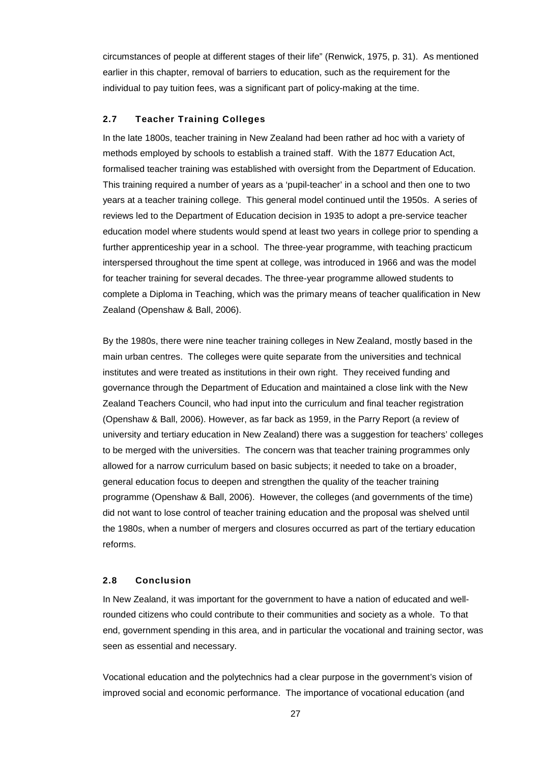circumstances of people at different stages of their life" (Renwick, 1975, p. 31). As mentioned earlier in this chapter, removal of barriers to education, such as the requirement for the individual to pay tuition fees, was a significant part of policy-making at the time.

# **2.7 Teacher Training Colleges**

In the late 1800s, teacher training in New Zealand had been rather ad hoc with a variety of methods employed by schools to establish a trained staff. With the 1877 Education Act, formalised teacher training was established with oversight from the Department of Education. This training required a number of years as a 'pupil-teacher' in a school and then one to two years at a teacher training college. This general model continued until the 1950s. A series of reviews led to the Department of Education decision in 1935 to adopt a pre-service teacher education model where students would spend at least two years in college prior to spending a further apprenticeship year in a school. The three-year programme, with teaching practicum interspersed throughout the time spent at college, was introduced in 1966 and was the model for teacher training for several decades. The three-year programme allowed students to complete a Diploma in Teaching, which was the primary means of teacher qualification in New Zealand (Openshaw & Ball, 2006).

By the 1980s, there were nine teacher training colleges in New Zealand, mostly based in the main urban centres. The colleges were quite separate from the universities and technical institutes and were treated as institutions in their own right. They received funding and governance through the Department of Education and maintained a close link with the New Zealand Teachers Council, who had input into the curriculum and final teacher registration (Openshaw & Ball, 2006). However, as far back as 1959, in the Parry Report (a review of university and tertiary education in New Zealand) there was a suggestion for teachers' colleges to be merged with the universities. The concern was that teacher training programmes only allowed for a narrow curriculum based on basic subjects; it needed to take on a broader, general education focus to deepen and strengthen the quality of the teacher training programme (Openshaw & Ball, 2006). However, the colleges (and governments of the time) did not want to lose control of teacher training education and the proposal was shelved until the 1980s, when a number of mergers and closures occurred as part of the tertiary education reforms.

# **2.8 Conclusion**

In New Zealand, it was important for the government to have a nation of educated and wellrounded citizens who could contribute to their communities and society as a whole. To that end, government spending in this area, and in particular the vocational and training sector, was seen as essential and necessary.

Vocational education and the polytechnics had a clear purpose in the government's vision of improved social and economic performance. The importance of vocational education (and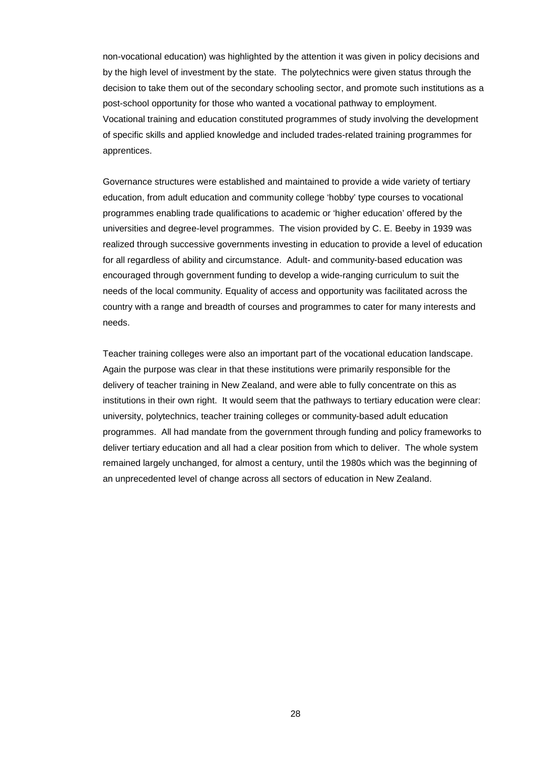non-vocational education) was highlighted by the attention it was given in policy decisions and by the high level of investment by the state. The polytechnics were given status through the decision to take them out of the secondary schooling sector, and promote such institutions as a post-school opportunity for those who wanted a vocational pathway to employment. Vocational training and education constituted programmes of study involving the development of specific skills and applied knowledge and included trades-related training programmes for apprentices.

Governance structures were established and maintained to provide a wide variety of tertiary education, from adult education and community college 'hobby' type courses to vocational programmes enabling trade qualifications to academic or 'higher education' offered by the universities and degree-level programmes. The vision provided by C. E. Beeby in 1939 was realized through successive governments investing in education to provide a level of education for all regardless of ability and circumstance. Adult- and community-based education was encouraged through government funding to develop a wide-ranging curriculum to suit the needs of the local community. Equality of access and opportunity was facilitated across the country with a range and breadth of courses and programmes to cater for many interests and needs.

Teacher training colleges were also an important part of the vocational education landscape. Again the purpose was clear in that these institutions were primarily responsible for the delivery of teacher training in New Zealand, and were able to fully concentrate on this as institutions in their own right. It would seem that the pathways to tertiary education were clear: university, polytechnics, teacher training colleges or community-based adult education programmes. All had mandate from the government through funding and policy frameworks to deliver tertiary education and all had a clear position from which to deliver. The whole system remained largely unchanged, for almost a century, until the 1980s which was the beginning of an unprecedented level of change across all sectors of education in New Zealand.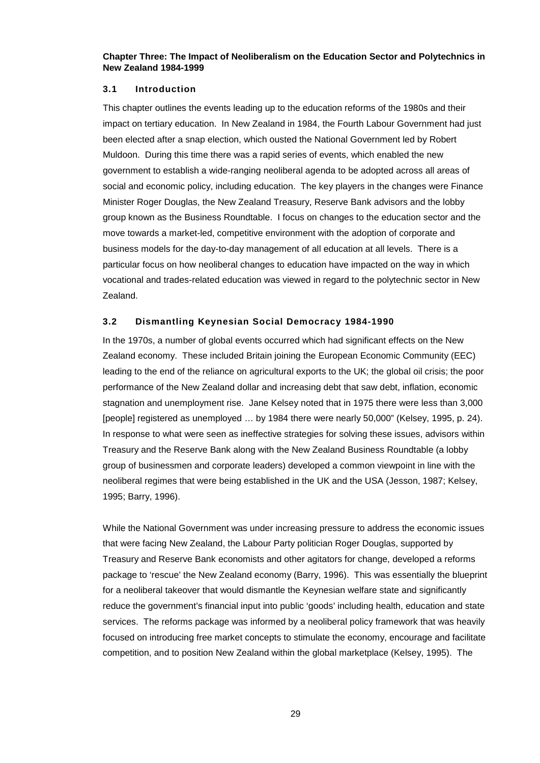**Chapter Three: The Impact of Neoliberalism on the Education Sector and Polytechnics in New Zealand 1984-1999**

### **3.1 Introduction**

This chapter outlines the events leading up to the education reforms of the 1980s and their impact on tertiary education. In New Zealand in 1984, the Fourth Labour Government had just been elected after a snap election, which ousted the National Government led by Robert Muldoon. During this time there was a rapid series of events, which enabled the new government to establish a wide-ranging neoliberal agenda to be adopted across all areas of social and economic policy, including education. The key players in the changes were Finance Minister Roger Douglas, the New Zealand Treasury, Reserve Bank advisors and the lobby group known as the Business Roundtable. I focus on changes to the education sector and the move towards a market-led, competitive environment with the adoption of corporate and business models for the day-to-day management of all education at all levels. There is a particular focus on how neoliberal changes to education have impacted on the way in which vocational and trades-related education was viewed in regard to the polytechnic sector in New Zealand.

# **3.2 Dismantling Keynesian Social Democracy 1984-1990**

In the 1970s, a number of global events occurred which had significant effects on the New Zealand economy. These included Britain joining the European Economic Community (EEC) leading to the end of the reliance on agricultural exports to the UK; the global oil crisis; the poor performance of the New Zealand dollar and increasing debt that saw debt, inflation, economic stagnation and unemployment rise. Jane Kelsey noted that in 1975 there were less than 3,000 [people] registered as unemployed ... by 1984 there were nearly 50,000" (Kelsey, 1995, p. 24). In response to what were seen as ineffective strategies for solving these issues, advisors within Treasury and the Reserve Bank along with the New Zealand Business Roundtable (a lobby group of businessmen and corporate leaders) developed a common viewpoint in line with the neoliberal regimes that were being established in the UK and the USA (Jesson, 1987; Kelsey, 1995; Barry, 1996).

While the National Government was under increasing pressure to address the economic issues that were facing New Zealand, the Labour Party politician Roger Douglas, supported by Treasury and Reserve Bank economists and other agitators for change, developed a reforms package to 'rescue' the New Zealand economy (Barry, 1996). This was essentially the blueprint for a neoliberal takeover that would dismantle the Keynesian welfare state and significantly reduce the government's financial input into public 'goods' including health, education and state services. The reforms package was informed by a neoliberal policy framework that was heavily focused on introducing free market concepts to stimulate the economy, encourage and facilitate competition, and to position New Zealand within the global marketplace (Kelsey, 1995). The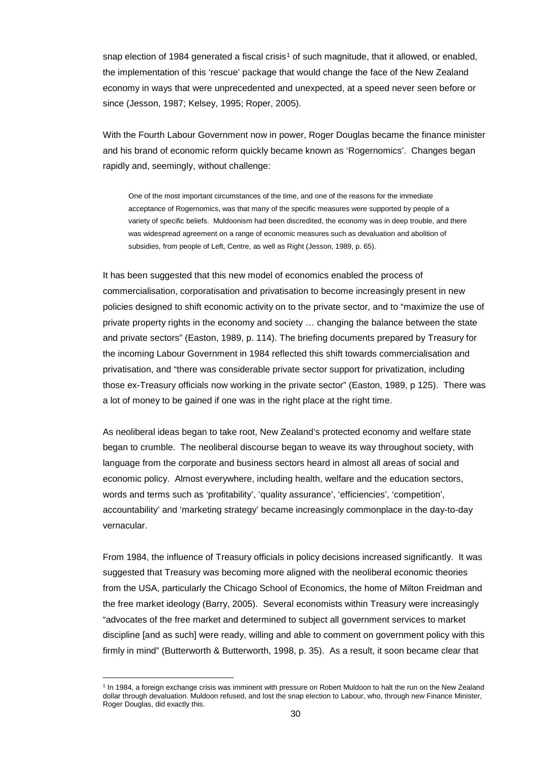snap election of [1](#page-29-0)984 generated a fiscal crisis<sup>1</sup> of such magnitude, that it allowed, or enabled, the implementation of this 'rescue' package that would change the face of the New Zealand economy in ways that were unprecedented and unexpected, at a speed never seen before or since (Jesson, 1987; Kelsey, 1995; Roper, 2005).

With the Fourth Labour Government now in power, Roger Douglas became the finance minister and his brand of economic reform quickly became known as 'Rogernomics'. Changes began rapidly and, seemingly, without challenge:

One of the most important circumstances of the time, and one of the reasons for the immediate acceptance of Rogernomics, was that many of the specific measures were supported by people of a variety of specific beliefs. Muldoonism had been discredited, the economy was in deep trouble, and there was widespread agreement on a range of economic measures such as devaluation and abolition of subsidies, from people of Left, Centre, as well as Right (Jesson, 1989, p. 65).

It has been suggested that this new model of economics enabled the process of commercialisation, corporatisation and privatisation to become increasingly present in new policies designed to shift economic activity on to the private sector, and to "maximize the use of private property rights in the economy and society … changing the balance between the state and private sectors" (Easton, 1989, p. 114). The briefing documents prepared by Treasury for the incoming Labour Government in 1984 reflected this shift towards commercialisation and privatisation, and "there was considerable private sector support for privatization, including those ex-Treasury officials now working in the private sector" (Easton, 1989, p 125). There was a lot of money to be gained if one was in the right place at the right time.

As neoliberal ideas began to take root, New Zealand's protected economy and welfare state began to crumble. The neoliberal discourse began to weave its way throughout society, with language from the corporate and business sectors heard in almost all areas of social and economic policy. Almost everywhere, including health, welfare and the education sectors, words and terms such as 'profitability', 'quality assurance', 'efficiencies', 'competition', accountability' and 'marketing strategy' became increasingly commonplace in the day-to-day vernacular.

From 1984, the influence of Treasury officials in policy decisions increased significantly. It was suggested that Treasury was becoming more aligned with the neoliberal economic theories from the USA, particularly the Chicago School of Economics, the home of Milton Freidman and the free market ideology (Barry, 2005). Several economists within Treasury were increasingly "advocates of the free market and determined to subject all government services to market discipline [and as such] were ready, willing and able to comment on government policy with this firmly in mind" (Butterworth & Butterworth, 1998, p. 35). As a result, it soon became clear that

<span id="page-29-0"></span><sup>1</sup> In 1984, a foreign exchange crisis was imminent with pressure on Robert Muldoon to halt the run on the New Zealand dollar through devaluation. Muldoon refused, and lost the snap election to Labour, who, through new Finance Minister, Roger Douglas, did exactly this.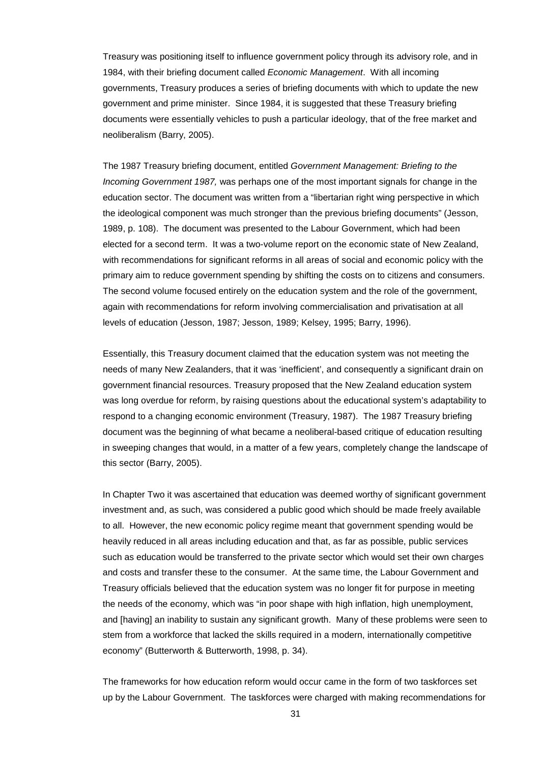Treasury was positioning itself to influence government policy through its advisory role, and in 1984, with their briefing document called *Economic Management*. With all incoming governments, Treasury produces a series of briefing documents with which to update the new government and prime minister. Since 1984, it is suggested that these Treasury briefing documents were essentially vehicles to push a particular ideology, that of the free market and neoliberalism (Barry, 2005).

The 1987 Treasury briefing document, entitled *Government Management: Briefing to the Incoming Government 1987,* was perhaps one of the most important signals for change in the education sector. The document was written from a "libertarian right wing perspective in which the ideological component was much stronger than the previous briefing documents" (Jesson, 1989, p. 108). The document was presented to the Labour Government, which had been elected for a second term. It was a two-volume report on the economic state of New Zealand, with recommendations for significant reforms in all areas of social and economic policy with the primary aim to reduce government spending by shifting the costs on to citizens and consumers. The second volume focused entirely on the education system and the role of the government, again with recommendations for reform involving commercialisation and privatisation at all levels of education (Jesson, 1987; Jesson, 1989; Kelsey, 1995; Barry, 1996).

Essentially, this Treasury document claimed that the education system was not meeting the needs of many New Zealanders, that it was 'inefficient', and consequently a significant drain on government financial resources. Treasury proposed that the New Zealand education system was long overdue for reform, by raising questions about the educational system's adaptability to respond to a changing economic environment (Treasury, 1987). The 1987 Treasury briefing document was the beginning of what became a neoliberal-based critique of education resulting in sweeping changes that would, in a matter of a few years, completely change the landscape of this sector (Barry, 2005).

In Chapter Two it was ascertained that education was deemed worthy of significant government investment and, as such, was considered a public good which should be made freely available to all. However, the new economic policy regime meant that government spending would be heavily reduced in all areas including education and that, as far as possible, public services such as education would be transferred to the private sector which would set their own charges and costs and transfer these to the consumer. At the same time, the Labour Government and Treasury officials believed that the education system was no longer fit for purpose in meeting the needs of the economy, which was "in poor shape with high inflation, high unemployment, and [having] an inability to sustain any significant growth. Many of these problems were seen to stem from a workforce that lacked the skills required in a modern, internationally competitive economy" (Butterworth & Butterworth, 1998, p. 34).

The frameworks for how education reform would occur came in the form of two taskforces set up by the Labour Government. The taskforces were charged with making recommendations for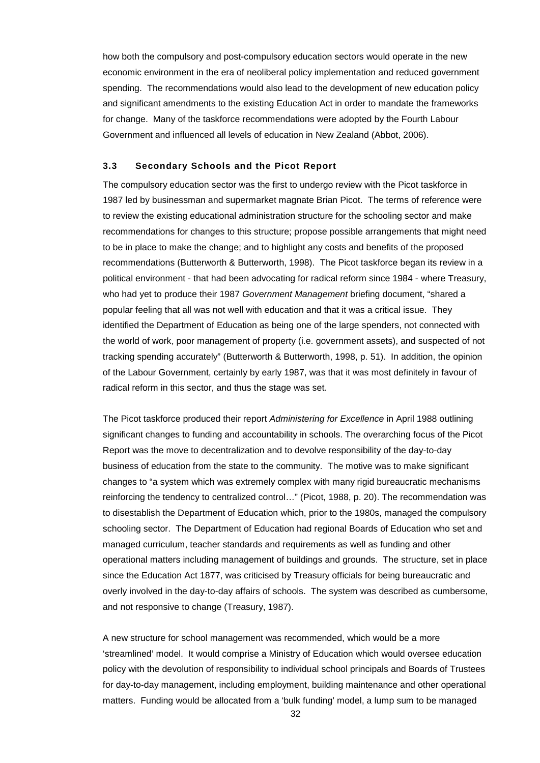how both the compulsory and post-compulsory education sectors would operate in the new economic environment in the era of neoliberal policy implementation and reduced government spending. The recommendations would also lead to the development of new education policy and significant amendments to the existing Education Act in order to mandate the frameworks for change. Many of the taskforce recommendations were adopted by the Fourth Labour Government and influenced all levels of education in New Zealand (Abbot, 2006).

#### **3.3 Secondary Schools and the Picot Report**

The compulsory education sector was the first to undergo review with the Picot taskforce in 1987 led by businessman and supermarket magnate Brian Picot. The terms of reference were to review the existing educational administration structure for the schooling sector and make recommendations for changes to this structure; propose possible arrangements that might need to be in place to make the change; and to highlight any costs and benefits of the proposed recommendations (Butterworth & Butterworth, 1998). The Picot taskforce began its review in a political environment - that had been advocating for radical reform since 1984 - where Treasury, who had yet to produce their 1987 *Government Management* briefing document, "shared a popular feeling that all was not well with education and that it was a critical issue. They identified the Department of Education as being one of the large spenders, not connected with the world of work, poor management of property (i.e. government assets), and suspected of not tracking spending accurately" (Butterworth & Butterworth, 1998, p. 51). In addition, the opinion of the Labour Government, certainly by early 1987, was that it was most definitely in favour of radical reform in this sector, and thus the stage was set.

The Picot taskforce produced their report *Administering for Excellence* in April 1988 outlining significant changes to funding and accountability in schools. The overarching focus of the Picot Report was the move to decentralization and to devolve responsibility of the day-to-day business of education from the state to the community. The motive was to make significant changes to "a system which was extremely complex with many rigid bureaucratic mechanisms reinforcing the tendency to centralized control…" (Picot, 1988, p. 20). The recommendation was to disestablish the Department of Education which, prior to the 1980s, managed the compulsory schooling sector. The Department of Education had regional Boards of Education who set and managed curriculum, teacher standards and requirements as well as funding and other operational matters including management of buildings and grounds. The structure, set in place since the Education Act 1877, was criticised by Treasury officials for being bureaucratic and overly involved in the day-to-day affairs of schools. The system was described as cumbersome, and not responsive to change (Treasury, 1987).

A new structure for school management was recommended, which would be a more 'streamlined' model. It would comprise a Ministry of Education which would oversee education policy with the devolution of responsibility to individual school principals and Boards of Trustees for day-to-day management, including employment, building maintenance and other operational matters. Funding would be allocated from a 'bulk funding' model, a lump sum to be managed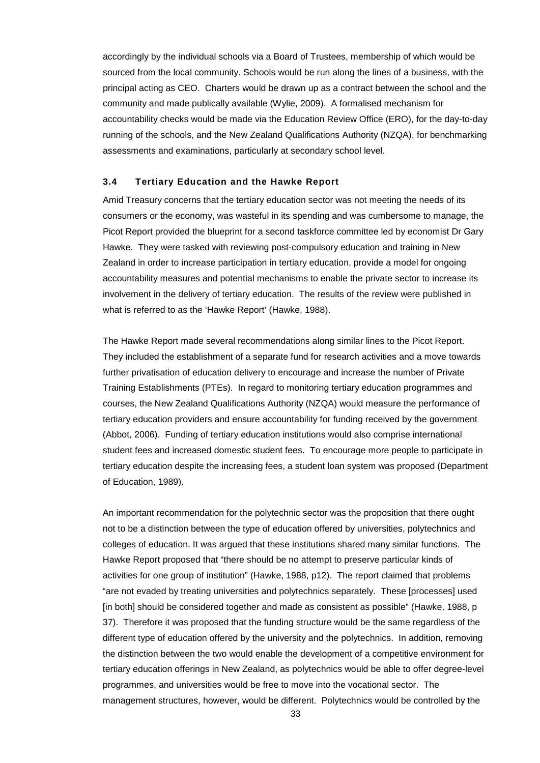accordingly by the individual schools via a Board of Trustees, membership of which would be sourced from the local community. Schools would be run along the lines of a business, with the principal acting as CEO. Charters would be drawn up as a contract between the school and the community and made publically available (Wylie, 2009). A formalised mechanism for accountability checks would be made via the Education Review Office (ERO), for the day-to-day running of the schools, and the New Zealand Qualifications Authority (NZQA), for benchmarking assessments and examinations, particularly at secondary school level.

### **3.4 Tertiary Education and the Hawke Report**

Amid Treasury concerns that the tertiary education sector was not meeting the needs of its consumers or the economy, was wasteful in its spending and was cumbersome to manage, the Picot Report provided the blueprint for a second taskforce committee led by economist Dr Gary Hawke. They were tasked with reviewing post-compulsory education and training in New Zealand in order to increase participation in tertiary education, provide a model for ongoing accountability measures and potential mechanisms to enable the private sector to increase its involvement in the delivery of tertiary education. The results of the review were published in what is referred to as the 'Hawke Report' (Hawke, 1988).

The Hawke Report made several recommendations along similar lines to the Picot Report. They included the establishment of a separate fund for research activities and a move towards further privatisation of education delivery to encourage and increase the number of Private Training Establishments (PTEs). In regard to monitoring tertiary education programmes and courses, the New Zealand Qualifications Authority (NZQA) would measure the performance of tertiary education providers and ensure accountability for funding received by the government (Abbot, 2006). Funding of tertiary education institutions would also comprise international student fees and increased domestic student fees. To encourage more people to participate in tertiary education despite the increasing fees, a student loan system was proposed (Department of Education, 1989).

An important recommendation for the polytechnic sector was the proposition that there ought not to be a distinction between the type of education offered by universities, polytechnics and colleges of education. It was argued that these institutions shared many similar functions. The Hawke Report proposed that "there should be no attempt to preserve particular kinds of activities for one group of institution" (Hawke, 1988, p12). The report claimed that problems "are not evaded by treating universities and polytechnics separately. These [processes] used [in both] should be considered together and made as consistent as possible" (Hawke, 1988, p 37).Therefore it was proposed that the funding structure would be the same regardless of the different type of education offered by the university and the polytechnics. In addition, removing the distinction between the two would enable the development of a competitive environment for tertiary education offerings in New Zealand, as polytechnics would be able to offer degree-level programmes, and universities would be free to move into the vocational sector. The management structures, however, would be different. Polytechnics would be controlled by the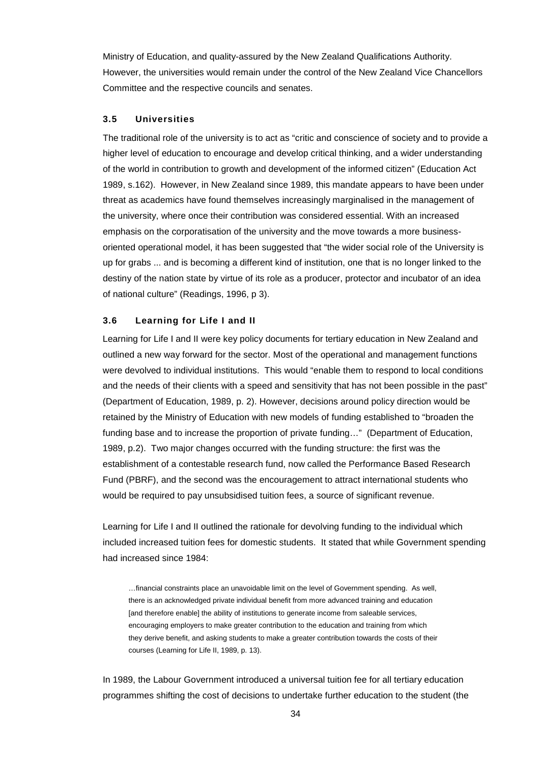Ministry of Education, and quality-assured by the New Zealand Qualifications Authority. However, the universities would remain under the control of the New Zealand Vice Chancellors Committee and the respective councils and senates.

# **3.5 Universities**

The traditional role of the university is to act as "critic and conscience of society and to provide a higher level of education to encourage and develop critical thinking, and a wider understanding of the world in contribution to growth and development of the informed citizen" (Education Act 1989, s.162). However, in New Zealand since 1989, this mandate appears to have been under threat as academics have found themselves increasingly marginalised in the management of the university, where once their contribution was considered essential. With an increased emphasis on the corporatisation of the university and the move towards a more businessoriented operational model, it has been suggested that "the wider social role of the University is up for grabs ... and is becoming a different kind of institution, one that is no longer linked to the destiny of the nation state by virtue of its role as a producer, protector and incubator of an idea of national culture" (Readings, 1996, p 3).

### **3.6 Learning for Life I and II**

Learning for Life I and II were key policy documents for tertiary education in New Zealand and outlined a new way forward for the sector. Most of the operational and management functions were devolved to individual institutions. This would "enable them to respond to local conditions and the needs of their clients with a speed and sensitivity that has not been possible in the past" (Department of Education, 1989, p. 2). However, decisions around policy direction would be retained by the Ministry of Education with new models of funding established to "broaden the funding base and to increase the proportion of private funding…" (Department of Education, 1989, p.2). Two major changes occurred with the funding structure: the first was the establishment of a contestable research fund, now called the Performance Based Research Fund (PBRF), and the second was the encouragement to attract international students who would be required to pay unsubsidised tuition fees, a source of significant revenue.

Learning for Life I and II outlined the rationale for devolving funding to the individual which included increased tuition fees for domestic students. It stated that while Government spending had increased since 1984:

…financial constraints place an unavoidable limit on the level of Government spending. As well, there is an acknowledged private individual benefit from more advanced training and education [and therefore enable] the ability of institutions to generate income from saleable services, encouraging employers to make greater contribution to the education and training from which they derive benefit, and asking students to make a greater contribution towards the costs of their courses (Learning for Life II, 1989, p. 13).

In 1989, the Labour Government introduced a universal tuition fee for all tertiary education programmes shifting the cost of decisions to undertake further education to the student (the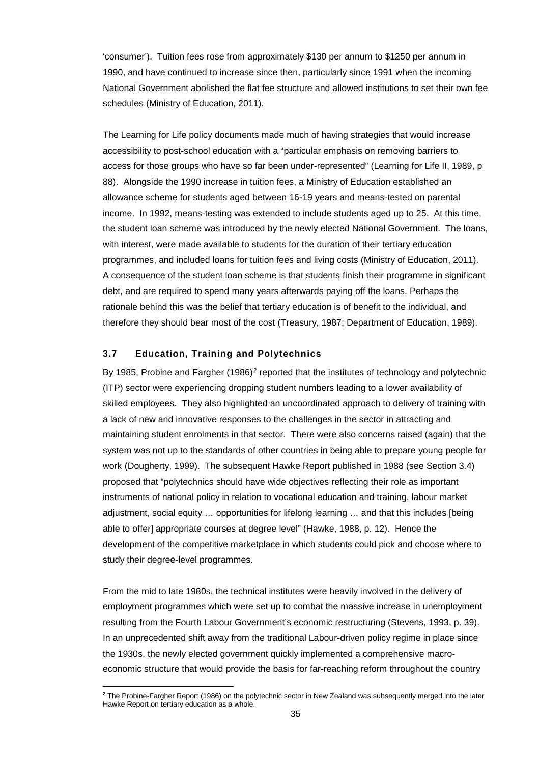'consumer'). Tuition fees rose from approximately \$130 per annum to \$1250 per annum in 1990, and have continued to increase since then, particularly since 1991 when the incoming National Government abolished the flat fee structure and allowed institutions to set their own fee schedules (Ministry of Education, 2011).

The Learning for Life policy documents made much of having strategies that would increase accessibility to post-school education with a "particular emphasis on removing barriers to access for those groups who have so far been under-represented" (Learning for Life II, 1989, p 88). Alongside the 1990 increase in tuition fees, a Ministry of Education established an allowance scheme for students aged between 16-19 years and means-tested on parental income. In 1992, means-testing was extended to include students aged up to 25. At this time, the student loan scheme was introduced by the newly elected National Government. The loans, with interest, were made available to students for the duration of their tertiary education programmes, and included loans for tuition fees and living costs (Ministry of Education, 2011). A consequence of the student loan scheme is that students finish their programme in significant debt, and are required to spend many years afterwards paying off the loans. Perhaps the rationale behind this was the belief that tertiary education is of benefit to the individual, and therefore they should bear most of the cost (Treasury, 1987; Department of Education, 1989).

# **3.7 Education, Training and Polytechnics**

By 1985, Probine and Fargher  $(1986)^2$  $(1986)^2$  reported that the institutes of technology and polytechnic (ITP) sector were experiencing dropping student numbers leading to a lower availability of skilled employees. They also highlighted an uncoordinated approach to delivery of training with a lack of new and innovative responses to the challenges in the sector in attracting and maintaining student enrolments in that sector. There were also concerns raised (again) that the system was not up to the standards of other countries in being able to prepare young people for work (Dougherty, 1999). The subsequent Hawke Report published in 1988 (see Section 3.4) proposed that "polytechnics should have wide objectives reflecting their role as important instruments of national policy in relation to vocational education and training, labour market adjustment, social equity … opportunities for lifelong learning … and that this includes [being able to offer] appropriate courses at degree level" (Hawke, 1988, p. 12). Hence the development of the competitive marketplace in which students could pick and choose where to study their degree-level programmes.

From the mid to late 1980s, the technical institutes were heavily involved in the delivery of employment programmes which were set up to combat the massive increase in unemployment resulting from the Fourth Labour Government's economic restructuring (Stevens, 1993, p. 39). In an unprecedented shift away from the traditional Labour-driven policy regime in place since the 1930s, the newly elected government quickly implemented a comprehensive macroeconomic structure that would provide the basis for far-reaching reform throughout the country

<span id="page-34-0"></span><sup>1</sup> <sup>2</sup> The Probine-Fargher Report (1986) on the polytechnic sector in New Zealand was subsequently merged into the later Hawke Report on tertiary education as a whole.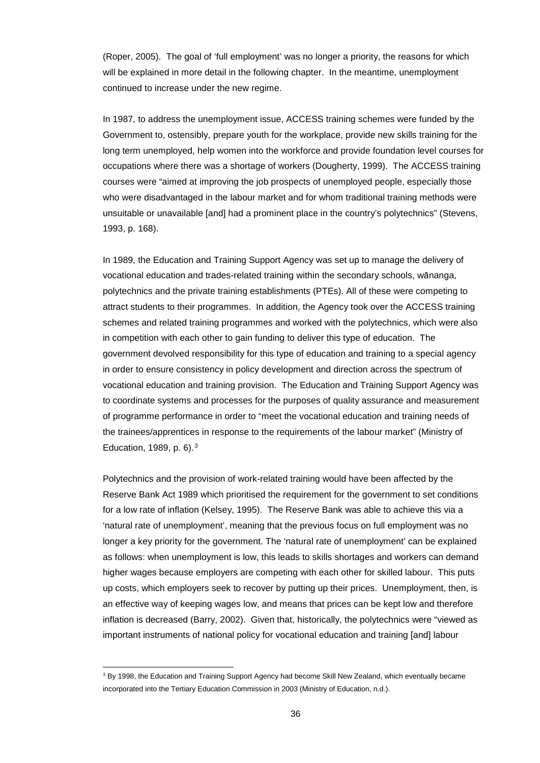(Roper, 2005). The goal of 'full employment' was no longer a priority, the reasons for which will be explained in more detail in the following chapter. In the meantime, unemployment continued to increase under the new regime.

In 1987, to address the unemployment issue, ACCESS training schemes were funded by the Government to, ostensibly, prepare youth for the workplace, provide new skills training for the long term unemployed, help women into the workforce and provide foundation level courses for occupations where there was a shortage of workers (Dougherty, 1999). The ACCESS training courses were "aimed at improving the job prospects of unemployed people, especially those who were disadvantaged in the labour market and for whom traditional training methods were unsuitable or unavailable [and] had a prominent place in the country's polytechnics" (Stevens, 1993, p. 168).

In 1989, the Education and Training Support Agency was set up to manage the delivery of vocational education and trades-related training within the secondary schools, wānanga, polytechnics and the private training establishments (PTEs). All of these were competing to attract students to their programmes. In addition, the Agency took over the ACCESS training schemes and related training programmes and worked with the polytechnics, which were also in competition with each other to gain funding to deliver this type of education. The government devolved responsibility for this type of education and training to a special agency in order to ensure consistency in policy development and direction across the spectrum of vocational education and training provision. The Education and Training Support Agency was to coordinate systems and processes for the purposes of quality assurance and measurement of programme performance in order to "meet the vocational education and training needs of the trainees/apprentices in response to the requirements of the labour market" (Ministry of Education, 1989, p. 6).[3](#page-35-0)

Polytechnics and the provision of work-related training would have been affected by the Reserve Bank Act 1989 which prioritised the requirement for the government to set conditions for a low rate of inflation (Kelsey, 1995). The Reserve Bank was able to achieve this via a 'natural rate of unemployment', meaning that the previous focus on full employment was no longer a key priority for the government. The 'natural rate of unemployment' can be explained as follows: when unemployment is low, this leads to skills shortages and workers can demand higher wages because employers are competing with each other for skilled labour. This puts up costs, which employers seek to recover by putting up their prices. Unemployment, then, is an effective way of keeping wages low, and means that prices can be kept low and therefore inflation is decreased (Barry, 2002). Given that, historically, the polytechnics were "viewed as important instruments of national policy for vocational education and training [and] labour

l

<span id="page-35-0"></span><sup>&</sup>lt;sup>3</sup> By 1998, the Education and Training Support Agency had become Skill New Zealand, which eventually became incorporated into the Tertiary Education Commission in 2003 (Ministry of Education, n.d.).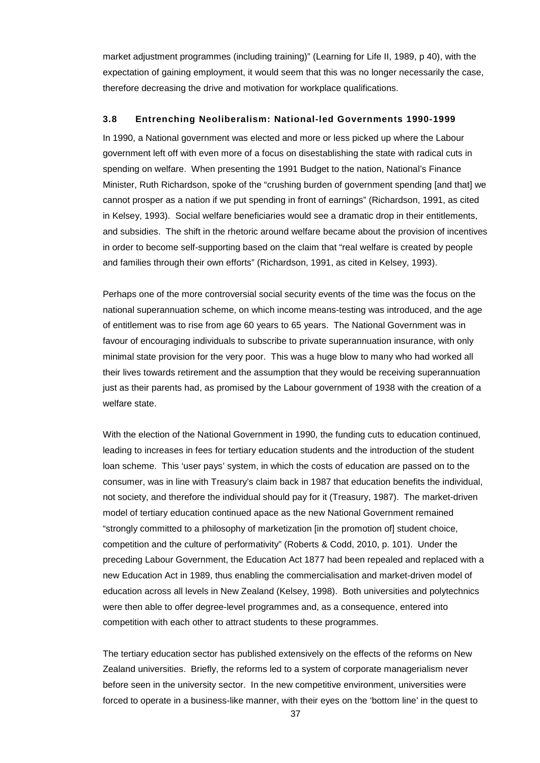market adjustment programmes (including training)" (Learning for Life II, 1989, p 40), with the expectation of gaining employment, it would seem that this was no longer necessarily the case, therefore decreasing the drive and motivation for workplace qualifications.

#### **3.8 Entrenching Neoliberalism: National-led Governments 1990-1999**

In 1990, a National government was elected and more or less picked up where the Labour government left off with even more of a focus on disestablishing the state with radical cuts in spending on welfare. When presenting the 1991 Budget to the nation, National's Finance Minister, Ruth Richardson, spoke of the "crushing burden of government spending [and that] we cannot prosper as a nation if we put spending in front of earnings" (Richardson, 1991, as cited in Kelsey, 1993). Social welfare beneficiaries would see a dramatic drop in their entitlements, and subsidies. The shift in the rhetoric around welfare became about the provision of incentives in order to become self-supporting based on the claim that "real welfare is created by people and families through their own efforts" (Richardson, 1991, as cited in Kelsey, 1993).

Perhaps one of the more controversial social security events of the time was the focus on the national superannuation scheme, on which income means-testing was introduced, and the age of entitlement was to rise from age 60 years to 65 years. The National Government was in favour of encouraging individuals to subscribe to private superannuation insurance, with only minimal state provision for the very poor. This was a huge blow to many who had worked all their lives towards retirement and the assumption that they would be receiving superannuation just as their parents had, as promised by the Labour government of 1938 with the creation of a welfare state.

With the election of the National Government in 1990, the funding cuts to education continued, leading to increases in fees for tertiary education students and the introduction of the student loan scheme. This 'user pays' system, in which the costs of education are passed on to the consumer, was in line with Treasury's claim back in 1987 that education benefits the individual, not society, and therefore the individual should pay for it (Treasury, 1987). The market-driven model of tertiary education continued apace as the new National Government remained "strongly committed to a philosophy of marketization [in the promotion of] student choice, competition and the culture of performativity" (Roberts & Codd, 2010, p. 101). Under the preceding Labour Government, the Education Act 1877 had been repealed and replaced with a new Education Act in 1989, thus enabling the commercialisation and market-driven model of education across all levels in New Zealand (Kelsey, 1998). Both universities and polytechnics were then able to offer degree-level programmes and, as a consequence, entered into competition with each other to attract students to these programmes.

The tertiary education sector has published extensively on the effects of the reforms on New Zealand universities. Briefly, the reforms led to a system of corporate managerialism never before seen in the university sector. In the new competitive environment, universities were forced to operate in a business-like manner, with their eyes on the 'bottom line' in the quest to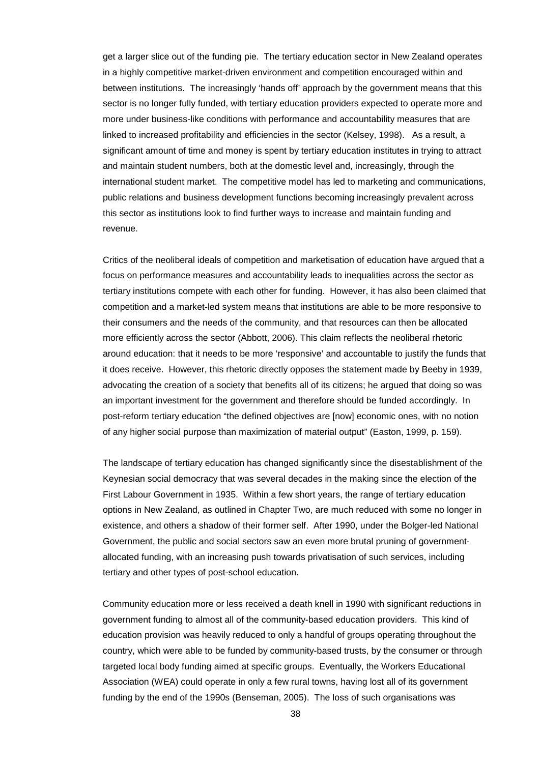get a larger slice out of the funding pie. The tertiary education sector in New Zealand operates in a highly competitive market-driven environment and competition encouraged within and between institutions. The increasingly 'hands off' approach by the government means that this sector is no longer fully funded, with tertiary education providers expected to operate more and more under business-like conditions with performance and accountability measures that are linked to increased profitability and efficiencies in the sector (Kelsey, 1998). As a result, a significant amount of time and money is spent by tertiary education institutes in trying to attract and maintain student numbers, both at the domestic level and, increasingly, through the international student market. The competitive model has led to marketing and communications, public relations and business development functions becoming increasingly prevalent across this sector as institutions look to find further ways to increase and maintain funding and revenue.

Critics of the neoliberal ideals of competition and marketisation of education have argued that a focus on performance measures and accountability leads to inequalities across the sector as tertiary institutions compete with each other for funding. However, it has also been claimed that competition and a market-led system means that institutions are able to be more responsive to their consumers and the needs of the community, and that resources can then be allocated more efficiently across the sector (Abbott, 2006). This claim reflects the neoliberal rhetoric around education: that it needs to be more 'responsive' and accountable to justify the funds that it does receive. However, this rhetoric directly opposes the statement made by Beeby in 1939, advocating the creation of a society that benefits all of its citizens; he argued that doing so was an important investment for the government and therefore should be funded accordingly. In post-reform tertiary education "the defined objectives are [now] economic ones, with no notion of any higher social purpose than maximization of material output" (Easton, 1999, p. 159).

The landscape of tertiary education has changed significantly since the disestablishment of the Keynesian social democracy that was several decades in the making since the election of the First Labour Government in 1935. Within a few short years, the range of tertiary education options in New Zealand, as outlined in Chapter Two, are much reduced with some no longer in existence, and others a shadow of their former self. After 1990, under the Bolger-led National Government, the public and social sectors saw an even more brutal pruning of governmentallocated funding, with an increasing push towards privatisation of such services, including tertiary and other types of post-school education.

Community education more or less received a death knell in 1990 with significant reductions in government funding to almost all of the community-based education providers. This kind of education provision was heavily reduced to only a handful of groups operating throughout the country, which were able to be funded by community-based trusts, by the consumer or through targeted local body funding aimed at specific groups. Eventually, the Workers Educational Association (WEA) could operate in only a few rural towns, having lost all of its government funding by the end of the 1990s (Benseman, 2005). The loss of such organisations was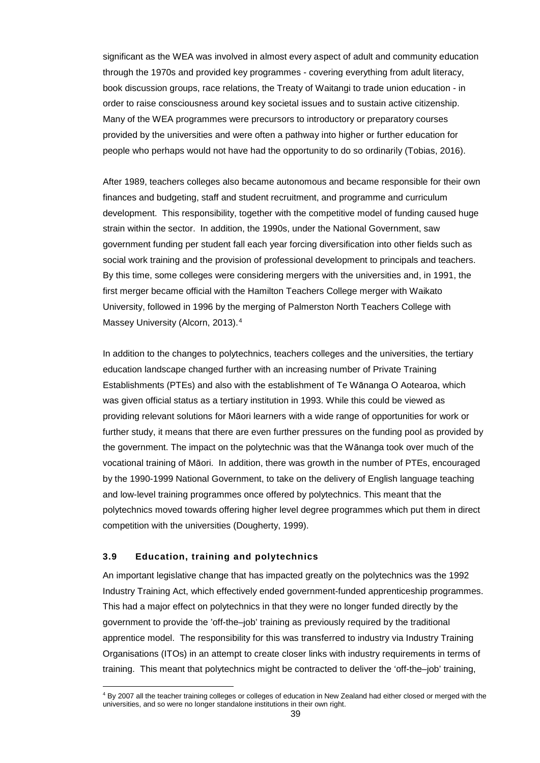significant as the WEA was involved in almost every aspect of adult and community education through the 1970s and provided key programmes - covering everything from adult literacy, book discussion groups, race relations, the Treaty of Waitangi to trade union education - in order to raise consciousness around key societal issues and to sustain active citizenship. Many of the WEA programmes were precursors to introductory or preparatory courses provided by the universities and were often a pathway into higher or further education for people who perhaps would not have had the opportunity to do so ordinarily (Tobias, 2016).

After 1989, teachers colleges also became autonomous and became responsible for their own finances and budgeting, staff and student recruitment, and programme and curriculum development. This responsibility, together with the competitive model of funding caused huge strain within the sector. In addition, the 1990s, under the National Government, saw government funding per student fall each year forcing diversification into other fields such as social work training and the provision of professional development to principals and teachers. By this time, some colleges were considering mergers with the universities and, in 1991, the first merger became official with the Hamilton Teachers College merger with Waikato University, followed in 1996 by the merging of Palmerston North Teachers College with Massey University (Alcorn, 2013).<sup>[4](#page-38-0)</sup>

In addition to the changes to polytechnics, teachers colleges and the universities, the tertiary education landscape changed further with an increasing number of Private Training Establishments (PTEs) and also with the establishment of Te Wānanga O Aotearoa, which was given official status as a tertiary institution in 1993. While this could be viewed as providing relevant solutions for Māori learners with a wide range of opportunities for work or further study, it means that there are even further pressures on the funding pool as provided by the government. The impact on the polytechnic was that the Wānanga took over much of the vocational training of Māori. In addition, there was growth in the number of PTEs, encouraged by the 1990-1999 National Government, to take on the delivery of English language teaching and low-level training programmes once offered by polytechnics. This meant that the polytechnics moved towards offering higher level degree programmes which put them in direct competition with the universities (Dougherty, 1999).

## **3.9 Education, training and polytechnics**

An important legislative change that has impacted greatly on the polytechnics was the 1992 Industry Training Act, which effectively ended government-funded apprenticeship programmes. This had a major effect on polytechnics in that they were no longer funded directly by the government to provide the 'off-the–job' training as previously required by the traditional apprentice model. The responsibility for this was transferred to industry via Industry Training Organisations (ITOs) in an attempt to create closer links with industry requirements in terms of training. This meant that polytechnics might be contracted to deliver the 'off-the–job' training,

<span id="page-38-0"></span><sup>&</sup>lt;sup>4</sup> By 2007 all the teacher training colleges or colleges of education in New Zealand had either closed or merged with the universities, and so were no longer standalone institutions in their own right.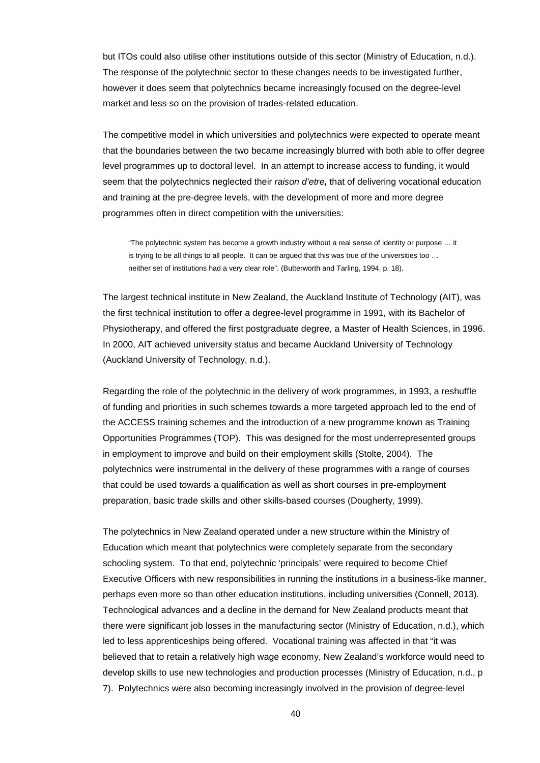but ITOs could also utilise other institutions outside of this sector (Ministry of Education, n.d.). The response of the polytechnic sector to these changes needs to be investigated further, however it does seem that polytechnics became increasingly focused on the degree-level market and less so on the provision of trades-related education.

The competitive model in which universities and polytechnics were expected to operate meant that the boundaries between the two became increasingly blurred with both able to offer degree level programmes up to doctoral level. In an attempt to increase access to funding, it would seem that the polytechnics neglected their *raison d'etre,* that of delivering vocational education and training at the pre-degree levels, with the development of more and more degree programmes often in direct competition with the universities:

"The polytechnic system has become a growth industry without a real sense of identity or purpose … it is trying to be all things to all people. It can be argued that this was true of the universities too … neither set of institutions had a very clear role". (Butterworth and Tarling, 1994, p. 18).

The largest technical institute in New Zealand, the Auckland Institute of Technology (AIT), was the first technical institution to offer a degree-level programme in 1991, with its Bachelor of Physiotherapy, and offered the first postgraduate degree, a Master of Health Sciences, in 1996. In 2000, AIT achieved university status and became Auckland University of Technology (Auckland University of Technology, n.d.).

Regarding the role of the polytechnic in the delivery of work programmes, in 1993, a reshuffle of funding and priorities in such schemes towards a more targeted approach led to the end of the ACCESS training schemes and the introduction of a new programme known as Training Opportunities Programmes (TOP). This was designed for the most underrepresented groups in employment to improve and build on their employment skills (Stolte, 2004). The polytechnics were instrumental in the delivery of these programmes with a range of courses that could be used towards a qualification as well as short courses in pre-employment preparation, basic trade skills and other skills-based courses (Dougherty, 1999).

The polytechnics in New Zealand operated under a new structure within the Ministry of Education which meant that polytechnics were completely separate from the secondary schooling system. To that end, polytechnic 'principals' were required to become Chief Executive Officers with new responsibilities in running the institutions in a business-like manner, perhaps even more so than other education institutions, including universities (Connell, 2013). Technological advances and a decline in the demand for New Zealand products meant that there were significant job losses in the manufacturing sector (Ministry of Education, n.d.), which led to less apprenticeships being offered. Vocational training was affected in that "it was believed that to retain a relatively high wage economy, New Zealand's workforce would need to develop skills to use new technologies and production processes (Ministry of Education, n.d., p 7). Polytechnics were also becoming increasingly involved in the provision of degree-level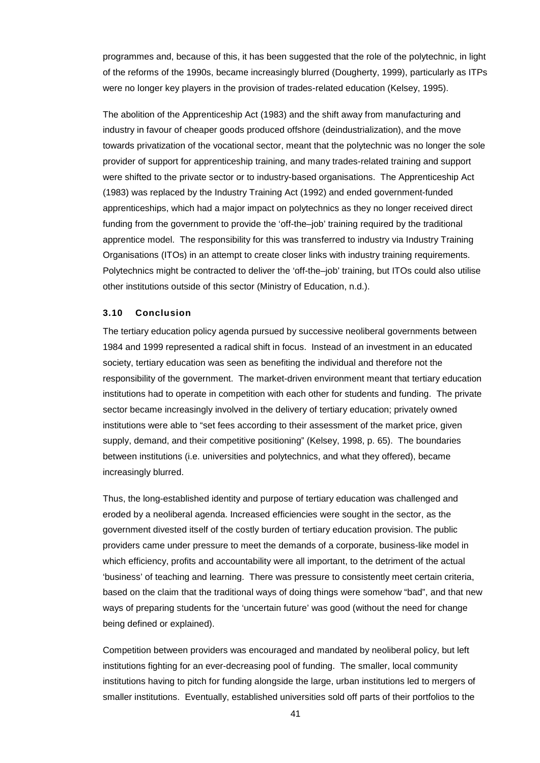programmes and, because of this, it has been suggested that the role of the polytechnic, in light of the reforms of the 1990s, became increasingly blurred (Dougherty, 1999), particularly as ITPs were no longer key players in the provision of trades-related education (Kelsey, 1995).

The abolition of the Apprenticeship Act (1983) and the shift away from manufacturing and industry in favour of cheaper goods produced offshore (deindustrialization), and the move towards privatization of the vocational sector, meant that the polytechnic was no longer the sole provider of support for apprenticeship training, and many trades-related training and support were shifted to the private sector or to industry-based organisations. The Apprenticeship Act (1983) was replaced by the Industry Training Act (1992) and ended government-funded apprenticeships, which had a major impact on polytechnics as they no longer received direct funding from the government to provide the 'off-the–job' training required by the traditional apprentice model. The responsibility for this was transferred to industry via Industry Training Organisations (ITOs) in an attempt to create closer links with industry training requirements. Polytechnics might be contracted to deliver the 'off-the–job' training, but ITOs could also utilise other institutions outside of this sector (Ministry of Education, n.d.).

## **3.10 Conclusion**

The tertiary education policy agenda pursued by successive neoliberal governments between 1984 and 1999 represented a radical shift in focus. Instead of an investment in an educated society, tertiary education was seen as benefiting the individual and therefore not the responsibility of the government. The market-driven environment meant that tertiary education institutions had to operate in competition with each other for students and funding. The private sector became increasingly involved in the delivery of tertiary education; privately owned institutions were able to "set fees according to their assessment of the market price, given supply, demand, and their competitive positioning" (Kelsey, 1998, p. 65). The boundaries between institutions (i.e. universities and polytechnics, and what they offered), became increasingly blurred.

Thus, the long-established identity and purpose of tertiary education was challenged and eroded by a neoliberal agenda. Increased efficiencies were sought in the sector, as the government divested itself of the costly burden of tertiary education provision. The public providers came under pressure to meet the demands of a corporate, business-like model in which efficiency, profits and accountability were all important, to the detriment of the actual 'business' of teaching and learning. There was pressure to consistently meet certain criteria, based on the claim that the traditional ways of doing things were somehow "bad", and that new ways of preparing students for the 'uncertain future' was good (without the need for change being defined or explained).

Competition between providers was encouraged and mandated by neoliberal policy, but left institutions fighting for an ever-decreasing pool of funding. The smaller, local community institutions having to pitch for funding alongside the large, urban institutions led to mergers of smaller institutions. Eventually, established universities sold off parts of their portfolios to the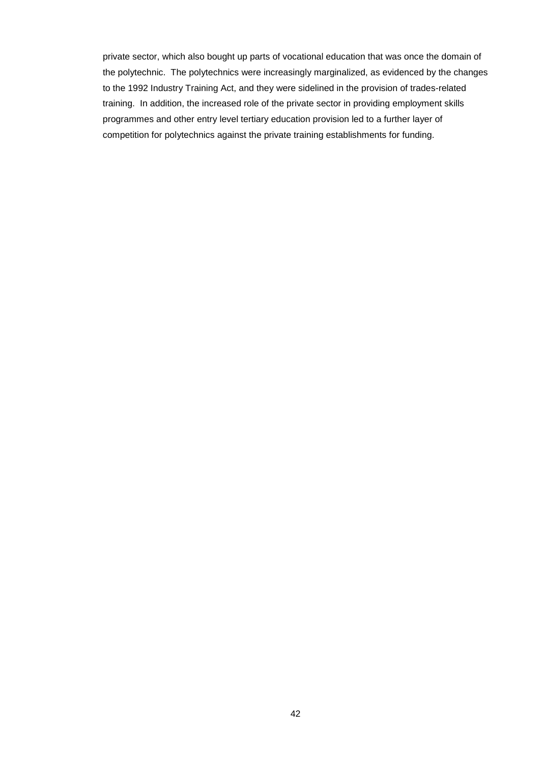private sector, which also bought up parts of vocational education that was once the domain of the polytechnic. The polytechnics were increasingly marginalized, as evidenced by the changes to the 1992 Industry Training Act, and they were sidelined in the provision of trades-related training. In addition, the increased role of the private sector in providing employment skills programmes and other entry level tertiary education provision led to a further layer of competition for polytechnics against the private training establishments for funding.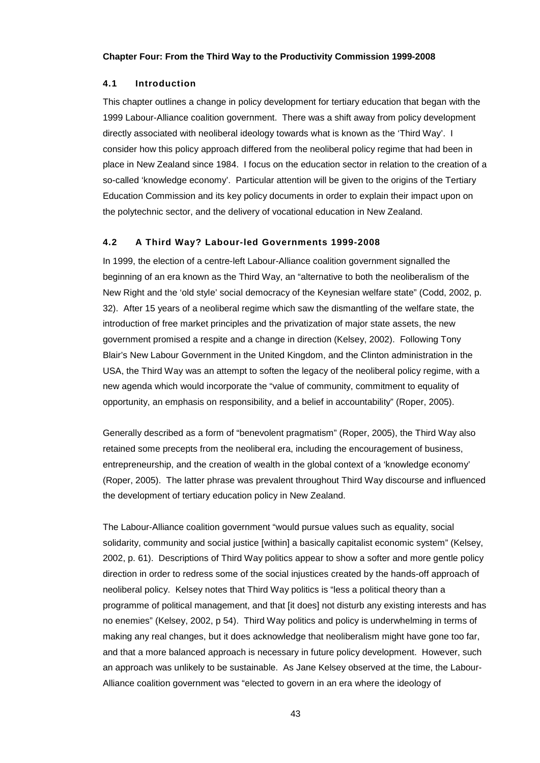#### **Chapter Four: From the Third Way to the Productivity Commission 1999-2008**

#### **4.1 Introduction**

This chapter outlines a change in policy development for tertiary education that began with the 1999 Labour-Alliance coalition government. There was a shift away from policy development directly associated with neoliberal ideology towards what is known as the 'Third Way'. I consider how this policy approach differed from the neoliberal policy regime that had been in place in New Zealand since 1984. I focus on the education sector in relation to the creation of a so-called 'knowledge economy'. Particular attention will be given to the origins of the Tertiary Education Commission and its key policy documents in order to explain their impact upon on the polytechnic sector, and the delivery of vocational education in New Zealand.

## **4.2 A Third Way? Labour-led Governments 1999-2008**

In 1999, the election of a centre-left Labour-Alliance coalition government signalled the beginning of an era known as the Third Way, an "alternative to both the neoliberalism of the New Right and the 'old style' social democracy of the Keynesian welfare state" (Codd, 2002, p. 32). After 15 years of a neoliberal regime which saw the dismantling of the welfare state, the introduction of free market principles and the privatization of major state assets, the new government promised a respite and a change in direction (Kelsey, 2002). Following Tony Blair's New Labour Government in the United Kingdom, and the Clinton administration in the USA, the Third Way was an attempt to soften the legacy of the neoliberal policy regime, with a new agenda which would incorporate the "value of community, commitment to equality of opportunity, an emphasis on responsibility, and a belief in accountability" (Roper, 2005).

Generally described as a form of "benevolent pragmatism" (Roper, 2005), the Third Way also retained some precepts from the neoliberal era, including the encouragement of business, entrepreneurship, and the creation of wealth in the global context of a 'knowledge economy' (Roper, 2005). The latter phrase was prevalent throughout Third Way discourse and influenced the development of tertiary education policy in New Zealand.

The Labour-Alliance coalition government "would pursue values such as equality, social solidarity, community and social justice [within] a basically capitalist economic system" (Kelsey, 2002, p. 61). Descriptions of Third Way politics appear to show a softer and more gentle policy direction in order to redress some of the social injustices created by the hands-off approach of neoliberal policy. Kelsey notes that Third Way politics is "less a political theory than a programme of political management, and that [it does] not disturb any existing interests and has no enemies" (Kelsey, 2002, p 54). Third Way politics and policy is underwhelming in terms of making any real changes, but it does acknowledge that neoliberalism might have gone too far, and that a more balanced approach is necessary in future policy development. However, such an approach was unlikely to be sustainable. As Jane Kelsey observed at the time, the Labour-Alliance coalition government was "elected to govern in an era where the ideology of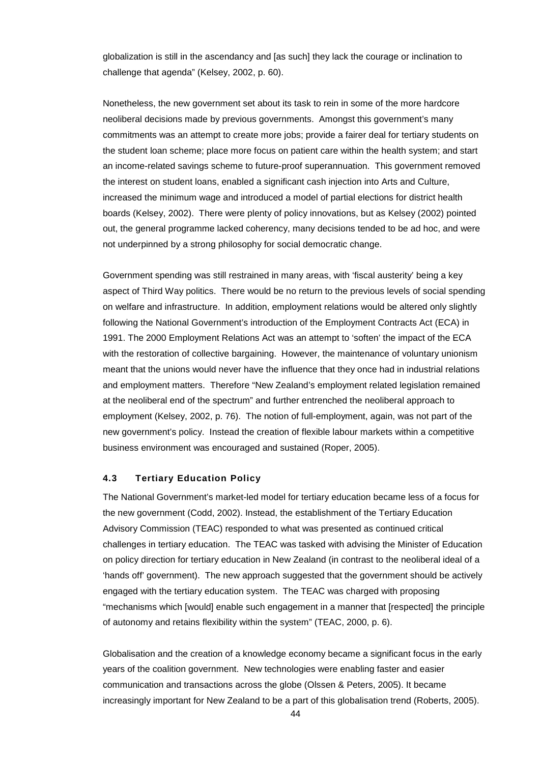globalization is still in the ascendancy and [as such] they lack the courage or inclination to challenge that agenda" (Kelsey, 2002, p. 60).

Nonetheless, the new government set about its task to rein in some of the more hardcore neoliberal decisions made by previous governments. Amongst this government's many commitments was an attempt to create more jobs; provide a fairer deal for tertiary students on the student loan scheme; place more focus on patient care within the health system; and start an income-related savings scheme to future-proof superannuation. This government removed the interest on student loans, enabled a significant cash injection into Arts and Culture, increased the minimum wage and introduced a model of partial elections for district health boards (Kelsey, 2002). There were plenty of policy innovations, but as Kelsey (2002) pointed out, the general programme lacked coherency, many decisions tended to be ad hoc, and were not underpinned by a strong philosophy for social democratic change.

Government spending was still restrained in many areas, with 'fiscal austerity' being a key aspect of Third Way politics. There would be no return to the previous levels of social spending on welfare and infrastructure. In addition, employment relations would be altered only slightly following the National Government's introduction of the Employment Contracts Act (ECA) in 1991. The 2000 Employment Relations Act was an attempt to 'soften' the impact of the ECA with the restoration of collective bargaining. However, the maintenance of voluntary unionism meant that the unions would never have the influence that they once had in industrial relations and employment matters. Therefore "New Zealand's employment related legislation remained at the neoliberal end of the spectrum" and further entrenched the neoliberal approach to employment (Kelsey, 2002, p. 76). The notion of full-employment, again, was not part of the new government's policy. Instead the creation of flexible labour markets within a competitive business environment was encouraged and sustained (Roper, 2005).

### **4.3 Tertiary Education Policy**

The National Government's market-led model for tertiary education became less of a focus for the new government (Codd, 2002). Instead, the establishment of the Tertiary Education Advisory Commission (TEAC) responded to what was presented as continued critical challenges in tertiary education. The TEAC was tasked with advising the Minister of Education on policy direction for tertiary education in New Zealand (in contrast to the neoliberal ideal of a 'hands off' government). The new approach suggested that the government should be actively engaged with the tertiary education system. The TEAC was charged with proposing "mechanisms which [would] enable such engagement in a manner that [respected] the principle of autonomy and retains flexibility within the system" (TEAC, 2000, p. 6).

Globalisation and the creation of a knowledge economy became a significant focus in the early years of the coalition government. New technologies were enabling faster and easier communication and transactions across the globe (Olssen & Peters, 2005). It became increasingly important for New Zealand to be a part of this globalisation trend (Roberts, 2005).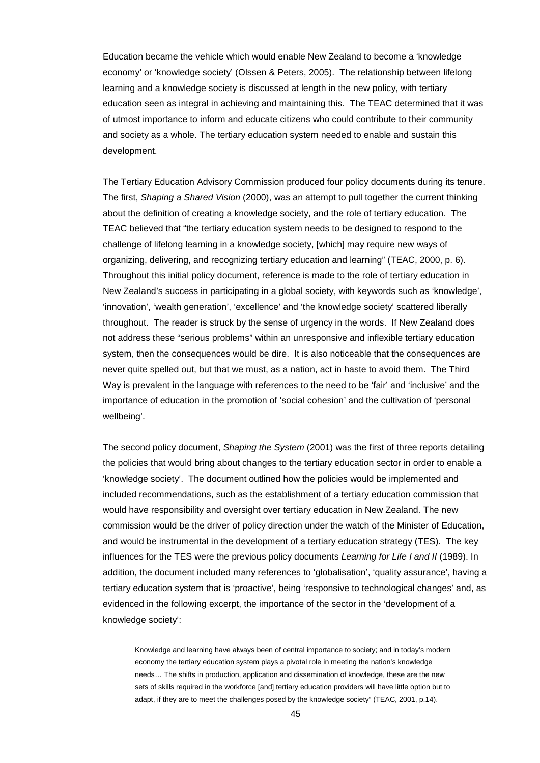Education became the vehicle which would enable New Zealand to become a 'knowledge economy' or 'knowledge society' (Olssen & Peters, 2005). The relationship between lifelong learning and a knowledge society is discussed at length in the new policy, with tertiary education seen as integral in achieving and maintaining this. The TEAC determined that it was of utmost importance to inform and educate citizens who could contribute to their community and society as a whole. The tertiary education system needed to enable and sustain this development.

The Tertiary Education Advisory Commission produced four policy documents during its tenure. The first, *Shaping a Shared Vision* (2000), was an attempt to pull together the current thinking about the definition of creating a knowledge society, and the role of tertiary education. The TEAC believed that "the tertiary education system needs to be designed to respond to the challenge of lifelong learning in a knowledge society, [which] may require new ways of organizing, delivering, and recognizing tertiary education and learning" (TEAC, 2000, p. 6). Throughout this initial policy document, reference is made to the role of tertiary education in New Zealand's success in participating in a global society, with keywords such as 'knowledge', 'innovation', 'wealth generation', 'excellence' and 'the knowledge society' scattered liberally throughout. The reader is struck by the sense of urgency in the words. If New Zealand does not address these "serious problems" within an unresponsive and inflexible tertiary education system, then the consequences would be dire. It is also noticeable that the consequences are never quite spelled out, but that we must, as a nation, act in haste to avoid them. The Third Way is prevalent in the language with references to the need to be 'fair' and 'inclusive' and the importance of education in the promotion of 'social cohesion' and the cultivation of 'personal wellbeing'.

The second policy document, *Shaping the System* (2001) was the first of three reports detailing the policies that would bring about changes to the tertiary education sector in order to enable a 'knowledge society'. The document outlined how the policies would be implemented and included recommendations, such as the establishment of a tertiary education commission that would have responsibility and oversight over tertiary education in New Zealand. The new commission would be the driver of policy direction under the watch of the Minister of Education, and would be instrumental in the development of a tertiary education strategy (TES). The key influences for the TES were the previous policy documents *Learning for Life I and II* (1989). In addition, the document included many references to 'globalisation', 'quality assurance', having a tertiary education system that is 'proactive', being 'responsive to technological changes' and, as evidenced in the following excerpt, the importance of the sector in the 'development of a knowledge society':

Knowledge and learning have always been of central importance to society; and in today's modern economy the tertiary education system plays a pivotal role in meeting the nation's knowledge needs… The shifts in production, application and dissemination of knowledge, these are the new sets of skills required in the workforce [and] tertiary education providers will have little option but to adapt, if they are to meet the challenges posed by the knowledge society" (TEAC, 2001, p.14).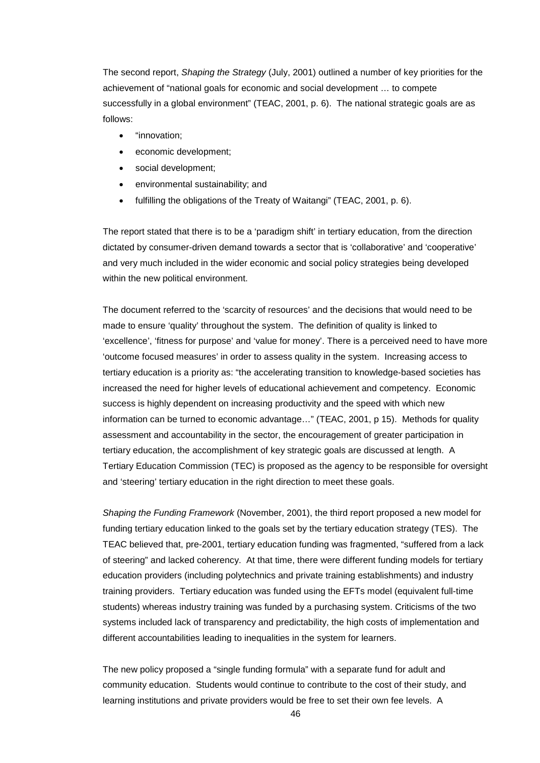The second report, *Shaping the Strategy* (July, 2001) outlined a number of key priorities for the achievement of "national goals for economic and social development … to compete successfully in a global environment" (TEAC, 2001, p. 6). The national strategic goals are as follows:

- "innovation;
- economic development;
- social development;
- environmental sustainability; and
- fulfilling the obligations of the Treaty of Waitangi" (TEAC, 2001, p. 6).

The report stated that there is to be a 'paradigm shift' in tertiary education, from the direction dictated by consumer-driven demand towards a sector that is 'collaborative' and 'cooperative' and very much included in the wider economic and social policy strategies being developed within the new political environment.

The document referred to the 'scarcity of resources' and the decisions that would need to be made to ensure 'quality' throughout the system. The definition of quality is linked to 'excellence', 'fitness for purpose' and 'value for money'. There is a perceived need to have more 'outcome focused measures' in order to assess quality in the system. Increasing access to tertiary education is a priority as: "the accelerating transition to knowledge-based societies has increased the need for higher levels of educational achievement and competency. Economic success is highly dependent on increasing productivity and the speed with which new information can be turned to economic advantage…" (TEAC, 2001, p 15). Methods for quality assessment and accountability in the sector, the encouragement of greater participation in tertiary education, the accomplishment of key strategic goals are discussed at length. A Tertiary Education Commission (TEC) is proposed as the agency to be responsible for oversight and 'steering' tertiary education in the right direction to meet these goals.

*Shaping the Funding Framework* (November, 2001), the third report proposed a new model for funding tertiary education linked to the goals set by the tertiary education strategy (TES). The TEAC believed that, pre-2001, tertiary education funding was fragmented, "suffered from a lack of steering" and lacked coherency. At that time, there were different funding models for tertiary education providers (including polytechnics and private training establishments) and industry training providers. Tertiary education was funded using the EFTs model (equivalent full-time students) whereas industry training was funded by a purchasing system. Criticisms of the two systems included lack of transparency and predictability, the high costs of implementation and different accountabilities leading to inequalities in the system for learners.

The new policy proposed a "single funding formula" with a separate fund for adult and community education. Students would continue to contribute to the cost of their study, and learning institutions and private providers would be free to set their own fee levels. A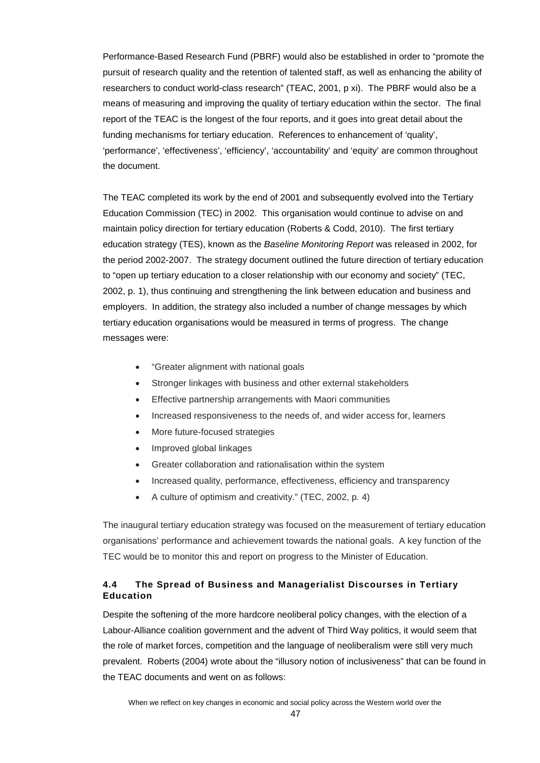Performance-Based Research Fund (PBRF) would also be established in order to "promote the pursuit of research quality and the retention of talented staff, as well as enhancing the ability of researchers to conduct world-class research" (TEAC, 2001, p xi). The PBRF would also be a means of measuring and improving the quality of tertiary education within the sector. The final report of the TEAC is the longest of the four reports, and it goes into great detail about the funding mechanisms for tertiary education. References to enhancement of 'quality', 'performance', 'effectiveness', 'efficiency', 'accountability' and 'equity' are common throughout the document.

The TEAC completed its work by the end of 2001 and subsequently evolved into the Tertiary Education Commission (TEC) in 2002. This organisation would continue to advise on and maintain policy direction for tertiary education (Roberts & Codd, 2010). The first tertiary education strategy (TES), known as the *Baseline Monitoring Report* was released in 2002, for the period 2002-2007. The strategy document outlined the future direction of tertiary education to "open up tertiary education to a closer relationship with our economy and society" (TEC, 2002, p. 1), thus continuing and strengthening the link between education and business and employers. In addition, the strategy also included a number of change messages by which tertiary education organisations would be measured in terms of progress. The change messages were:

- "Greater alignment with national goals
- Stronger linkages with business and other external stakeholders
- Effective partnership arrangements with Maori communities
- Increased responsiveness to the needs of, and wider access for, learners
- More future-focused strategies
- Improved global linkages
- Greater collaboration and rationalisation within the system
- Increased quality, performance, effectiveness, efficiency and transparency
- A culture of optimism and creativity." (TEC, 2002, p. 4)

The inaugural tertiary education strategy was focused on the measurement of tertiary education organisations' performance and achievement towards the national goals. A key function of the TEC would be to monitor this and report on progress to the Minister of Education.

# **4.4 The Spread of Business and Managerialist Discourses in Tertiary Education**

Despite the softening of the more hardcore neoliberal policy changes, with the election of a Labour-Alliance coalition government and the advent of Third Way politics, it would seem that the role of market forces, competition and the language of neoliberalism were still very much prevalent. Roberts (2004) wrote about the "illusory notion of inclusiveness" that can be found in the TEAC documents and went on as follows: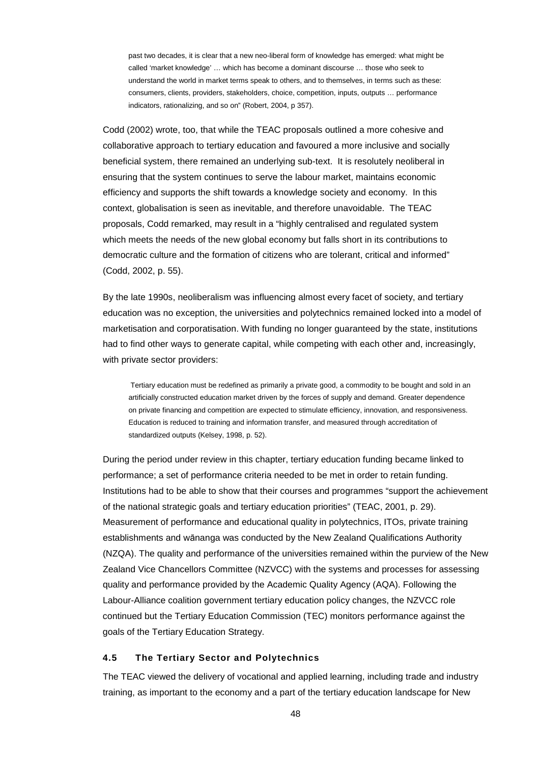past two decades, it is clear that a new neo-liberal form of knowledge has emerged: what might be called 'market knowledge' … which has become a dominant discourse … those who seek to understand the world in market terms speak to others, and to themselves, in terms such as these: consumers, clients, providers, stakeholders, choice, competition, inputs, outputs … performance indicators, rationalizing, and so on" (Robert, 2004, p 357).

Codd (2002) wrote, too, that while the TEAC proposals outlined a more cohesive and collaborative approach to tertiary education and favoured a more inclusive and socially beneficial system, there remained an underlying sub-text. It is resolutely neoliberal in ensuring that the system continues to serve the labour market, maintains economic efficiency and supports the shift towards a knowledge society and economy. In this context, globalisation is seen as inevitable, and therefore unavoidable. The TEAC proposals, Codd remarked, may result in a "highly centralised and regulated system which meets the needs of the new global economy but falls short in its contributions to democratic culture and the formation of citizens who are tolerant, critical and informed" (Codd, 2002, p. 55).

By the late 1990s, neoliberalism was influencing almost every facet of society, and tertiary education was no exception, the universities and polytechnics remained locked into a model of marketisation and corporatisation. With funding no longer guaranteed by the state, institutions had to find other ways to generate capital, while competing with each other and, increasingly, with private sector providers:

Tertiary education must be redefined as primarily a private good, a commodity to be bought and sold in an artificially constructed education market driven by the forces of supply and demand. Greater dependence on private financing and competition are expected to stimulate efficiency, innovation, and responsiveness. Education is reduced to training and information transfer, and measured through accreditation of standardized outputs (Kelsey, 1998, p. 52).

During the period under review in this chapter, tertiary education funding became linked to performance; a set of performance criteria needed to be met in order to retain funding. Institutions had to be able to show that their courses and programmes "support the achievement of the national strategic goals and tertiary education priorities" (TEAC, 2001, p. 29). Measurement of performance and educational quality in polytechnics, ITOs, private training establishments and wānanga was conducted by the New Zealand Qualifications Authority (NZQA). The quality and performance of the universities remained within the purview of the New Zealand Vice Chancellors Committee (NZVCC) with the systems and processes for assessing quality and performance provided by the Academic Quality Agency (AQA). Following the Labour-Alliance coalition government tertiary education policy changes, the NZVCC role continued but the Tertiary Education Commission (TEC) monitors performance against the goals of the Tertiary Education Strategy.

## **4.5 The Tertiary Sector and Polytechnics**

The TEAC viewed the delivery of vocational and applied learning, including trade and industry training, as important to the economy and a part of the tertiary education landscape for New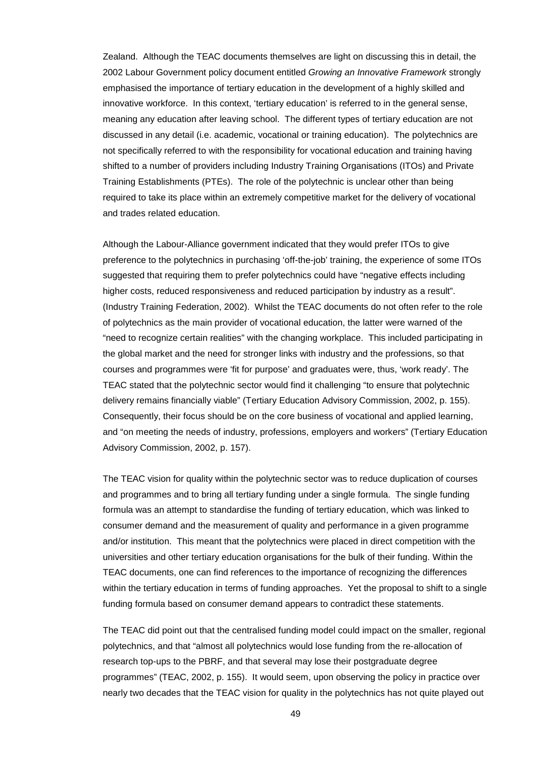Zealand. Although the TEAC documents themselves are light on discussing this in detail, the 2002 Labour Government policy document entitled *Growing an Innovative Framework* strongly emphasised the importance of tertiary education in the development of a highly skilled and innovative workforce. In this context, 'tertiary education' is referred to in the general sense, meaning any education after leaving school. The different types of tertiary education are not discussed in any detail (i.e. academic, vocational or training education). The polytechnics are not specifically referred to with the responsibility for vocational education and training having shifted to a number of providers including Industry Training Organisations (ITOs) and Private Training Establishments (PTEs). The role of the polytechnic is unclear other than being required to take its place within an extremely competitive market for the delivery of vocational and trades related education.

Although the Labour-Alliance government indicated that they would prefer ITOs to give preference to the polytechnics in purchasing 'off-the-job' training, the experience of some ITOs suggested that requiring them to prefer polytechnics could have "negative effects including higher costs, reduced responsiveness and reduced participation by industry as a result". (Industry Training Federation, 2002). Whilst the TEAC documents do not often refer to the role of polytechnics as the main provider of vocational education, the latter were warned of the "need to recognize certain realities" with the changing workplace. This included participating in the global market and the need for stronger links with industry and the professions, so that courses and programmes were 'fit for purpose' and graduates were, thus, 'work ready'. The TEAC stated that the polytechnic sector would find it challenging "to ensure that polytechnic delivery remains financially viable" (Tertiary Education Advisory Commission, 2002, p. 155). Consequently, their focus should be on the core business of vocational and applied learning, and "on meeting the needs of industry, professions, employers and workers" (Tertiary Education Advisory Commission, 2002, p. 157).

The TEAC vision for quality within the polytechnic sector was to reduce duplication of courses and programmes and to bring all tertiary funding under a single formula. The single funding formula was an attempt to standardise the funding of tertiary education, which was linked to consumer demand and the measurement of quality and performance in a given programme and/or institution. This meant that the polytechnics were placed in direct competition with the universities and other tertiary education organisations for the bulk of their funding. Within the TEAC documents, one can find references to the importance of recognizing the differences within the tertiary education in terms of funding approaches. Yet the proposal to shift to a single funding formula based on consumer demand appears to contradict these statements.

The TEAC did point out that the centralised funding model could impact on the smaller, regional polytechnics, and that "almost all polytechnics would lose funding from the re-allocation of research top-ups to the PBRF, and that several may lose their postgraduate degree programmes" (TEAC, 2002, p. 155). It would seem, upon observing the policy in practice over nearly two decades that the TEAC vision for quality in the polytechnics has not quite played out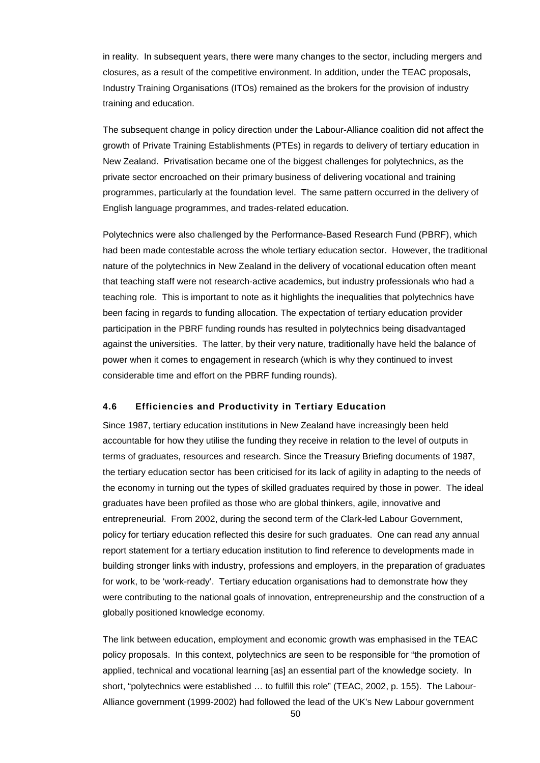in reality. In subsequent years, there were many changes to the sector, including mergers and closures, as a result of the competitive environment. In addition, under the TEAC proposals, Industry Training Organisations (ITOs) remained as the brokers for the provision of industry training and education.

The subsequent change in policy direction under the Labour-Alliance coalition did not affect the growth of Private Training Establishments (PTEs) in regards to delivery of tertiary education in New Zealand. Privatisation became one of the biggest challenges for polytechnics, as the private sector encroached on their primary business of delivering vocational and training programmes, particularly at the foundation level. The same pattern occurred in the delivery of English language programmes, and trades-related education.

Polytechnics were also challenged by the Performance-Based Research Fund (PBRF), which had been made contestable across the whole tertiary education sector. However, the traditional nature of the polytechnics in New Zealand in the delivery of vocational education often meant that teaching staff were not research-active academics, but industry professionals who had a teaching role. This is important to note as it highlights the inequalities that polytechnics have been facing in regards to funding allocation. The expectation of tertiary education provider participation in the PBRF funding rounds has resulted in polytechnics being disadvantaged against the universities. The latter, by their very nature, traditionally have held the balance of power when it comes to engagement in research (which is why they continued to invest considerable time and effort on the PBRF funding rounds).

## **4.6 Efficiencies and Productivity in Tertiary Education**

Since 1987, tertiary education institutions in New Zealand have increasingly been held accountable for how they utilise the funding they receive in relation to the level of outputs in terms of graduates, resources and research. Since the Treasury Briefing documents of 1987, the tertiary education sector has been criticised for its lack of agility in adapting to the needs of the economy in turning out the types of skilled graduates required by those in power. The ideal graduates have been profiled as those who are global thinkers, agile, innovative and entrepreneurial. From 2002, during the second term of the Clark-led Labour Government, policy for tertiary education reflected this desire for such graduates. One can read any annual report statement for a tertiary education institution to find reference to developments made in building stronger links with industry, professions and employers, in the preparation of graduates for work, to be 'work-ready'. Tertiary education organisations had to demonstrate how they were contributing to the national goals of innovation, entrepreneurship and the construction of a globally positioned knowledge economy.

The link between education, employment and economic growth was emphasised in the TEAC policy proposals. In this context, polytechnics are seen to be responsible for "the promotion of applied, technical and vocational learning [as] an essential part of the knowledge society. In short, "polytechnics were established … to fulfill this role" (TEAC, 2002, p. 155). The Labour-Alliance government (1999-2002) had followed the lead of the UK's New Labour government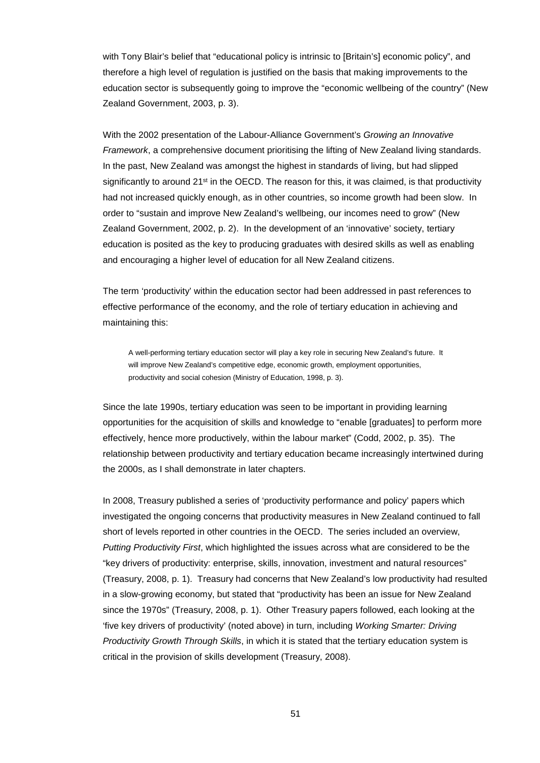with Tony Blair's belief that "educational policy is intrinsic to [Britain's] economic policy", and therefore a high level of regulation is justified on the basis that making improvements to the education sector is subsequently going to improve the "economic wellbeing of the country" (New Zealand Government, 2003, p. 3).

With the 2002 presentation of the Labour-Alliance Government's *Growing an Innovative Framework*, a comprehensive document prioritising the lifting of New Zealand living standards. In the past, New Zealand was amongst the highest in standards of living, but had slipped significantly to around  $21^{st}$  in the OECD. The reason for this, it was claimed, is that productivity had not increased quickly enough, as in other countries, so income growth had been slow. In order to "sustain and improve New Zealand's wellbeing, our incomes need to grow" (New Zealand Government, 2002, p. 2). In the development of an 'innovative' society, tertiary education is posited as the key to producing graduates with desired skills as well as enabling and encouraging a higher level of education for all New Zealand citizens.

The term 'productivity' within the education sector had been addressed in past references to effective performance of the economy, and the role of tertiary education in achieving and maintaining this:

A well-performing tertiary education sector will play a key role in securing New Zealand's future. It will improve New Zealand's competitive edge, economic growth, employment opportunities, productivity and social cohesion (Ministry of Education, 1998, p. 3).

Since the late 1990s, tertiary education was seen to be important in providing learning opportunities for the acquisition of skills and knowledge to "enable [graduates] to perform more effectively, hence more productively, within the labour market" (Codd, 2002, p. 35). The relationship between productivity and tertiary education became increasingly intertwined during the 2000s, as I shall demonstrate in later chapters.

In 2008, Treasury published a series of 'productivity performance and policy' papers which investigated the ongoing concerns that productivity measures in New Zealand continued to fall short of levels reported in other countries in the OECD. The series included an overview, *Putting Productivity First*, which highlighted the issues across what are considered to be the "key drivers of productivity: enterprise, skills, innovation, investment and natural resources" (Treasury, 2008, p. 1). Treasury had concerns that New Zealand's low productivity had resulted in a slow-growing economy, but stated that "productivity has been an issue for New Zealand since the 1970s" (Treasury, 2008, p. 1). Other Treasury papers followed, each looking at the 'five key drivers of productivity' (noted above) in turn, including *Working Smarter: Driving Productivity Growth Through Skills*, in which it is stated that the tertiary education system is critical in the provision of skills development (Treasury, 2008).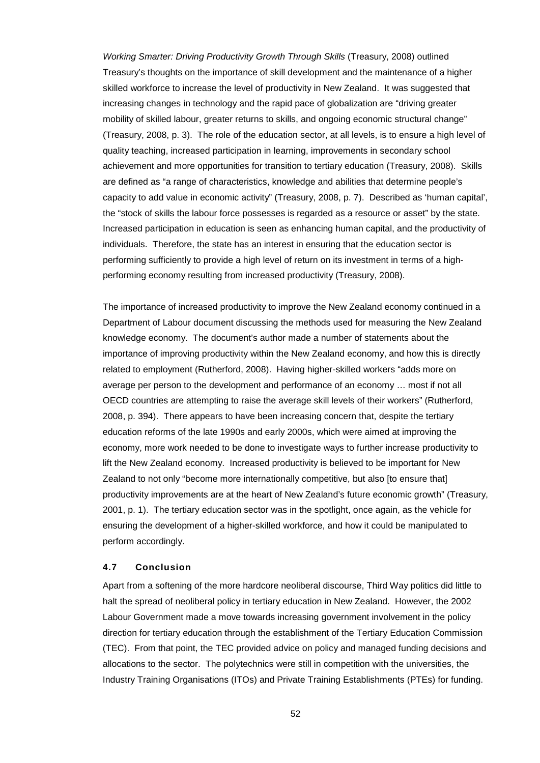*Working Smarter: Driving Productivity Growth Through Skills* (Treasury, 2008) outlined Treasury's thoughts on the importance of skill development and the maintenance of a higher skilled workforce to increase the level of productivity in New Zealand. It was suggested that increasing changes in technology and the rapid pace of globalization are "driving greater mobility of skilled labour, greater returns to skills, and ongoing economic structural change" (Treasury, 2008, p. 3). The role of the education sector, at all levels, is to ensure a high level of quality teaching, increased participation in learning, improvements in secondary school achievement and more opportunities for transition to tertiary education (Treasury, 2008). Skills are defined as "a range of characteristics, knowledge and abilities that determine people's capacity to add value in economic activity" (Treasury, 2008, p. 7). Described as 'human capital', the "stock of skills the labour force possesses is regarded as a resource or asset" by the state. Increased participation in education is seen as enhancing human capital, and the productivity of individuals. Therefore, the state has an interest in ensuring that the education sector is performing sufficiently to provide a high level of return on its investment in terms of a highperforming economy resulting from increased productivity (Treasury, 2008).

The importance of increased productivity to improve the New Zealand economy continued in a Department of Labour document discussing the methods used for measuring the New Zealand knowledge economy. The document's author made a number of statements about the importance of improving productivity within the New Zealand economy, and how this is directly related to employment (Rutherford, 2008). Having higher-skilled workers "adds more on average per person to the development and performance of an economy … most if not all OECD countries are attempting to raise the average skill levels of their workers" (Rutherford, 2008, p. 394). There appears to have been increasing concern that, despite the tertiary education reforms of the late 1990s and early 2000s, which were aimed at improving the economy, more work needed to be done to investigate ways to further increase productivity to lift the New Zealand economy. Increased productivity is believed to be important for New Zealand to not only "become more internationally competitive, but also [to ensure that] productivity improvements are at the heart of New Zealand's future economic growth" (Treasury, 2001, p. 1). The tertiary education sector was in the spotlight, once again, as the vehicle for ensuring the development of a higher-skilled workforce, and how it could be manipulated to perform accordingly.

#### **4.7 Conclusion**

Apart from a softening of the more hardcore neoliberal discourse, Third Way politics did little to halt the spread of neoliberal policy in tertiary education in New Zealand. However, the 2002 Labour Government made a move towards increasing government involvement in the policy direction for tertiary education through the establishment of the Tertiary Education Commission (TEC). From that point, the TEC provided advice on policy and managed funding decisions and allocations to the sector. The polytechnics were still in competition with the universities, the Industry Training Organisations (ITOs) and Private Training Establishments (PTEs) for funding.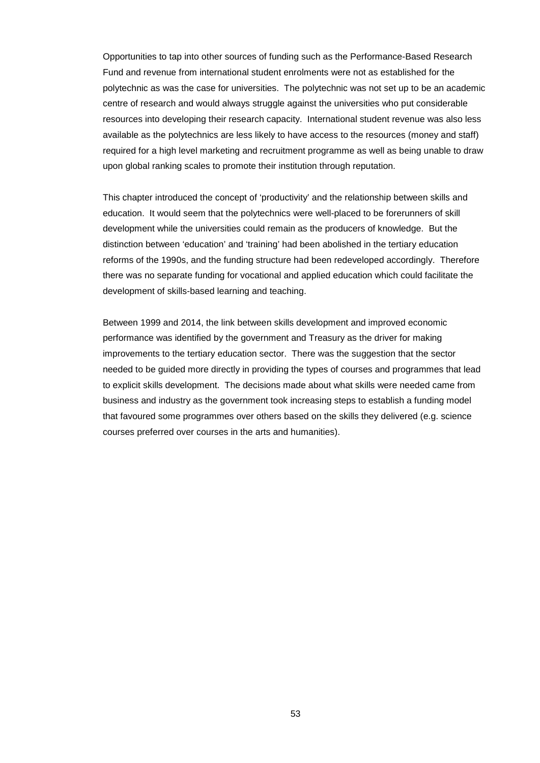Opportunities to tap into other sources of funding such as the Performance-Based Research Fund and revenue from international student enrolments were not as established for the polytechnic as was the case for universities. The polytechnic was not set up to be an academic centre of research and would always struggle against the universities who put considerable resources into developing their research capacity. International student revenue was also less available as the polytechnics are less likely to have access to the resources (money and staff) required for a high level marketing and recruitment programme as well as being unable to draw upon global ranking scales to promote their institution through reputation.

This chapter introduced the concept of 'productivity' and the relationship between skills and education. It would seem that the polytechnics were well-placed to be forerunners of skill development while the universities could remain as the producers of knowledge. But the distinction between 'education' and 'training' had been abolished in the tertiary education reforms of the 1990s, and the funding structure had been redeveloped accordingly. Therefore there was no separate funding for vocational and applied education which could facilitate the development of skills-based learning and teaching.

Between 1999 and 2014, the link between skills development and improved economic performance was identified by the government and Treasury as the driver for making improvements to the tertiary education sector. There was the suggestion that the sector needed to be guided more directly in providing the types of courses and programmes that lead to explicit skills development. The decisions made about what skills were needed came from business and industry as the government took increasing steps to establish a funding model that favoured some programmes over others based on the skills they delivered (e.g. science courses preferred over courses in the arts and humanities).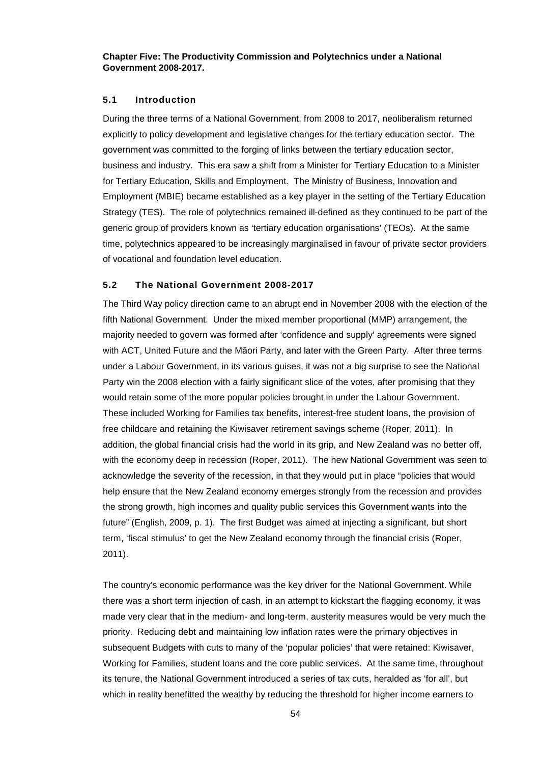**Chapter Five: The Productivity Commission and Polytechnics under a National Government 2008-2017.**

## **5.1 Introduction**

During the three terms of a National Government, from 2008 to 2017, neoliberalism returned explicitly to policy development and legislative changes for the tertiary education sector. The government was committed to the forging of links between the tertiary education sector, business and industry. This era saw a shift from a Minister for Tertiary Education to a Minister for Tertiary Education, Skills and Employment. The Ministry of Business, Innovation and Employment (MBIE) became established as a key player in the setting of the Tertiary Education Strategy (TES). The role of polytechnics remained ill-defined as they continued to be part of the generic group of providers known as 'tertiary education organisations' (TEOs). At the same time, polytechnics appeared to be increasingly marginalised in favour of private sector providers of vocational and foundation level education.

### **5.2 The National Government 2008-2017**

The Third Way policy direction came to an abrupt end in November 2008 with the election of the fifth National Government. Under the mixed member proportional (MMP) arrangement, the majority needed to govern was formed after 'confidence and supply' agreements were signed with ACT, United Future and the Māori Party, and later with the Green Party. After three terms under a Labour Government, in its various guises, it was not a big surprise to see the National Party win the 2008 election with a fairly significant slice of the votes, after promising that they would retain some of the more popular policies brought in under the Labour Government. These included Working for Families tax benefits, interest-free student loans, the provision of free childcare and retaining the Kiwisaver retirement savings scheme (Roper, 2011). In addition, the global financial crisis had the world in its grip, and New Zealand was no better off, with the economy deep in recession (Roper, 2011). The new National Government was seen to acknowledge the severity of the recession, in that they would put in place "policies that would help ensure that the New Zealand economy emerges strongly from the recession and provides the strong growth, high incomes and quality public services this Government wants into the future" (English, 2009, p. 1). The first Budget was aimed at injecting a significant, but short term, 'fiscal stimulus' to get the New Zealand economy through the financial crisis (Roper, 2011).

The country's economic performance was the key driver for the National Government. While there was a short term injection of cash, in an attempt to kickstart the flagging economy, it was made very clear that in the medium- and long-term, austerity measures would be very much the priority. Reducing debt and maintaining low inflation rates were the primary objectives in subsequent Budgets with cuts to many of the 'popular policies' that were retained: Kiwisaver, Working for Families, student loans and the core public services. At the same time, throughout its tenure, the National Government introduced a series of tax cuts, heralded as 'for all', but which in reality benefitted the wealthy by reducing the threshold for higher income earners to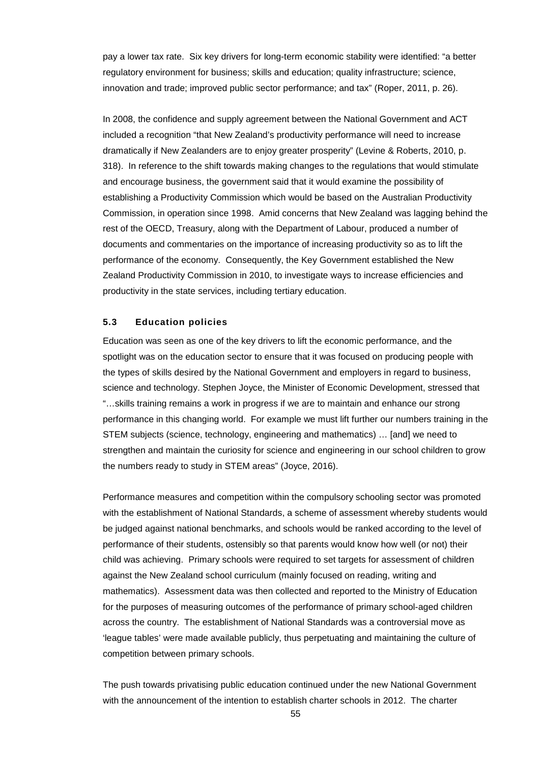pay a lower tax rate. Six key drivers for long-term economic stability were identified: "a better regulatory environment for business; skills and education; quality infrastructure; science, innovation and trade; improved public sector performance; and tax" (Roper, 2011, p. 26).

In 2008, the confidence and supply agreement between the National Government and ACT included a recognition "that New Zealand's productivity performance will need to increase dramatically if New Zealanders are to enjoy greater prosperity" (Levine & Roberts, 2010, p. 318). In reference to the shift towards making changes to the regulations that would stimulate and encourage business, the government said that it would examine the possibility of establishing a Productivity Commission which would be based on the Australian Productivity Commission, in operation since 1998. Amid concerns that New Zealand was lagging behind the rest of the OECD, Treasury, along with the Department of Labour, produced a number of documents and commentaries on the importance of increasing productivity so as to lift the performance of the economy. Consequently, the Key Government established the New Zealand Productivity Commission in 2010, to investigate ways to increase efficiencies and productivity in the state services, including tertiary education.

## **5.3 Education policies**

Education was seen as one of the key drivers to lift the economic performance, and the spotlight was on the education sector to ensure that it was focused on producing people with the types of skills desired by the National Government and employers in regard to business, science and technology. Stephen Joyce, the Minister of Economic Development, stressed that "…skills training remains a work in progress if we are to maintain and enhance our strong performance in this changing world. For example we must lift further our numbers training in the STEM subjects (science, technology, engineering and mathematics) … [and] we need to strengthen and maintain the curiosity for science and engineering in our school children to grow the numbers ready to study in STEM areas" (Joyce, 2016).

Performance measures and competition within the compulsory schooling sector was promoted with the establishment of National Standards, a scheme of assessment whereby students would be judged against national benchmarks, and schools would be ranked according to the level of performance of their students, ostensibly so that parents would know how well (or not) their child was achieving. Primary schools were required to set targets for assessment of children against the New Zealand school curriculum (mainly focused on reading, writing and mathematics). Assessment data was then collected and reported to the Ministry of Education for the purposes of measuring outcomes of the performance of primary school-aged children across the country. The establishment of National Standards was a controversial move as 'league tables' were made available publicly, thus perpetuating and maintaining the culture of competition between primary schools.

The push towards privatising public education continued under the new National Government with the announcement of the intention to establish charter schools in 2012. The charter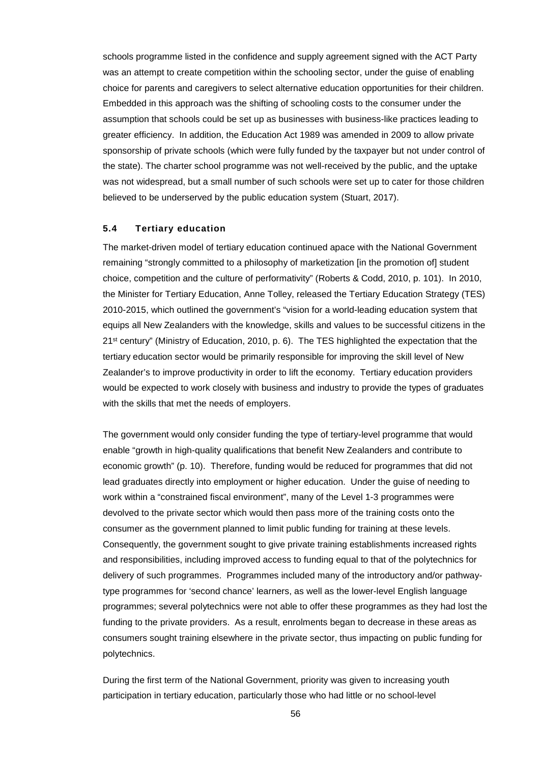schools programme listed in the confidence and supply agreement signed with the ACT Party was an attempt to create competition within the schooling sector, under the guise of enabling choice for parents and caregivers to select alternative education opportunities for their children. Embedded in this approach was the shifting of schooling costs to the consumer under the assumption that schools could be set up as businesses with business-like practices leading to greater efficiency. In addition, the Education Act 1989 was amended in 2009 to allow private sponsorship of private schools (which were fully funded by the taxpayer but not under control of the state). The charter school programme was not well-received by the public, and the uptake was not widespread, but a small number of such schools were set up to cater for those children believed to be underserved by the public education system (Stuart, 2017).

#### **5.4 Tertiary education**

The market-driven model of tertiary education continued apace with the National Government remaining "strongly committed to a philosophy of marketization [in the promotion of] student choice, competition and the culture of performativity" (Roberts & Codd, 2010, p. 101). In 2010, the Minister for Tertiary Education, Anne Tolley, released the Tertiary Education Strategy (TES) 2010-2015, which outlined the government's "vision for a world-leading education system that equips all New Zealanders with the knowledge, skills and values to be successful citizens in the 21<sup>st</sup> century" (Ministry of Education, 2010, p. 6). The TES highlighted the expectation that the tertiary education sector would be primarily responsible for improving the skill level of New Zealander's to improve productivity in order to lift the economy. Tertiary education providers would be expected to work closely with business and industry to provide the types of graduates with the skills that met the needs of employers.

The government would only consider funding the type of tertiary-level programme that would enable "growth in high-quality qualifications that benefit New Zealanders and contribute to economic growth" (p. 10). Therefore, funding would be reduced for programmes that did not lead graduates directly into employment or higher education. Under the guise of needing to work within a "constrained fiscal environment", many of the Level 1-3 programmes were devolved to the private sector which would then pass more of the training costs onto the consumer as the government planned to limit public funding for training at these levels. Consequently, the government sought to give private training establishments increased rights and responsibilities, including improved access to funding equal to that of the polytechnics for delivery of such programmes. Programmes included many of the introductory and/or pathwaytype programmes for 'second chance' learners, as well as the lower-level English language programmes; several polytechnics were not able to offer these programmes as they had lost the funding to the private providers. As a result, enrolments began to decrease in these areas as consumers sought training elsewhere in the private sector, thus impacting on public funding for polytechnics.

During the first term of the National Government, priority was given to increasing youth participation in tertiary education, particularly those who had little or no school-level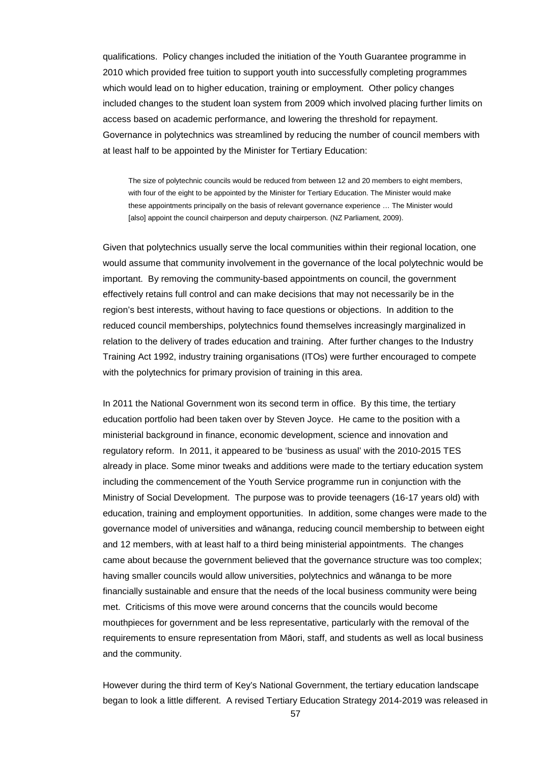qualifications. Policy changes included the initiation of the Youth Guarantee programme in 2010 which provided free tuition to support youth into successfully completing programmes which would lead on to higher education, training or employment. Other policy changes included changes to the student loan system from 2009 which involved placing further limits on access based on academic performance, and lowering the threshold for repayment. Governance in polytechnics was streamlined by reducing the number of council members with at least half to be appointed by the Minister for Tertiary Education:

The size of polytechnic councils would be reduced from between 12 and 20 members to eight members, with four of the eight to be appointed by the Minister for Tertiary Education. The Minister would make these appointments principally on the basis of relevant governance experience … The Minister would [also] appoint the council chairperson and deputy chairperson. (NZ Parliament, 2009).

Given that polytechnics usually serve the local communities within their regional location, one would assume that community involvement in the governance of the local polytechnic would be important. By removing the community-based appointments on council, the government effectively retains full control and can make decisions that may not necessarily be in the region's best interests, without having to face questions or objections. In addition to the reduced council memberships, polytechnics found themselves increasingly marginalized in relation to the delivery of trades education and training. After further changes to the Industry Training Act 1992, industry training organisations (ITOs) were further encouraged to compete with the polytechnics for primary provision of training in this area.

In 2011 the National Government won its second term in office. By this time, the tertiary education portfolio had been taken over by Steven Joyce. He came to the position with a ministerial background in finance, economic development, science and innovation and regulatory reform. In 2011, it appeared to be 'business as usual' with the 2010-2015 TES already in place. Some minor tweaks and additions were made to the tertiary education system including the commencement of the Youth Service programme run in conjunction with the Ministry of Social Development. The purpose was to provide teenagers (16-17 years old) with education, training and employment opportunities. In addition, some changes were made to the governance model of universities and wānanga, reducing council membership to between eight and 12 members, with at least half to a third being ministerial appointments. The changes came about because the government believed that the governance structure was too complex; having smaller councils would allow universities, polytechnics and wānanga to be more financially sustainable and ensure that the needs of the local business community were being met. Criticisms of this move were around concerns that the councils would become mouthpieces for government and be less representative, particularly with the removal of the requirements to ensure representation from Māori, staff, and students as well as local business and the community.

However during the third term of Key's National Government, the tertiary education landscape began to look a little different. A revised Tertiary Education Strategy 2014-2019 was released in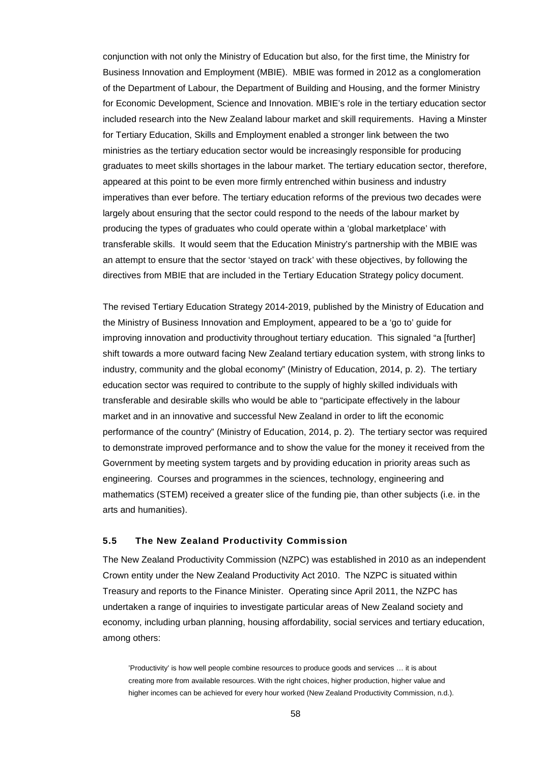conjunction with not only the Ministry of Education but also, for the first time, the Ministry for Business Innovation and Employment (MBIE). MBIE was formed in 2012 as a conglomeration of the Department of Labour, the Department of Building and Housing, and the former Ministry for Economic Development, Science and Innovation. MBIE's role in the tertiary education sector included research into the New Zealand labour market and skill requirements. Having a Minster for Tertiary Education, Skills and Employment enabled a stronger link between the two ministries as the tertiary education sector would be increasingly responsible for producing graduates to meet skills shortages in the labour market. The tertiary education sector, therefore, appeared at this point to be even more firmly entrenched within business and industry imperatives than ever before. The tertiary education reforms of the previous two decades were largely about ensuring that the sector could respond to the needs of the labour market by producing the types of graduates who could operate within a 'global marketplace' with transferable skills. It would seem that the Education Ministry's partnership with the MBIE was an attempt to ensure that the sector 'stayed on track' with these objectives, by following the directives from MBIE that are included in the Tertiary Education Strategy policy document.

The revised Tertiary Education Strategy 2014-2019, published by the Ministry of Education and the Ministry of Business Innovation and Employment, appeared to be a 'go to' guide for improving innovation and productivity throughout tertiary education. This signaled "a [further] shift towards a more outward facing New Zealand tertiary education system, with strong links to industry, community and the global economy" (Ministry of Education, 2014, p. 2). The tertiary education sector was required to contribute to the supply of highly skilled individuals with transferable and desirable skills who would be able to "participate effectively in the labour market and in an innovative and successful New Zealand in order to lift the economic performance of the country" (Ministry of Education, 2014, p. 2). The tertiary sector was required to demonstrate improved performance and to show the value for the money it received from the Government by meeting system targets and by providing education in priority areas such as engineering. Courses and programmes in the sciences, technology, engineering and mathematics (STEM) received a greater slice of the funding pie, than other subjects (i.e. in the arts and humanities).

### **5.5 The New Zealand Productivity Commission**

The New Zealand Productivity Commission (NZPC) was established in 2010 as an independent Crown entity under the New Zealand Productivity Act 2010. The NZPC is situated within Treasury and reports to the Finance Minister. Operating since April 2011, the NZPC has undertaken a range of inquiries to investigate particular areas of New Zealand society and economy, including urban planning, housing affordability, social services and tertiary education, among others:

'Productivity' is how well people combine resources to produce goods and services … it is about creating more from available resources. With the right choices, higher production, higher value and higher incomes can be achieved for every hour worked (New Zealand Productivity Commission, n.d.).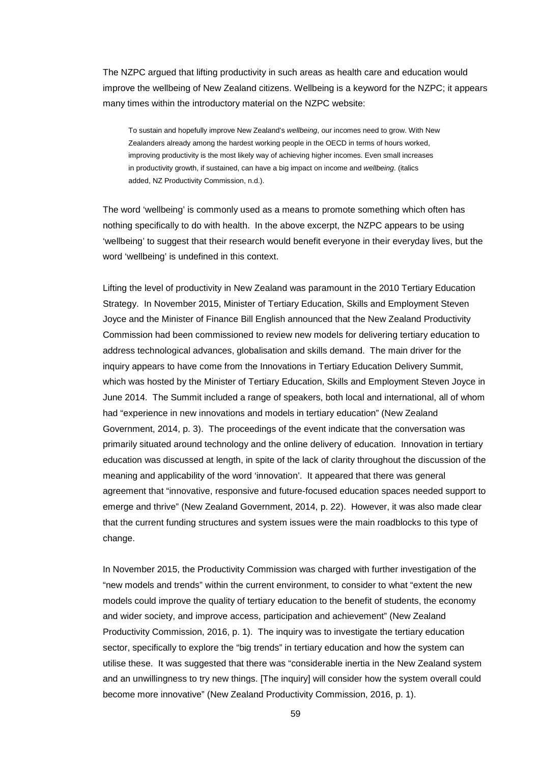The NZPC argued that lifting productivity in such areas as health care and education would improve the wellbeing of New Zealand citizens. Wellbeing is a keyword for the NZPC; it appears many times within the introductory material on the NZPC website:

To sustain and hopefully improve New Zealand's *wellbeing*, our incomes need to grow. With New Zealanders already among the hardest working people in the OECD in terms of hours worked, improving productivity is the most likely way of achieving higher incomes. Even small increases in productivity growth, if sustained, can have a big impact on income and *wellbeing*. (italics added, NZ Productivity Commission, n.d.).

The word 'wellbeing' is commonly used as a means to promote something which often has nothing specifically to do with health. In the above excerpt, the NZPC appears to be using 'wellbeing' to suggest that their research would benefit everyone in their everyday lives, but the word 'wellbeing' is undefined in this context.

Lifting the level of productivity in New Zealand was paramount in the 2010 Tertiary Education Strategy. In November 2015, Minister of Tertiary Education, Skills and Employment Steven Joyce and the Minister of Finance Bill English announced that the New Zealand Productivity Commission had been commissioned to review new models for delivering tertiary education to address technological advances, globalisation and skills demand. The main driver for the inquiry appears to have come from the Innovations in Tertiary Education Delivery Summit, which was hosted by the Minister of Tertiary Education, Skills and Employment Steven Joyce in June 2014. The Summit included a range of speakers, both local and international, all of whom had "experience in new innovations and models in tertiary education" (New Zealand Government, 2014, p. 3). The proceedings of the event indicate that the conversation was primarily situated around technology and the online delivery of education. Innovation in tertiary education was discussed at length, in spite of the lack of clarity throughout the discussion of the meaning and applicability of the word 'innovation'. It appeared that there was general agreement that "innovative, responsive and future-focused education spaces needed support to emerge and thrive" (New Zealand Government, 2014, p. 22). However, it was also made clear that the current funding structures and system issues were the main roadblocks to this type of change.

In November 2015, the Productivity Commission was charged with further investigation of the "new models and trends" within the current environment, to consider to what "extent the new models could improve the quality of tertiary education to the benefit of students, the economy and wider society, and improve access, participation and achievement" (New Zealand Productivity Commission, 2016, p. 1). The inquiry was to investigate the tertiary education sector, specifically to explore the "big trends" in tertiary education and how the system can utilise these. It was suggested that there was "considerable inertia in the New Zealand system and an unwillingness to try new things. [The inquiry] will consider how the system overall could become more innovative" (New Zealand Productivity Commission, 2016, p. 1).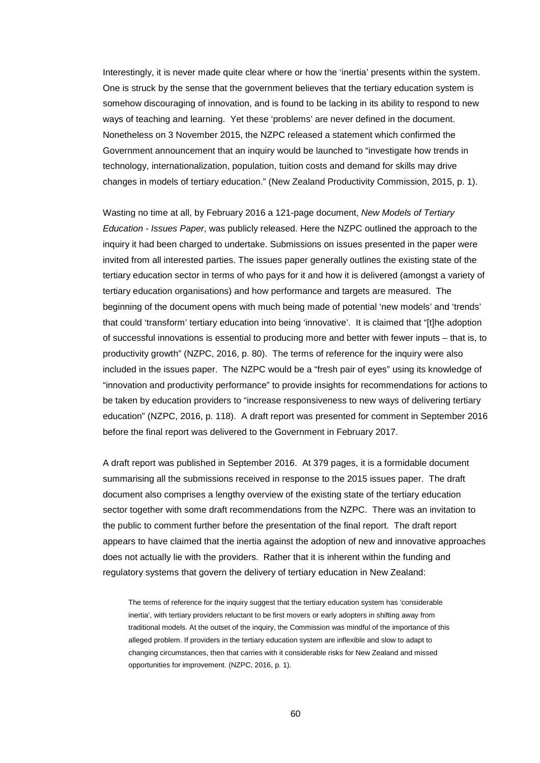Interestingly, it is never made quite clear where or how the 'inertia' presents within the system. One is struck by the sense that the government believes that the tertiary education system is somehow discouraging of innovation, and is found to be lacking in its ability to respond to new ways of teaching and learning. Yet these 'problems' are never defined in the document. Nonetheless on 3 November 2015, the NZPC released a statement which confirmed the Government announcement that an inquiry would be launched to "investigate how trends in technology, internationalization, population, tuition costs and demand for skills may drive changes in models of tertiary education." (New Zealand Productivity Commission, 2015, p. 1).

Wasting no time at all, by February 2016 a 121-page document, *New Models of Tertiary Education - Issues Paper*, was publicly released. Here the NZPC outlined the approach to the inquiry it had been charged to undertake. Submissions on issues presented in the paper were invited from all interested parties. The issues paper generally outlines the existing state of the tertiary education sector in terms of who pays for it and how it is delivered (amongst a variety of tertiary education organisations) and how performance and targets are measured. The beginning of the document opens with much being made of potential 'new models' and 'trends' that could 'transform' tertiary education into being 'innovative'. It is claimed that "[t]he adoption of successful innovations is essential to producing more and better with fewer inputs – that is, to productivity growth" (NZPC, 2016, p. 80). The terms of reference for the inquiry were also included in the issues paper. The NZPC would be a "fresh pair of eyes" using its knowledge of "innovation and productivity performance" to provide insights for recommendations for actions to be taken by education providers to "increase responsiveness to new ways of delivering tertiary education" (NZPC, 2016, p. 118). A draft report was presented for comment in September 2016 before the final report was delivered to the Government in February 2017.

A draft report was published in September 2016. At 379 pages, it is a formidable document summarising all the submissions received in response to the 2015 issues paper. The draft document also comprises a lengthy overview of the existing state of the tertiary education sector together with some draft recommendations from the NZPC. There was an invitation to the public to comment further before the presentation of the final report. The draft report appears to have claimed that the inertia against the adoption of new and innovative approaches does not actually lie with the providers. Rather that it is inherent within the funding and regulatory systems that govern the delivery of tertiary education in New Zealand:

The terms of reference for the inquiry suggest that the tertiary education system has 'considerable inertia', with tertiary providers reluctant to be first movers or early adopters in shifting away from traditional models. At the outset of the inquiry, the Commission was mindful of the importance of this alleged problem. If providers in the tertiary education system are inflexible and slow to adapt to changing circumstances, then that carries with it considerable risks for New Zealand and missed opportunities for improvement. (NZPC, 2016, p. 1).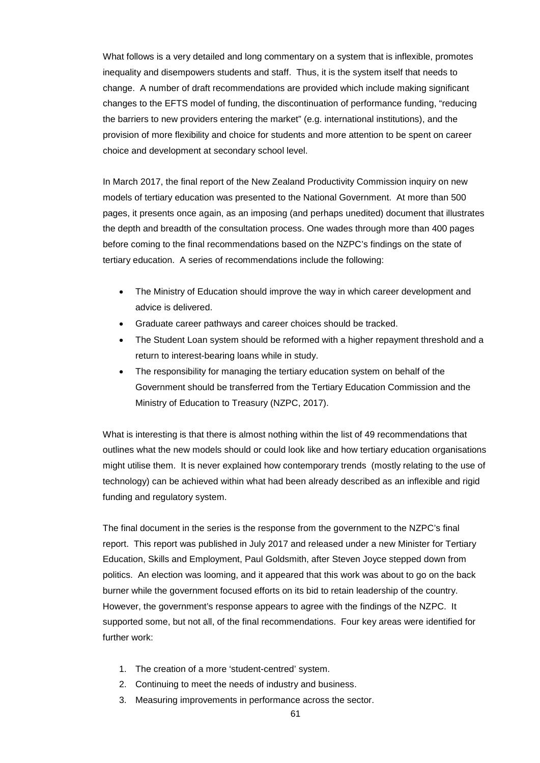What follows is a very detailed and long commentary on a system that is inflexible, promotes inequality and disempowers students and staff. Thus, it is the system itself that needs to change. A number of draft recommendations are provided which include making significant changes to the EFTS model of funding, the discontinuation of performance funding, "reducing the barriers to new providers entering the market" (e.g. international institutions), and the provision of more flexibility and choice for students and more attention to be spent on career choice and development at secondary school level.

In March 2017, the final report of the New Zealand Productivity Commission inquiry on new models of tertiary education was presented to the National Government. At more than 500 pages, it presents once again, as an imposing (and perhaps unedited) document that illustrates the depth and breadth of the consultation process. One wades through more than 400 pages before coming to the final recommendations based on the NZPC's findings on the state of tertiary education. A series of recommendations include the following:

- The Ministry of Education should improve the way in which career development and advice is delivered.
- Graduate career pathways and career choices should be tracked.
- The Student Loan system should be reformed with a higher repayment threshold and a return to interest-bearing loans while in study.
- The responsibility for managing the tertiary education system on behalf of the Government should be transferred from the Tertiary Education Commission and the Ministry of Education to Treasury (NZPC, 2017).

What is interesting is that there is almost nothing within the list of 49 recommendations that outlines what the new models should or could look like and how tertiary education organisations might utilise them. It is never explained how contemporary trends (mostly relating to the use of technology) can be achieved within what had been already described as an inflexible and rigid funding and regulatory system.

The final document in the series is the response from the government to the NZPC's final report. This report was published in July 2017 and released under a new Minister for Tertiary Education, Skills and Employment, Paul Goldsmith, after Steven Joyce stepped down from politics. An election was looming, and it appeared that this work was about to go on the back burner while the government focused efforts on its bid to retain leadership of the country. However, the government's response appears to agree with the findings of the NZPC. It supported some, but not all, of the final recommendations. Four key areas were identified for further work:

- 1. The creation of a more 'student-centred' system.
- 2. Continuing to meet the needs of industry and business.
- 3. Measuring improvements in performance across the sector.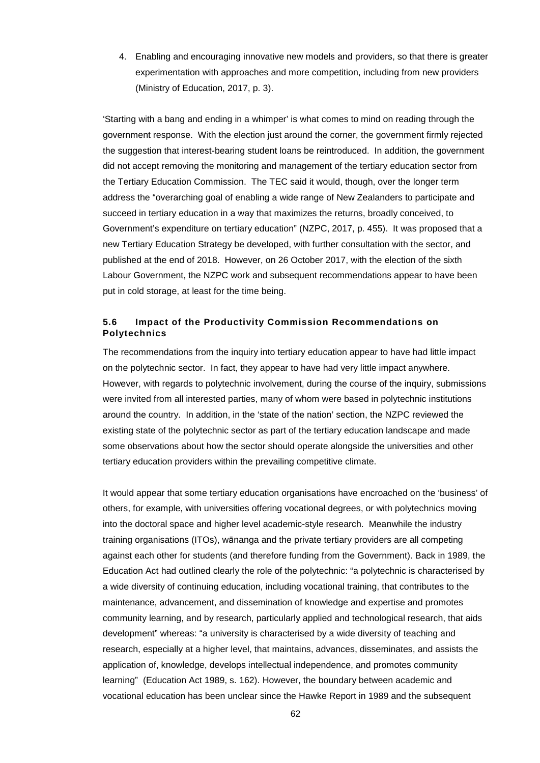4. Enabling and encouraging innovative new models and providers, so that there is greater experimentation with approaches and more competition, including from new providers (Ministry of Education, 2017, p. 3).

'Starting with a bang and ending in a whimper' is what comes to mind on reading through the government response. With the election just around the corner, the government firmly rejected the suggestion that interest-bearing student loans be reintroduced. In addition, the government did not accept removing the monitoring and management of the tertiary education sector from the Tertiary Education Commission. The TEC said it would, though, over the longer term address the "overarching goal of enabling a wide range of New Zealanders to participate and succeed in tertiary education in a way that maximizes the returns, broadly conceived, to Government's expenditure on tertiary education" (NZPC, 2017, p. 455). It was proposed that a new Tertiary Education Strategy be developed, with further consultation with the sector, and published at the end of 2018. However, on 26 October 2017, with the election of the sixth Labour Government, the NZPC work and subsequent recommendations appear to have been put in cold storage, at least for the time being.

## **5.6 Impact of the Productivity Commission Recommendations on Polytechnics**

The recommendations from the inquiry into tertiary education appear to have had little impact on the polytechnic sector. In fact, they appear to have had very little impact anywhere. However, with regards to polytechnic involvement, during the course of the inquiry, submissions were invited from all interested parties, many of whom were based in polytechnic institutions around the country. In addition, in the 'state of the nation' section, the NZPC reviewed the existing state of the polytechnic sector as part of the tertiary education landscape and made some observations about how the sector should operate alongside the universities and other tertiary education providers within the prevailing competitive climate.

It would appear that some tertiary education organisations have encroached on the 'business' of others, for example, with universities offering vocational degrees, or with polytechnics moving into the doctoral space and higher level academic-style research. Meanwhile the industry training organisations (ITOs), wānanga and the private tertiary providers are all competing against each other for students (and therefore funding from the Government). Back in 1989, the Education Act had outlined clearly the role of the polytechnic: "a polytechnic is characterised by a wide diversity of continuing education, including vocational training, that contributes to the maintenance, advancement, and dissemination of knowledge and expertise and promotes community learning, and by research, particularly applied and technological research, that aids development" whereas: "a university is characterised by a wide diversity of teaching and research, especially at a higher level, that maintains, advances, disseminates, and assists the application of, knowledge, develops intellectual independence, and promotes community learning" (Education Act 1989, s. 162). However, the boundary between academic and vocational education has been unclear since the Hawke Report in 1989 and the subsequent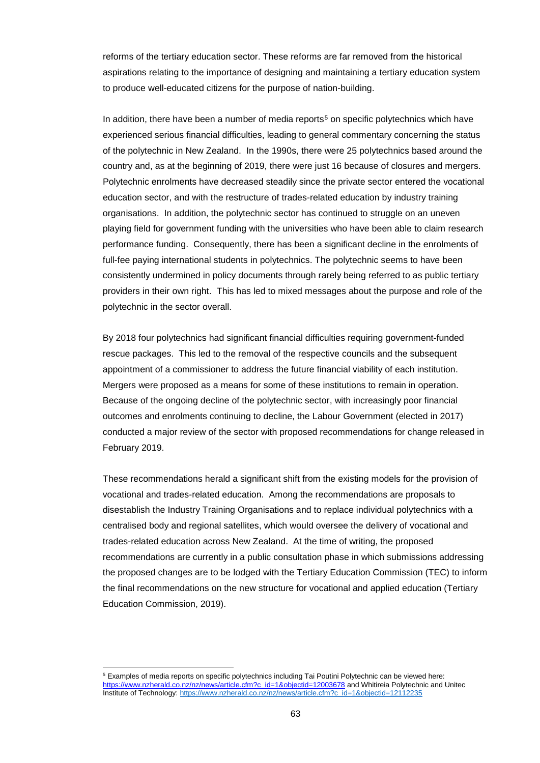reforms of the tertiary education sector. These reforms are far removed from the historical aspirations relating to the importance of designing and maintaining a tertiary education system to produce well-educated citizens for the purpose of nation-building.

In addition, there have been a number of media reports<sup>[5](#page-62-0)</sup> on specific polytechnics which have experienced serious financial difficulties, leading to general commentary concerning the status of the polytechnic in New Zealand. In the 1990s, there were 25 polytechnics based around the country and, as at the beginning of 2019, there were just 16 because of closures and mergers. Polytechnic enrolments have decreased steadily since the private sector entered the vocational education sector, and with the restructure of trades-related education by industry training organisations. In addition, the polytechnic sector has continued to struggle on an uneven playing field for government funding with the universities who have been able to claim research performance funding. Consequently, there has been a significant decline in the enrolments of full-fee paying international students in polytechnics. The polytechnic seems to have been consistently undermined in policy documents through rarely being referred to as public tertiary providers in their own right. This has led to mixed messages about the purpose and role of the polytechnic in the sector overall.

By 2018 four polytechnics had significant financial difficulties requiring government-funded rescue packages. This led to the removal of the respective councils and the subsequent appointment of a commissioner to address the future financial viability of each institution. Mergers were proposed as a means for some of these institutions to remain in operation. Because of the ongoing decline of the polytechnic sector, with increasingly poor financial outcomes and enrolments continuing to decline, the Labour Government (elected in 2017) conducted a major review of the sector with proposed recommendations for change released in February 2019.

These recommendations herald a significant shift from the existing models for the provision of vocational and trades-related education. Among the recommendations are proposals to disestablish the Industry Training Organisations and to replace individual polytechnics with a centralised body and regional satellites, which would oversee the delivery of vocational and trades-related education across New Zealand. At the time of writing, the proposed recommendations are currently in a public consultation phase in which submissions addressing the proposed changes are to be lodged with the Tertiary Education Commission (TEC) to inform the final recommendations on the new structure for vocational and applied education (Tertiary Education Commission, 2019).

<span id="page-62-0"></span><sup>5</sup> Examples of media reports on specific polytechnics including Tai Poutini Polytechnic can be viewed here: [https://www.nzherald.co.nz/nz/news/article.cfm?c\\_id=1&objectid=12003678](https://www.nzherald.co.nz/nz/news/article.cfm?c_id=1&objectid=12003678) and Whitireia Polytechnic and Unitec Institute of Technology[: https://www.nzherald.co.nz/nz/news/article.cfm?c\\_id=1&objectid=12112235](https://www.nzherald.co.nz/nz/news/article.cfm?c_id=1&objectid=12112235)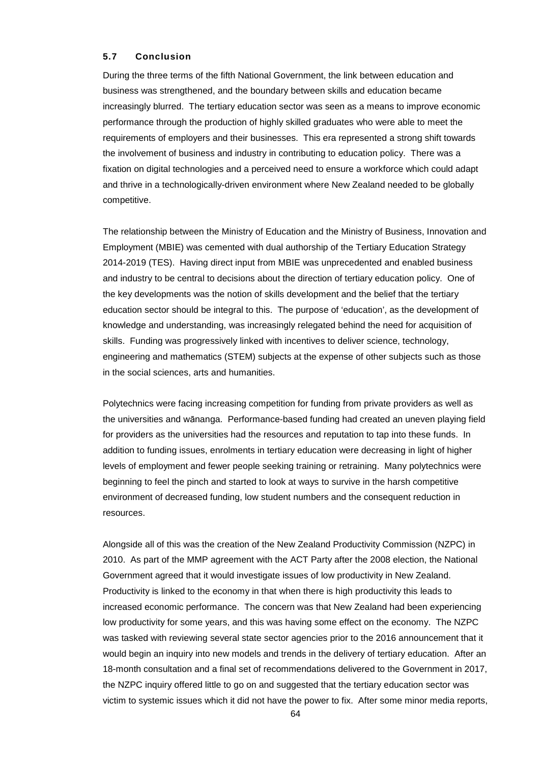## **5.7 Conclusion**

During the three terms of the fifth National Government, the link between education and business was strengthened, and the boundary between skills and education became increasingly blurred. The tertiary education sector was seen as a means to improve economic performance through the production of highly skilled graduates who were able to meet the requirements of employers and their businesses. This era represented a strong shift towards the involvement of business and industry in contributing to education policy. There was a fixation on digital technologies and a perceived need to ensure a workforce which could adapt and thrive in a technologically-driven environment where New Zealand needed to be globally competitive.

The relationship between the Ministry of Education and the Ministry of Business, Innovation and Employment (MBIE) was cemented with dual authorship of the Tertiary Education Strategy 2014-2019 (TES). Having direct input from MBIE was unprecedented and enabled business and industry to be central to decisions about the direction of tertiary education policy. One of the key developments was the notion of skills development and the belief that the tertiary education sector should be integral to this. The purpose of 'education', as the development of knowledge and understanding, was increasingly relegated behind the need for acquisition of skills. Funding was progressively linked with incentives to deliver science, technology, engineering and mathematics (STEM) subjects at the expense of other subjects such as those in the social sciences, arts and humanities.

Polytechnics were facing increasing competition for funding from private providers as well as the universities and wānanga. Performance-based funding had created an uneven playing field for providers as the universities had the resources and reputation to tap into these funds. In addition to funding issues, enrolments in tertiary education were decreasing in light of higher levels of employment and fewer people seeking training or retraining. Many polytechnics were beginning to feel the pinch and started to look at ways to survive in the harsh competitive environment of decreased funding, low student numbers and the consequent reduction in resources.

Alongside all of this was the creation of the New Zealand Productivity Commission (NZPC) in 2010. As part of the MMP agreement with the ACT Party after the 2008 election, the National Government agreed that it would investigate issues of low productivity in New Zealand. Productivity is linked to the economy in that when there is high productivity this leads to increased economic performance. The concern was that New Zealand had been experiencing low productivity for some years, and this was having some effect on the economy. The NZPC was tasked with reviewing several state sector agencies prior to the 2016 announcement that it would begin an inquiry into new models and trends in the delivery of tertiary education. After an 18-month consultation and a final set of recommendations delivered to the Government in 2017, the NZPC inquiry offered little to go on and suggested that the tertiary education sector was victim to systemic issues which it did not have the power to fix. After some minor media reports,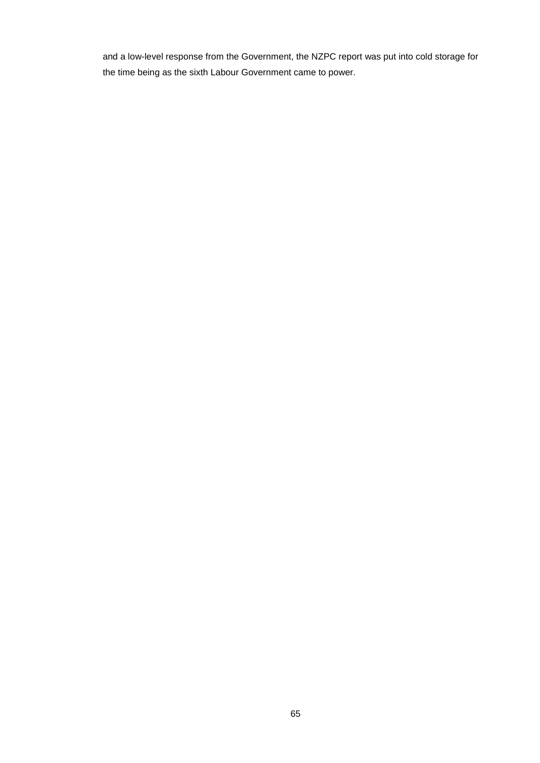and a low-level response from the Government, the NZPC report was put into cold storage for the time being as the sixth Labour Government came to power.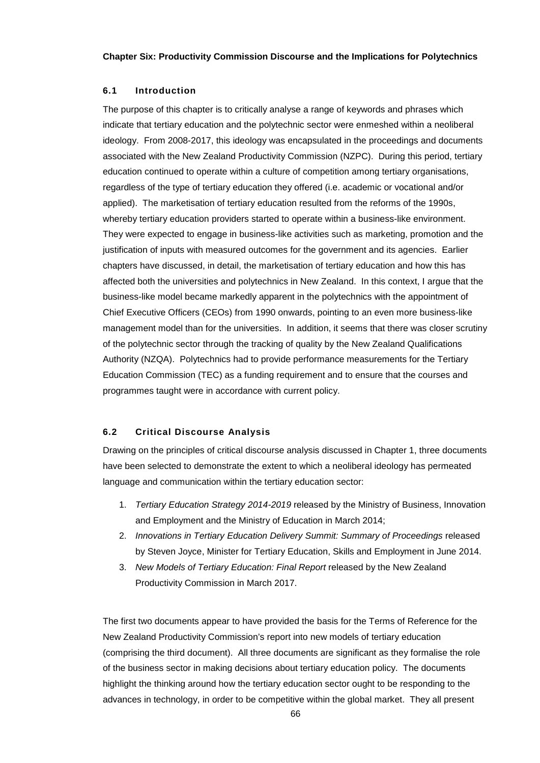## **6.1 Introduction**

The purpose of this chapter is to critically analyse a range of keywords and phrases which indicate that tertiary education and the polytechnic sector were enmeshed within a neoliberal ideology. From 2008-2017, this ideology was encapsulated in the proceedings and documents associated with the New Zealand Productivity Commission (NZPC). During this period, tertiary education continued to operate within a culture of competition among tertiary organisations, regardless of the type of tertiary education they offered (i.e. academic or vocational and/or applied). The marketisation of tertiary education resulted from the reforms of the 1990s, whereby tertiary education providers started to operate within a business-like environment. They were expected to engage in business-like activities such as marketing, promotion and the justification of inputs with measured outcomes for the government and its agencies. Earlier chapters have discussed, in detail, the marketisation of tertiary education and how this has affected both the universities and polytechnics in New Zealand. In this context, I argue that the business-like model became markedly apparent in the polytechnics with the appointment of Chief Executive Officers (CEOs) from 1990 onwards, pointing to an even more business-like management model than for the universities. In addition, it seems that there was closer scrutiny of the polytechnic sector through the tracking of quality by the New Zealand Qualifications Authority (NZQA). Polytechnics had to provide performance measurements for the Tertiary Education Commission (TEC) as a funding requirement and to ensure that the courses and programmes taught were in accordance with current policy.

## **6.2 Critical Discourse Analysis**

Drawing on the principles of critical discourse analysis discussed in Chapter 1, three documents have been selected to demonstrate the extent to which a neoliberal ideology has permeated language and communication within the tertiary education sector:

- 1. *Tertiary Education Strategy 2014-2019* released by the Ministry of Business, Innovation and Employment and the Ministry of Education in March 2014;
- 2. *Innovations in Tertiary Education Delivery Summit: Summary of Proceedings* released by Steven Joyce, Minister for Tertiary Education, Skills and Employment in June 2014.
- 3. *New Models of Tertiary Education: Final Report* released by the New Zealand Productivity Commission in March 2017.

The first two documents appear to have provided the basis for the Terms of Reference for the New Zealand Productivity Commission's report into new models of tertiary education (comprising the third document). All three documents are significant as they formalise the role of the business sector in making decisions about tertiary education policy. The documents highlight the thinking around how the tertiary education sector ought to be responding to the advances in technology, in order to be competitive within the global market. They all present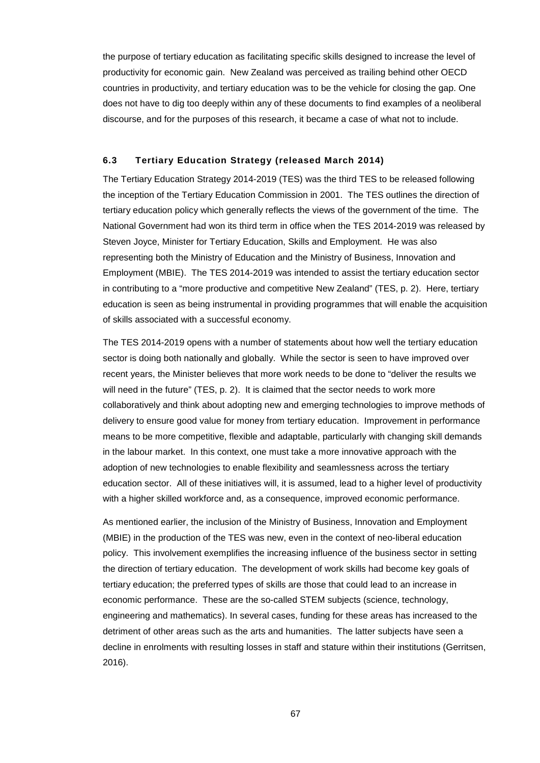the purpose of tertiary education as facilitating specific skills designed to increase the level of productivity for economic gain. New Zealand was perceived as trailing behind other OECD countries in productivity, and tertiary education was to be the vehicle for closing the gap. One does not have to dig too deeply within any of these documents to find examples of a neoliberal discourse, and for the purposes of this research, it became a case of what not to include.

## **6.3 Tertiary Education Strategy (released March 2014)**

The Tertiary Education Strategy 2014-2019 (TES) was the third TES to be released following the inception of the Tertiary Education Commission in 2001. The TES outlines the direction of tertiary education policy which generally reflects the views of the government of the time. The National Government had won its third term in office when the TES 2014-2019 was released by Steven Joyce, Minister for Tertiary Education, Skills and Employment. He was also representing both the Ministry of Education and the Ministry of Business, Innovation and Employment (MBIE). The TES 2014-2019 was intended to assist the tertiary education sector in contributing to a "more productive and competitive New Zealand" (TES, p. 2). Here, tertiary education is seen as being instrumental in providing programmes that will enable the acquisition of skills associated with a successful economy.

The TES 2014-2019 opens with a number of statements about how well the tertiary education sector is doing both nationally and globally. While the sector is seen to have improved over recent years, the Minister believes that more work needs to be done to "deliver the results we will need in the future" (TES, p. 2). It is claimed that the sector needs to work more collaboratively and think about adopting new and emerging technologies to improve methods of delivery to ensure good value for money from tertiary education. Improvement in performance means to be more competitive, flexible and adaptable, particularly with changing skill demands in the labour market. In this context, one must take a more innovative approach with the adoption of new technologies to enable flexibility and seamlessness across the tertiary education sector. All of these initiatives will, it is assumed, lead to a higher level of productivity with a higher skilled workforce and, as a consequence, improved economic performance.

As mentioned earlier, the inclusion of the Ministry of Business, Innovation and Employment (MBIE) in the production of the TES was new, even in the context of neo-liberal education policy. This involvement exemplifies the increasing influence of the business sector in setting the direction of tertiary education. The development of work skills had become key goals of tertiary education; the preferred types of skills are those that could lead to an increase in economic performance. These are the so-called STEM subjects (science, technology, engineering and mathematics). In several cases, funding for these areas has increased to the detriment of other areas such as the arts and humanities. The latter subjects have seen a decline in enrolments with resulting losses in staff and stature within their institutions (Gerritsen, 2016).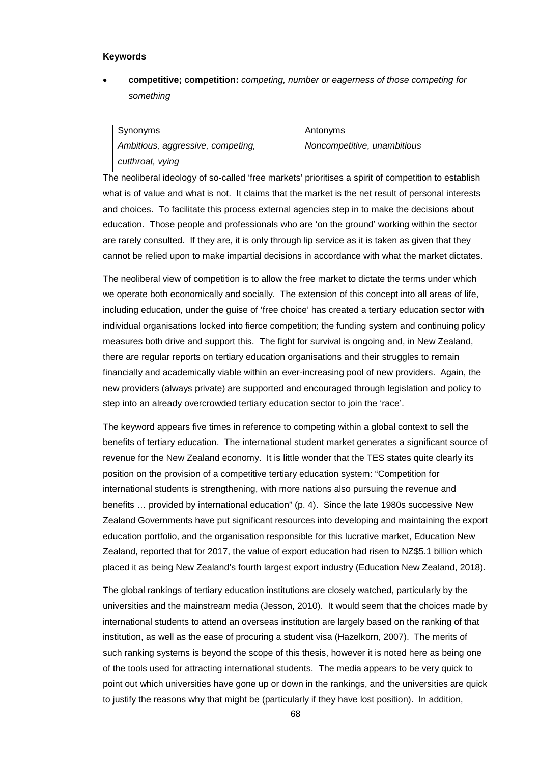## **Keywords**

• **competitive; competition:** *competing, number or eagerness of those competing for something*

Synonyms *Ambitious, aggressive, competing, cutthroat, vying*

Antonyms *Noncompetitive, unambitious*

The neoliberal ideology of so-called 'free markets' prioritises a spirit of competition to establish what is of value and what is not. It claims that the market is the net result of personal interests and choices. To facilitate this process external agencies step in to make the decisions about education. Those people and professionals who are 'on the ground' working within the sector are rarely consulted. If they are, it is only through lip service as it is taken as given that they cannot be relied upon to make impartial decisions in accordance with what the market dictates.

The neoliberal view of competition is to allow the free market to dictate the terms under which we operate both economically and socially. The extension of this concept into all areas of life, including education, under the guise of 'free choice' has created a tertiary education sector with individual organisations locked into fierce competition; the funding system and continuing policy measures both drive and support this. The fight for survival is ongoing and, in New Zealand, there are regular reports on tertiary education organisations and their struggles to remain financially and academically viable within an ever-increasing pool of new providers. Again, the new providers (always private) are supported and encouraged through legislation and policy to step into an already overcrowded tertiary education sector to join the 'race'.

The keyword appears five times in reference to competing within a global context to sell the benefits of tertiary education. The international student market generates a significant source of revenue for the New Zealand economy. It is little wonder that the TES states quite clearly its position on the provision of a competitive tertiary education system: "Competition for international students is strengthening, with more nations also pursuing the revenue and benefits … provided by international education" (p. 4). Since the late 1980s successive New Zealand Governments have put significant resources into developing and maintaining the export education portfolio, and the organisation responsible for this lucrative market, Education New Zealand, reported that for 2017, the value of export education had risen to NZ\$5.1 billion which placed it as being New Zealand's fourth largest export industry (Education New Zealand, 2018).

The global rankings of tertiary education institutions are closely watched, particularly by the universities and the mainstream media (Jesson, 2010). It would seem that the choices made by international students to attend an overseas institution are largely based on the ranking of that institution, as well as the ease of procuring a student visa (Hazelkorn, 2007). The merits of such ranking systems is beyond the scope of this thesis, however it is noted here as being one of the tools used for attracting international students. The media appears to be very quick to point out which universities have gone up or down in the rankings, and the universities are quick to justify the reasons why that might be (particularly if they have lost position). In addition,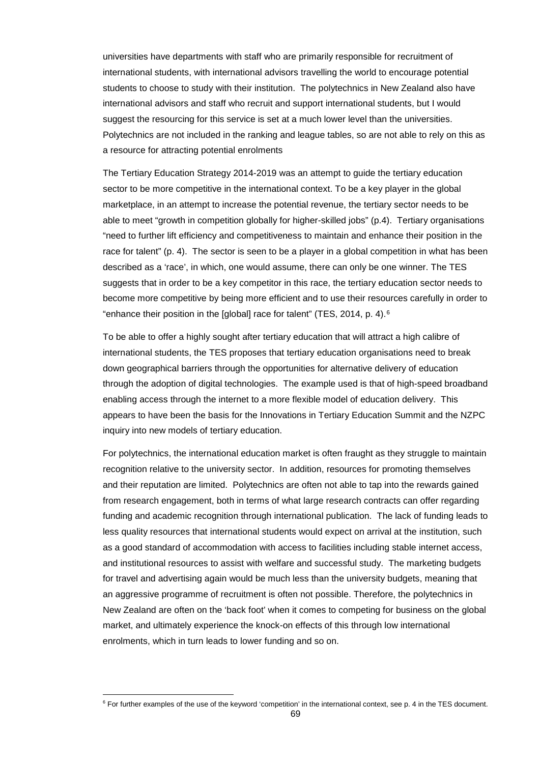universities have departments with staff who are primarily responsible for recruitment of international students, with international advisors travelling the world to encourage potential students to choose to study with their institution. The polytechnics in New Zealand also have international advisors and staff who recruit and support international students, but I would suggest the resourcing for this service is set at a much lower level than the universities. Polytechnics are not included in the ranking and league tables, so are not able to rely on this as a resource for attracting potential enrolments

The Tertiary Education Strategy 2014-2019 was an attempt to guide the tertiary education sector to be more competitive in the international context. To be a key player in the global marketplace, in an attempt to increase the potential revenue, the tertiary sector needs to be able to meet "growth in competition globally for higher-skilled jobs" (p.4). Tertiary organisations "need to further lift efficiency and competitiveness to maintain and enhance their position in the race for talent" (p. 4). The sector is seen to be a player in a global competition in what has been described as a 'race', in which, one would assume, there can only be one winner. The TES suggests that in order to be a key competitor in this race, the tertiary education sector needs to become more competitive by being more efficient and to use their resources carefully in order to "enhance their position in the [global] race for talent" (TES, 2014, p. 4).[6](#page-68-0)

To be able to offer a highly sought after tertiary education that will attract a high calibre of international students, the TES proposes that tertiary education organisations need to break down geographical barriers through the opportunities for alternative delivery of education through the adoption of digital technologies. The example used is that of high-speed broadband enabling access through the internet to a more flexible model of education delivery. This appears to have been the basis for the Innovations in Tertiary Education Summit and the NZPC inquiry into new models of tertiary education.

For polytechnics, the international education market is often fraught as they struggle to maintain recognition relative to the university sector. In addition, resources for promoting themselves and their reputation are limited. Polytechnics are often not able to tap into the rewards gained from research engagement, both in terms of what large research contracts can offer regarding funding and academic recognition through international publication. The lack of funding leads to less quality resources that international students would expect on arrival at the institution, such as a good standard of accommodation with access to facilities including stable internet access, and institutional resources to assist with welfare and successful study. The marketing budgets for travel and advertising again would be much less than the university budgets, meaning that an aggressive programme of recruitment is often not possible. Therefore, the polytechnics in New Zealand are often on the 'back foot' when it comes to competing for business on the global market, and ultimately experience the knock-on effects of this through low international enrolments, which in turn leads to lower funding and so on.

<span id="page-68-0"></span> $6$  For further examples of the use of the keyword 'competition' in the international context, see p. 4 in the TES document.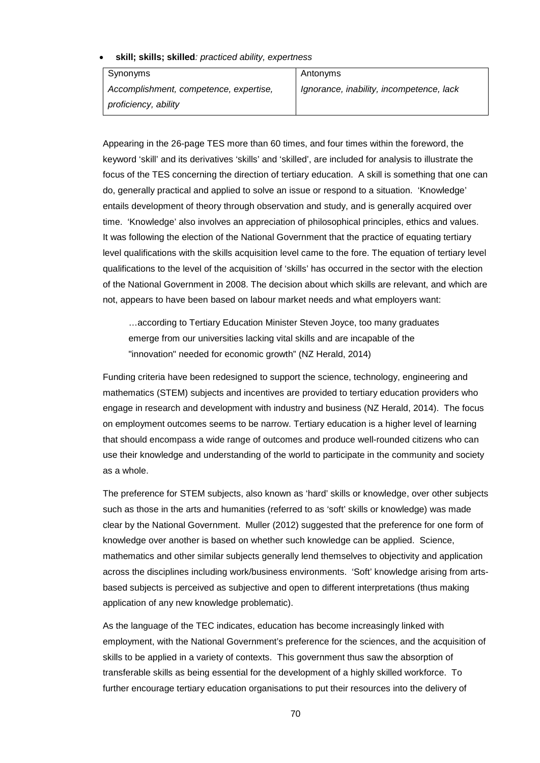• **skill; skills; skilled***: practiced ability, expertness*

Synonyms *Accomplishment, competence, expertise, proficiency, ability*

*Ignorance, inability, incompetence, lack*

Appearing in the 26-page TES more than 60 times, and four times within the foreword, the keyword 'skill' and its derivatives 'skills' and 'skilled', are included for analysis to illustrate the focus of the TES concerning the direction of tertiary education. A skill is something that one can do, generally practical and applied to solve an issue or respond to a situation. 'Knowledge' entails development of theory through observation and study, and is generally acquired over time. 'Knowledge' also involves an appreciation of philosophical principles, ethics and values. It was following the election of the National Government that the practice of equating tertiary level qualifications with the skills acquisition level came to the fore. The equation of tertiary level qualifications to the level of the acquisition of 'skills' has occurred in the sector with the election of the National Government in 2008. The decision about which skills are relevant, and which are not, appears to have been based on labour market needs and what employers want:

Antonyms

…according to Tertiary Education Minister Steven Joyce, too many graduates emerge from our universities lacking vital skills and are incapable of the "innovation" needed for economic growth" (NZ Herald, 2014)

Funding criteria have been redesigned to support the science, technology, engineering and mathematics (STEM) subjects and incentives are provided to tertiary education providers who engage in research and development with industry and business (NZ Herald, 2014). The focus on employment outcomes seems to be narrow. Tertiary education is a higher level of learning that should encompass a wide range of outcomes and produce well-rounded citizens who can use their knowledge and understanding of the world to participate in the community and society as a whole.

The preference for STEM subjects, also known as 'hard' skills or knowledge, over other subjects such as those in the arts and humanities (referred to as 'soft' skills or knowledge) was made clear by the National Government. Muller (2012) suggested that the preference for one form of knowledge over another is based on whether such knowledge can be applied. Science, mathematics and other similar subjects generally lend themselves to objectivity and application across the disciplines including work/business environments. 'Soft' knowledge arising from artsbased subjects is perceived as subjective and open to different interpretations (thus making application of any new knowledge problematic).

As the language of the TEC indicates, education has become increasingly linked with employment, with the National Government's preference for the sciences, and the acquisition of skills to be applied in a variety of contexts. This government thus saw the absorption of transferable skills as being essential for the development of a highly skilled workforce. To further encourage tertiary education organisations to put their resources into the delivery of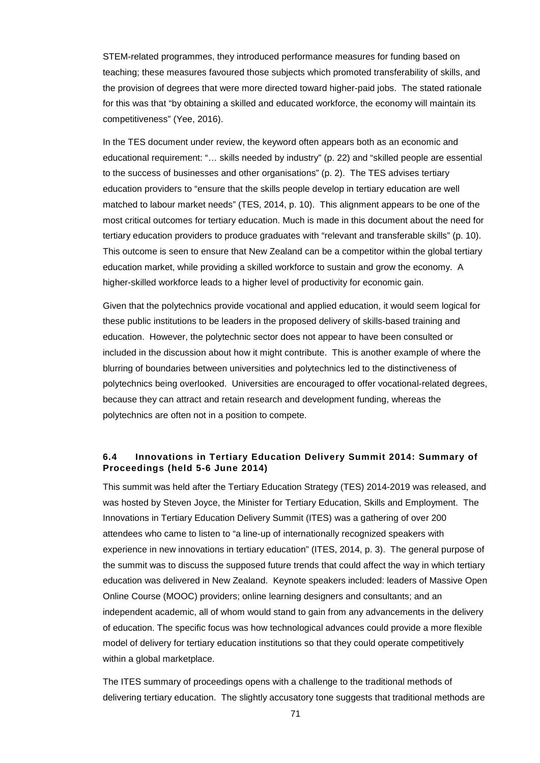STEM-related programmes, they introduced performance measures for funding based on teaching; these measures favoured those subjects which promoted transferability of skills, and the provision of degrees that were more directed toward higher-paid jobs. The stated rationale for this was that "by obtaining a skilled and educated workforce, the economy will maintain its competitiveness" (Yee, 2016).

In the TES document under review, the keyword often appears both as an economic and educational requirement: "… skills needed by industry" (p. 22) and "skilled people are essential to the success of businesses and other organisations" (p. 2). The TES advises tertiary education providers to "ensure that the skills people develop in tertiary education are well matched to labour market needs" (TES, 2014, p. 10). This alignment appears to be one of the most critical outcomes for tertiary education. Much is made in this document about the need for tertiary education providers to produce graduates with "relevant and transferable skills" (p. 10). This outcome is seen to ensure that New Zealand can be a competitor within the global tertiary education market, while providing a skilled workforce to sustain and grow the economy. A higher-skilled workforce leads to a higher level of productivity for economic gain.

Given that the polytechnics provide vocational and applied education, it would seem logical for these public institutions to be leaders in the proposed delivery of skills-based training and education. However, the polytechnic sector does not appear to have been consulted or included in the discussion about how it might contribute. This is another example of where the blurring of boundaries between universities and polytechnics led to the distinctiveness of polytechnics being overlooked. Universities are encouraged to offer vocational-related degrees, because they can attract and retain research and development funding, whereas the polytechnics are often not in a position to compete.

# **6.4 Innovations in Tertiary Education Delivery Summit 2014: Summary of Proceedings (held 5-6 June 2014)**

This summit was held after the Tertiary Education Strategy (TES) 2014-2019 was released, and was hosted by Steven Joyce, the Minister for Tertiary Education, Skills and Employment. The Innovations in Tertiary Education Delivery Summit (ITES) was a gathering of over 200 attendees who came to listen to "a line-up of internationally recognized speakers with experience in new innovations in tertiary education" (ITES, 2014, p. 3). The general purpose of the summit was to discuss the supposed future trends that could affect the way in which tertiary education was delivered in New Zealand. Keynote speakers included: leaders of Massive Open Online Course (MOOC) providers; online learning designers and consultants; and an independent academic, all of whom would stand to gain from any advancements in the delivery of education. The specific focus was how technological advances could provide a more flexible model of delivery for tertiary education institutions so that they could operate competitively within a global marketplace.

The ITES summary of proceedings opens with a challenge to the traditional methods of delivering tertiary education. The slightly accusatory tone suggests that traditional methods are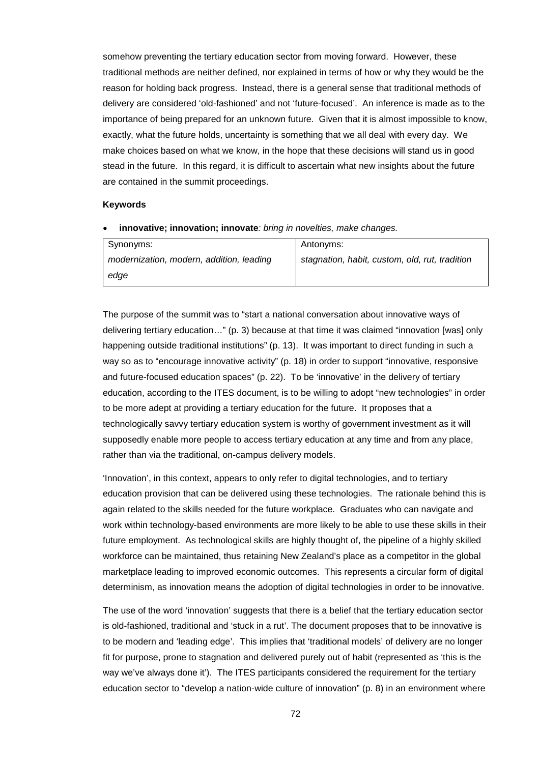somehow preventing the tertiary education sector from moving forward. However, these traditional methods are neither defined, nor explained in terms of how or why they would be the reason for holding back progress. Instead, there is a general sense that traditional methods of delivery are considered 'old-fashioned' and not 'future-focused'. An inference is made as to the importance of being prepared for an unknown future. Given that it is almost impossible to know, exactly, what the future holds, uncertainty is something that we all deal with every day. We make choices based on what we know, in the hope that these decisions will stand us in good stead in the future. In this regard, it is difficult to ascertain what new insights about the future are contained in the summit proceedings.

### **Keywords**

• **innovative; innovation; innovate***: bring in novelties, make changes.*

| Synonyms:                                | Antonyms:                                      |
|------------------------------------------|------------------------------------------------|
| modernization, modern, addition, leading | stagnation, habit, custom, old, rut, tradition |
| edge                                     |                                                |

The purpose of the summit was to "start a national conversation about innovative ways of delivering tertiary education…" (p. 3) because at that time it was claimed "innovation [was] only happening outside traditional institutions" (p. 13). It was important to direct funding in such a way so as to "encourage innovative activity" (p. 18) in order to support "innovative, responsive and future-focused education spaces" (p. 22). To be 'innovative' in the delivery of tertiary education, according to the ITES document, is to be willing to adopt "new technologies" in order to be more adept at providing a tertiary education for the future. It proposes that a technologically savvy tertiary education system is worthy of government investment as it will supposedly enable more people to access tertiary education at any time and from any place, rather than via the traditional, on-campus delivery models.

'Innovation', in this context, appears to only refer to digital technologies, and to tertiary education provision that can be delivered using these technologies. The rationale behind this is again related to the skills needed for the future workplace. Graduates who can navigate and work within technology-based environments are more likely to be able to use these skills in their future employment. As technological skills are highly thought of, the pipeline of a highly skilled workforce can be maintained, thus retaining New Zealand's place as a competitor in the global marketplace leading to improved economic outcomes. This represents a circular form of digital determinism, as innovation means the adoption of digital technologies in order to be innovative.

The use of the word 'innovation' suggests that there is a belief that the tertiary education sector is old-fashioned, traditional and 'stuck in a rut'. The document proposes that to be innovative is to be modern and 'leading edge'. This implies that 'traditional models' of delivery are no longer fit for purpose, prone to stagnation and delivered purely out of habit (represented as 'this is the way we've always done it'). The ITES participants considered the requirement for the tertiary education sector to "develop a nation-wide culture of innovation" (p. 8) in an environment where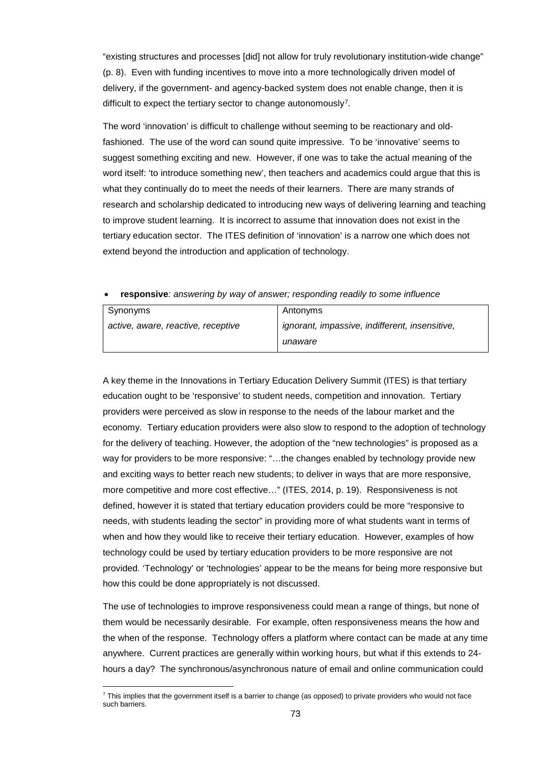"existing structures and processes [did] not allow for truly revolutionary institution-wide change" (p. 8). Even with funding incentives to move into a more technologically driven model of delivery, if the government- and agency-backed system does not enable change, then it is difficult to expect the tertiary sector to change autonomously<sup>7</sup>.

The word 'innovation' is difficult to challenge without seeming to be reactionary and oldfashioned. The use of the word can sound quite impressive. To be 'innovative' seems to suggest something exciting and new. However, if one was to take the actual meaning of the word itself: 'to introduce something new', then teachers and academics could argue that this is what they continually do to meet the needs of their learners. There are many strands of research and scholarship dedicated to introducing new ways of delivering learning and teaching to improve student learning. It is incorrect to assume that innovation does not exist in the tertiary education sector. The ITES definition of 'innovation' is a narrow one which does not extend beyond the introduction and application of technology.

• **responsive***: answering by way of answer; responding readily to some influence*

| Synonyms                           | Antonyms                                       |
|------------------------------------|------------------------------------------------|
| active, aware, reactive, receptive | ignorant, impassive, indifferent, insensitive, |
|                                    | unaware                                        |

A key theme in the Innovations in Tertiary Education Delivery Summit (ITES) is that tertiary education ought to be 'responsive' to student needs, competition and innovation. Tertiary providers were perceived as slow in response to the needs of the labour market and the economy. Tertiary education providers were also slow to respond to the adoption of technology for the delivery of teaching. However, the adoption of the "new technologies" is proposed as a way for providers to be more responsive: "…the changes enabled by technology provide new and exciting ways to better reach new students; to deliver in ways that are more responsive, more competitive and more cost effective…" (ITES, 2014, p. 19). Responsiveness is not defined, however it is stated that tertiary education providers could be more "responsive to needs, with students leading the sector" in providing more of what students want in terms of when and how they would like to receive their tertiary education. However, examples of how technology could be used by tertiary education providers to be more responsive are not provided. 'Technology' or 'technologies' appear to be the means for being more responsive but how this could be done appropriately is not discussed.

The use of technologies to improve responsiveness could mean a range of things, but none of them would be necessarily desirable. For example, often responsiveness means the how and the when of the response. Technology offers a platform where contact can be made at any time anywhere. Current practices are generally within working hours, but what if this extends to 24 hours a day? The synchronous/asynchronous nature of email and online communication could

<span id="page-72-0"></span><sup>1</sup>  $7$  This implies that the government itself is a barrier to change (as opposed) to private providers who would not face such barriers.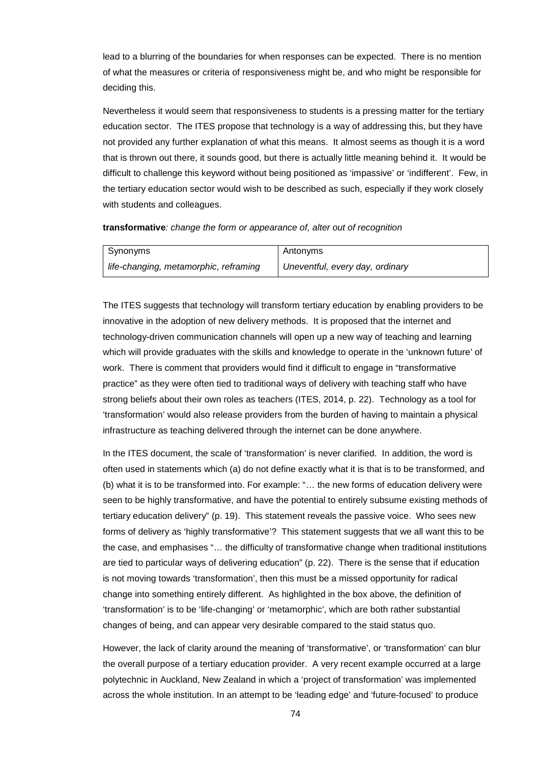lead to a blurring of the boundaries for when responses can be expected. There is no mention of what the measures or criteria of responsiveness might be, and who might be responsible for deciding this.

Nevertheless it would seem that responsiveness to students is a pressing matter for the tertiary education sector. The ITES propose that technology is a way of addressing this, but they have not provided any further explanation of what this means. It almost seems as though it is a word that is thrown out there, it sounds good, but there is actually little meaning behind it. It would be difficult to challenge this keyword without being positioned as 'impassive' or 'indifferent'. Few, in the tertiary education sector would wish to be described as such, especially if they work closely with students and colleagues.

#### **transformative***: change the form or appearance of, alter out of recognition*

| Synonyms                              | Antonyms                        |
|---------------------------------------|---------------------------------|
| life-changing, metamorphic, reframing | Uneventful, every day, ordinary |

The ITES suggests that technology will transform tertiary education by enabling providers to be innovative in the adoption of new delivery methods. It is proposed that the internet and technology-driven communication channels will open up a new way of teaching and learning which will provide graduates with the skills and knowledge to operate in the 'unknown future' of work. There is comment that providers would find it difficult to engage in "transformative practice" as they were often tied to traditional ways of delivery with teaching staff who have strong beliefs about their own roles as teachers (ITES, 2014, p. 22). Technology as a tool for 'transformation' would also release providers from the burden of having to maintain a physical infrastructure as teaching delivered through the internet can be done anywhere.

In the ITES document, the scale of 'transformation' is never clarified. In addition, the word is often used in statements which (a) do not define exactly what it is that is to be transformed, and (b) what it is to be transformed into. For example: "… the new forms of education delivery were seen to be highly transformative, and have the potential to entirely subsume existing methods of tertiary education delivery" (p. 19). This statement reveals the passive voice. Who sees new forms of delivery as 'highly transformative'? This statement suggests that we all want this to be the case, and emphasises "… the difficulty of transformative change when traditional institutions are tied to particular ways of delivering education" (p. 22). There is the sense that if education is not moving towards 'transformation', then this must be a missed opportunity for radical change into something entirely different. As highlighted in the box above, the definition of 'transformation' is to be 'life-changing' or 'metamorphic', which are both rather substantial changes of being, and can appear very desirable compared to the staid status quo.

However, the lack of clarity around the meaning of 'transformative', or 'transformation' can blur the overall purpose of a tertiary education provider. A very recent example occurred at a large polytechnic in Auckland, New Zealand in which a 'project of transformation' was implemented across the whole institution. In an attempt to be 'leading edge' and 'future-focused' to produce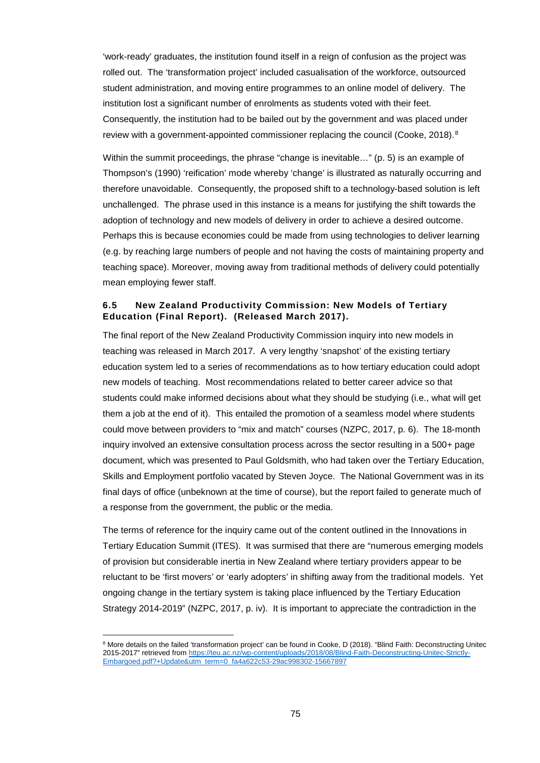'work-ready' graduates, the institution found itself in a reign of confusion as the project was rolled out. The 'transformation project' included casualisation of the workforce, outsourced student administration, and moving entire programmes to an online model of delivery. The institution lost a significant number of enrolments as students voted with their feet. Consequently, the institution had to be bailed out by the government and was placed under review with a government-appointed commissioner replacing the council (Cooke, 201[8](#page-74-0)).<sup>8</sup>

Within the summit proceedings, the phrase "change is inevitable…" (p. 5) is an example of Thompson's (1990) 'reification' mode whereby 'change' is illustrated as naturally occurring and therefore unavoidable. Consequently, the proposed shift to a technology-based solution is left unchallenged. The phrase used in this instance is a means for justifying the shift towards the adoption of technology and new models of delivery in order to achieve a desired outcome. Perhaps this is because economies could be made from using technologies to deliver learning (e.g. by reaching large numbers of people and not having the costs of maintaining property and teaching space). Moreover, moving away from traditional methods of delivery could potentially mean employing fewer staff.

# **6.5 New Zealand Productivity Commission: New Models of Tertiary Education (Final Report). (Released March 2017).**

The final report of the New Zealand Productivity Commission inquiry into new models in teaching was released in March 2017. A very lengthy 'snapshot' of the existing tertiary education system led to a series of recommendations as to how tertiary education could adopt new models of teaching. Most recommendations related to better career advice so that students could make informed decisions about what they should be studying (i.e., what will get them a job at the end of it). This entailed the promotion of a seamless model where students could move between providers to "mix and match" courses (NZPC, 2017, p. 6). The 18-month inquiry involved an extensive consultation process across the sector resulting in a 500+ page document, which was presented to Paul Goldsmith, who had taken over the Tertiary Education, Skills and Employment portfolio vacated by Steven Joyce. The National Government was in its final days of office (unbeknown at the time of course), but the report failed to generate much of a response from the government, the public or the media.

The terms of reference for the inquiry came out of the content outlined in the Innovations in Tertiary Education Summit (ITES). It was surmised that there are "numerous emerging models of provision but considerable inertia in New Zealand where tertiary providers appear to be reluctant to be 'first movers' or 'early adopters' in shifting away from the traditional models. Yet ongoing change in the tertiary system is taking place influenced by the Tertiary Education Strategy 2014-2019" (NZPC, 2017, p. iv). It is important to appreciate the contradiction in the

<span id="page-74-0"></span><sup>&</sup>lt;sup>8</sup> More details on the failed 'transformation project' can be found in Cooke, D (2018). "Blind Faith: Deconstructing Unitec 2015-2017" retrieved from [https://teu.ac.nz/wp-content/uploads/2018/08/Blind-Faith-Deconstructing-Unitec-Strictly-](https://teu.ac.nz/wp-content/uploads/2018/08/Blind-Faith-Deconstructing-Unitec-Strictly-Embargoed.pdf?+Update&utm_term=0_fa4a622c53-29ac998302-15667897)[Embargoed.pdf?+Update&utm\\_term=0\\_fa4a622c53-29ac998302-15667897](https://teu.ac.nz/wp-content/uploads/2018/08/Blind-Faith-Deconstructing-Unitec-Strictly-Embargoed.pdf?+Update&utm_term=0_fa4a622c53-29ac998302-15667897)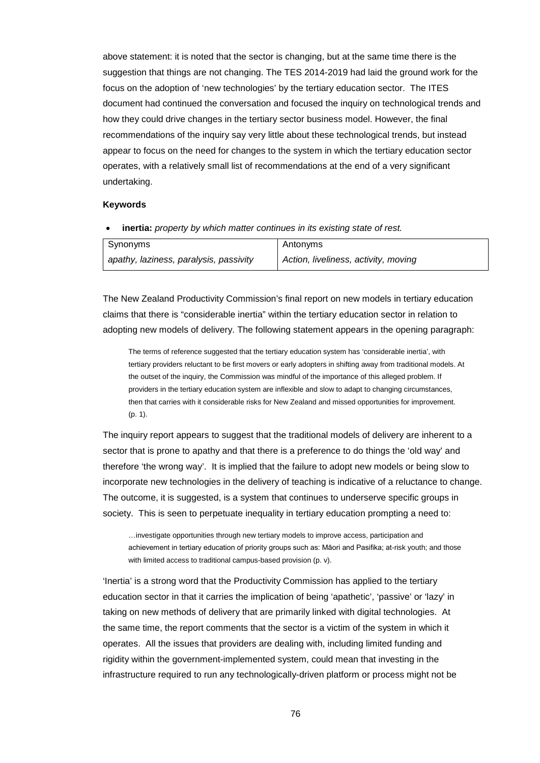above statement: it is noted that the sector is changing, but at the same time there is the suggestion that things are not changing. The TES 2014-2019 had laid the ground work for the focus on the adoption of 'new technologies' by the tertiary education sector. The ITES document had continued the conversation and focused the inquiry on technological trends and how they could drive changes in the tertiary sector business model. However, the final recommendations of the inquiry say very little about these technological trends, but instead appear to focus on the need for changes to the system in which the tertiary education sector operates, with a relatively small list of recommendations at the end of a very significant undertaking.

# **Keywords**

• **inertia:** *property by which matter continues in its existing state of rest.*

| Synonyms                               | Antonyms                             |
|----------------------------------------|--------------------------------------|
| apathy, laziness, paralysis, passivity | Action, liveliness, activity, moving |

The New Zealand Productivity Commission's final report on new models in tertiary education claims that there is "considerable inertia" within the tertiary education sector in relation to adopting new models of delivery. The following statement appears in the opening paragraph:

The terms of reference suggested that the tertiary education system has 'considerable inertia', with tertiary providers reluctant to be first movers or early adopters in shifting away from traditional models. At the outset of the inquiry, the Commission was mindful of the importance of this alleged problem. If providers in the tertiary education system are inflexible and slow to adapt to changing circumstances, then that carries with it considerable risks for New Zealand and missed opportunities for improvement. (p. 1).

The inquiry report appears to suggest that the traditional models of delivery are inherent to a sector that is prone to apathy and that there is a preference to do things the 'old way' and therefore 'the wrong way'. It is implied that the failure to adopt new models or being slow to incorporate new technologies in the delivery of teaching is indicative of a reluctance to change. The outcome, it is suggested, is a system that continues to underserve specific groups in society. This is seen to perpetuate inequality in tertiary education prompting a need to:

…investigate opportunities through new tertiary models to improve access, participation and achievement in tertiary education of priority groups such as: Māori and Pasifika; at-risk youth; and those with limited access to traditional campus-based provision (p. v).

'Inertia' is a strong word that the Productivity Commission has applied to the tertiary education sector in that it carries the implication of being 'apathetic', 'passive' or 'lazy' in taking on new methods of delivery that are primarily linked with digital technologies. At the same time, the report comments that the sector is a victim of the system in which it operates. All the issues that providers are dealing with, including limited funding and rigidity within the government-implemented system, could mean that investing in the infrastructure required to run any technologically-driven platform or process might not be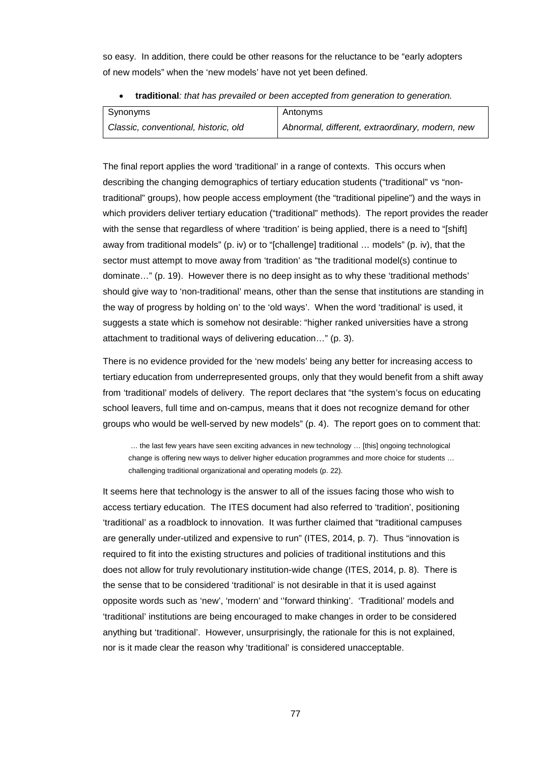so easy. In addition, there could be other reasons for the reluctance to be "early adopters of new models" when the 'new models' have not yet been defined.

• **traditional***: that has prevailed or been accepted from generation to generation.*

| Synonyms                             | Antonyms                                        |
|--------------------------------------|-------------------------------------------------|
| Classic, conventional, historic, old | Abnormal, different, extraordinary, modern, new |

The final report applies the word 'traditional' in a range of contexts. This occurs when describing the changing demographics of tertiary education students ("traditional" vs "nontraditional" groups), how people access employment (the "traditional pipeline") and the ways in which providers deliver tertiary education ("traditional" methods). The report provides the reader with the sense that regardless of where 'tradition' is being applied, there is a need to "[shift] away from traditional models" (p. iv) or to "[challenge] traditional … models" (p. iv), that the sector must attempt to move away from 'tradition' as "the traditional model(s) continue to dominate…" (p. 19). However there is no deep insight as to why these 'traditional methods' should give way to 'non-traditional' means, other than the sense that institutions are standing in the way of progress by holding on' to the 'old ways'. When the word 'traditional' is used, it suggests a state which is somehow not desirable: "higher ranked universities have a strong attachment to traditional ways of delivering education…" (p. 3).

There is no evidence provided for the 'new models' being any better for increasing access to tertiary education from underrepresented groups, only that they would benefit from a shift away from 'traditional' models of delivery. The report declares that "the system's focus on educating school leavers, full time and on-campus, means that it does not recognize demand for other groups who would be well-served by new models" (p. 4). The report goes on to comment that:

… the last few years have seen exciting advances in new technology … [this] ongoing technological change is offering new ways to deliver higher education programmes and more choice for students … challenging traditional organizational and operating models (p. 22).

It seems here that technology is the answer to all of the issues facing those who wish to access tertiary education. The ITES document had also referred to 'tradition', positioning 'traditional' as a roadblock to innovation. It was further claimed that "traditional campuses are generally under-utilized and expensive to run" (ITES, 2014, p. 7). Thus "innovation is required to fit into the existing structures and policies of traditional institutions and this does not allow for truly revolutionary institution-wide change (ITES, 2014, p. 8). There is the sense that to be considered 'traditional' is not desirable in that it is used against opposite words such as 'new', 'modern' and ''forward thinking'. 'Traditional' models and 'traditional' institutions are being encouraged to make changes in order to be considered anything but 'traditional'. However, unsurprisingly, the rationale for this is not explained, nor is it made clear the reason why 'traditional' is considered unacceptable.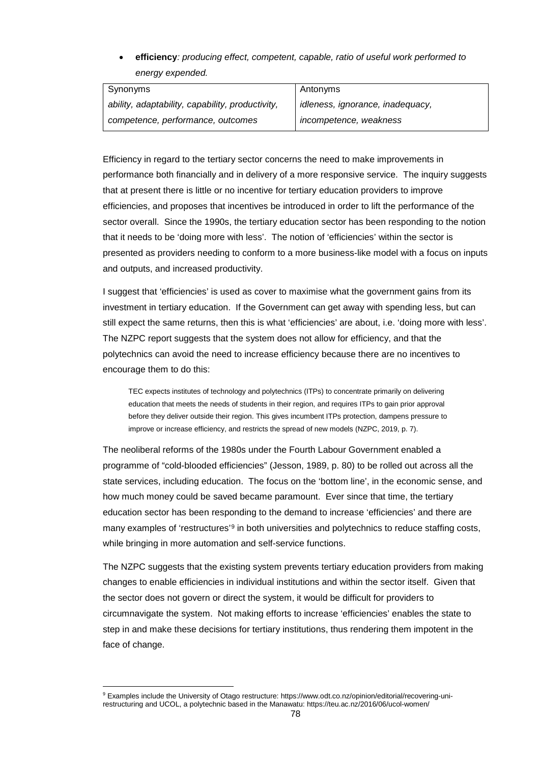• **efficiency***: producing effect, competent, capable, ratio of useful work performed to energy expended.*

| Synonyms                                         | Antonyms                         |
|--------------------------------------------------|----------------------------------|
| ability, adaptability, capability, productivity, | idleness, ignorance, inadequacy, |
| competence, performance, outcomes                | incompetence, weakness           |

Efficiency in regard to the tertiary sector concerns the need to make improvements in performance both financially and in delivery of a more responsive service. The inquiry suggests that at present there is little or no incentive for tertiary education providers to improve efficiencies, and proposes that incentives be introduced in order to lift the performance of the sector overall. Since the 1990s, the tertiary education sector has been responding to the notion that it needs to be 'doing more with less'. The notion of 'efficiencies' within the sector is presented as providers needing to conform to a more business-like model with a focus on inputs and outputs, and increased productivity.

I suggest that 'efficiencies' is used as cover to maximise what the government gains from its investment in tertiary education. If the Government can get away with spending less, but can still expect the same returns, then this is what 'efficiencies' are about, i.e. 'doing more with less'. The NZPC report suggests that the system does not allow for efficiency, and that the polytechnics can avoid the need to increase efficiency because there are no incentives to encourage them to do this:

TEC expects institutes of technology and polytechnics (ITPs) to concentrate primarily on delivering education that meets the needs of students in their region, and requires ITPs to gain prior approval before they deliver outside their region. This gives incumbent ITPs protection, dampens pressure to improve or increase efficiency, and restricts the spread of new models (NZPC, 2019, p. 7).

The neoliberal reforms of the 1980s under the Fourth Labour Government enabled a programme of "cold-blooded efficiencies" (Jesson, 1989, p. 80) to be rolled out across all the state services, including education. The focus on the 'bottom line', in the economic sense, and how much money could be saved became paramount. Ever since that time, the tertiary education sector has been responding to the demand to increase 'efficiencies' and there are many examples of 'restructures'<sup>[9](#page-77-0)</sup> in both universities and polytechnics to reduce staffing costs, while bringing in more automation and self-service functions.

The NZPC suggests that the existing system prevents tertiary education providers from making changes to enable efficiencies in individual institutions and within the sector itself. Given that the sector does not govern or direct the system, it would be difficult for providers to circumnavigate the system. Not making efforts to increase 'efficiencies' enables the state to step in and make these decisions for tertiary institutions, thus rendering them impotent in the face of change.

<span id="page-77-0"></span><sup>9</sup> Examples include the University of Otago restructure[: https://www.odt.co.nz/opinion/editorial/recovering-uni](https://www.odt.co.nz/opinion/editorial/recovering-uni-restructuring)[restructuring](https://www.odt.co.nz/opinion/editorial/recovering-uni-restructuring) and UCOL, a polytechnic based in the Manawatu[: https://teu.ac.nz/2016/06/ucol-women/](https://teu.ac.nz/2016/06/ucol-women/)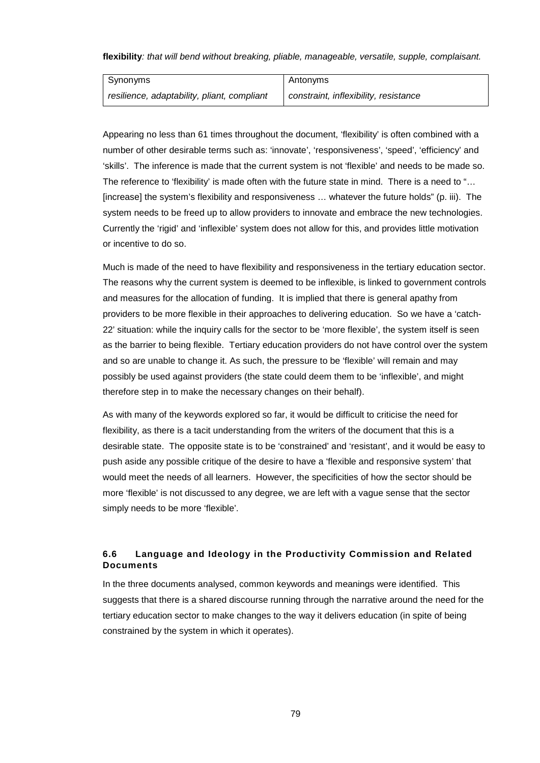**flexibility***: that will bend without breaking, pliable, manageable, versatile, supple, complaisant.*

| Synonyms                                    | Antonyms                              |
|---------------------------------------------|---------------------------------------|
| resilience, adaptability, pliant, compliant | constraint, inflexibility, resistance |

Appearing no less than 61 times throughout the document, 'flexibility' is often combined with a number of other desirable terms such as: 'innovate', 'responsiveness', 'speed', 'efficiency' and 'skills'. The inference is made that the current system is not 'flexible' and needs to be made so. The reference to 'flexibility' is made often with the future state in mind. There is a need to "… [increase] the system's flexibility and responsiveness … whatever the future holds" (p. iii). The system needs to be freed up to allow providers to innovate and embrace the new technologies. Currently the 'rigid' and 'inflexible' system does not allow for this, and provides little motivation or incentive to do so.

Much is made of the need to have flexibility and responsiveness in the tertiary education sector. The reasons why the current system is deemed to be inflexible, is linked to government controls and measures for the allocation of funding. It is implied that there is general apathy from providers to be more flexible in their approaches to delivering education. So we have a 'catch-22' situation: while the inquiry calls for the sector to be 'more flexible', the system itself is seen as the barrier to being flexible. Tertiary education providers do not have control over the system and so are unable to change it. As such, the pressure to be 'flexible' will remain and may possibly be used against providers (the state could deem them to be 'inflexible', and might therefore step in to make the necessary changes on their behalf).

As with many of the keywords explored so far, it would be difficult to criticise the need for flexibility, as there is a tacit understanding from the writers of the document that this is a desirable state. The opposite state is to be 'constrained' and 'resistant', and it would be easy to push aside any possible critique of the desire to have a 'flexible and responsive system' that would meet the needs of all learners. However, the specificities of how the sector should be more 'flexible' is not discussed to any degree, we are left with a vague sense that the sector simply needs to be more 'flexible'.

# **6.6 Language and Ideology in the Productivity Commission and Related Documents**

In the three documents analysed, common keywords and meanings were identified. This suggests that there is a shared discourse running through the narrative around the need for the tertiary education sector to make changes to the way it delivers education (in spite of being constrained by the system in which it operates).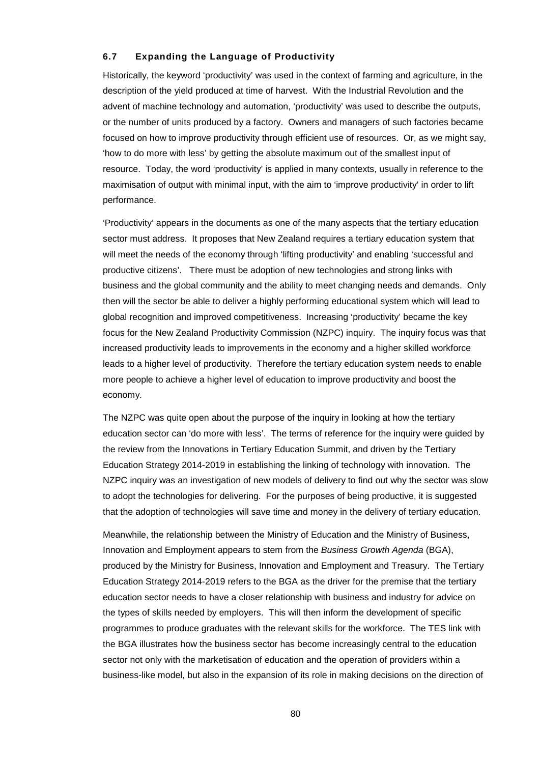### **6.7 Expanding the Language of Productivity**

Historically, the keyword 'productivity' was used in the context of farming and agriculture, in the description of the yield produced at time of harvest. With the Industrial Revolution and the advent of machine technology and automation, 'productivity' was used to describe the outputs, or the number of units produced by a factory. Owners and managers of such factories became focused on how to improve productivity through efficient use of resources. Or, as we might say, 'how to do more with less' by getting the absolute maximum out of the smallest input of resource. Today, the word 'productivity' is applied in many contexts, usually in reference to the maximisation of output with minimal input, with the aim to 'improve productivity' in order to lift performance.

'Productivity' appears in the documents as one of the many aspects that the tertiary education sector must address. It proposes that New Zealand requires a tertiary education system that will meet the needs of the economy through 'lifting productivity' and enabling 'successful and productive citizens'. There must be adoption of new technologies and strong links with business and the global community and the ability to meet changing needs and demands. Only then will the sector be able to deliver a highly performing educational system which will lead to global recognition and improved competitiveness. Increasing 'productivity' became the key focus for the New Zealand Productivity Commission (NZPC) inquiry. The inquiry focus was that increased productivity leads to improvements in the economy and a higher skilled workforce leads to a higher level of productivity. Therefore the tertiary education system needs to enable more people to achieve a higher level of education to improve productivity and boost the economy.

The NZPC was quite open about the purpose of the inquiry in looking at how the tertiary education sector can 'do more with less'. The terms of reference for the inquiry were guided by the review from the Innovations in Tertiary Education Summit, and driven by the Tertiary Education Strategy 2014-2019 in establishing the linking of technology with innovation. The NZPC inquiry was an investigation of new models of delivery to find out why the sector was slow to adopt the technologies for delivering. For the purposes of being productive, it is suggested that the adoption of technologies will save time and money in the delivery of tertiary education.

Meanwhile, the relationship between the Ministry of Education and the Ministry of Business, Innovation and Employment appears to stem from the *Business Growth Agenda* (BGA), produced by the Ministry for Business, Innovation and Employment and Treasury. The Tertiary Education Strategy 2014-2019 refers to the BGA as the driver for the premise that the tertiary education sector needs to have a closer relationship with business and industry for advice on the types of skills needed by employers. This will then inform the development of specific programmes to produce graduates with the relevant skills for the workforce. The TES link with the BGA illustrates how the business sector has become increasingly central to the education sector not only with the marketisation of education and the operation of providers within a business-like model, but also in the expansion of its role in making decisions on the direction of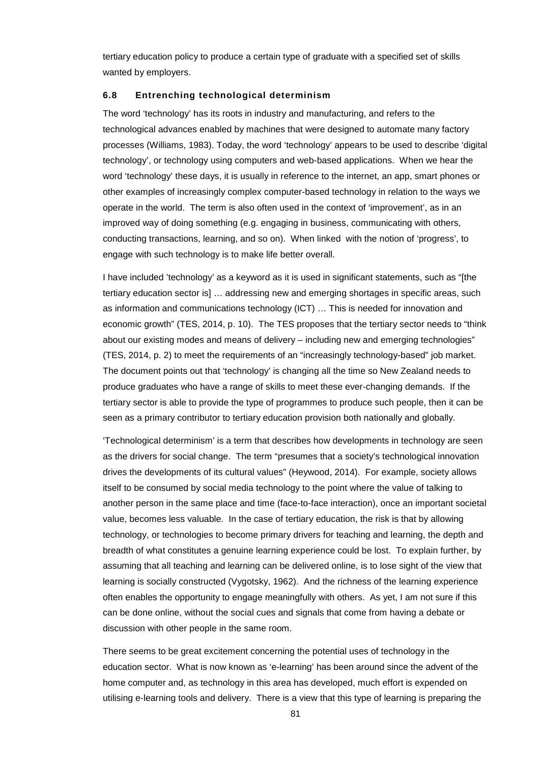tertiary education policy to produce a certain type of graduate with a specified set of skills wanted by employers.

### **6.8 Entrenching technological determinism**

The word 'technology' has its roots in industry and manufacturing, and refers to the technological advances enabled by machines that were designed to automate many factory processes (Williams, 1983). Today, the word 'technology' appears to be used to describe 'digital technology', or technology using computers and web-based applications. When we hear the word 'technology' these days, it is usually in reference to the internet, an app, smart phones or other examples of increasingly complex computer-based technology in relation to the ways we operate in the world. The term is also often used in the context of 'improvement', as in an improved way of doing something (e.g. engaging in business, communicating with others, conducting transactions, learning, and so on). When linked with the notion of 'progress', to engage with such technology is to make life better overall.

I have included 'technology' as a keyword as it is used in significant statements, such as "[the tertiary education sector is] … addressing new and emerging shortages in specific areas, such as information and communications technology (ICT) … This is needed for innovation and economic growth" (TES, 2014, p. 10). The TES proposes that the tertiary sector needs to "think about our existing modes and means of delivery – including new and emerging technologies" (TES, 2014, p. 2) to meet the requirements of an "increasingly technology-based" job market. The document points out that 'technology' is changing all the time so New Zealand needs to produce graduates who have a range of skills to meet these ever-changing demands. If the tertiary sector is able to provide the type of programmes to produce such people, then it can be seen as a primary contributor to tertiary education provision both nationally and globally.

'Technological determinism' is a term that describes how developments in technology are seen as the drivers for social change. The term "presumes that a society's technological innovation drives the developments of its cultural values" (Heywood, 2014). For example, society allows itself to be consumed by social media technology to the point where the value of talking to another person in the same place and time (face-to-face interaction), once an important societal value, becomes less valuable. In the case of tertiary education, the risk is that by allowing technology, or technologies to become primary drivers for teaching and learning, the depth and breadth of what constitutes a genuine learning experience could be lost. To explain further, by assuming that all teaching and learning can be delivered online, is to lose sight of the view that learning is socially constructed (Vygotsky, 1962). And the richness of the learning experience often enables the opportunity to engage meaningfully with others. As yet, I am not sure if this can be done online, without the social cues and signals that come from having a debate or discussion with other people in the same room.

There seems to be great excitement concerning the potential uses of technology in the education sector. What is now known as 'e-learning' has been around since the advent of the home computer and, as technology in this area has developed, much effort is expended on utilising e-learning tools and delivery. There is a view that this type of learning is preparing the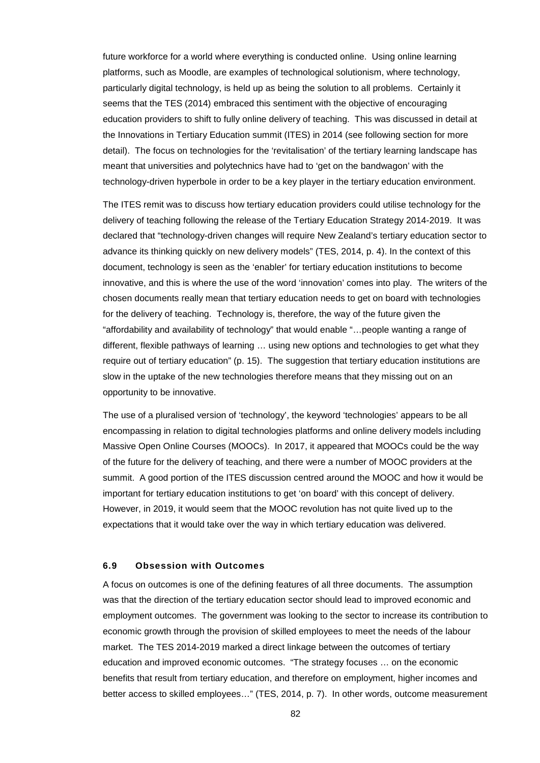future workforce for a world where everything is conducted online. Using online learning platforms, such as Moodle, are examples of technological solutionism, where technology, particularly digital technology, is held up as being the solution to all problems. Certainly it seems that the TES (2014) embraced this sentiment with the objective of encouraging education providers to shift to fully online delivery of teaching. This was discussed in detail at the Innovations in Tertiary Education summit (ITES) in 2014 (see following section for more detail). The focus on technologies for the 'revitalisation' of the tertiary learning landscape has meant that universities and polytechnics have had to 'get on the bandwagon' with the technology-driven hyperbole in order to be a key player in the tertiary education environment.

The ITES remit was to discuss how tertiary education providers could utilise technology for the delivery of teaching following the release of the Tertiary Education Strategy 2014-2019. It was declared that "technology-driven changes will require New Zealand's tertiary education sector to advance its thinking quickly on new delivery models" (TES, 2014, p. 4). In the context of this document, technology is seen as the 'enabler' for tertiary education institutions to become innovative, and this is where the use of the word 'innovation' comes into play. The writers of the chosen documents really mean that tertiary education needs to get on board with technologies for the delivery of teaching. Technology is, therefore, the way of the future given the "affordability and availability of technology" that would enable "…people wanting a range of different, flexible pathways of learning … using new options and technologies to get what they require out of tertiary education" (p. 15). The suggestion that tertiary education institutions are slow in the uptake of the new technologies therefore means that they missing out on an opportunity to be innovative.

The use of a pluralised version of 'technology', the keyword 'technologies' appears to be all encompassing in relation to digital technologies platforms and online delivery models including Massive Open Online Courses (MOOCs). In 2017, it appeared that MOOCs could be the way of the future for the delivery of teaching, and there were a number of MOOC providers at the summit. A good portion of the ITES discussion centred around the MOOC and how it would be important for tertiary education institutions to get 'on board' with this concept of delivery. However, in 2019, it would seem that the MOOC revolution has not quite lived up to the expectations that it would take over the way in which tertiary education was delivered.

### **6.9 Obsession with Outcomes**

A focus on outcomes is one of the defining features of all three documents. The assumption was that the direction of the tertiary education sector should lead to improved economic and employment outcomes. The government was looking to the sector to increase its contribution to economic growth through the provision of skilled employees to meet the needs of the labour market. The TES 2014-2019 marked a direct linkage between the outcomes of tertiary education and improved economic outcomes. "The strategy focuses … on the economic benefits that result from tertiary education, and therefore on employment, higher incomes and better access to skilled employees…" (TES, 2014, p. 7). In other words, outcome measurement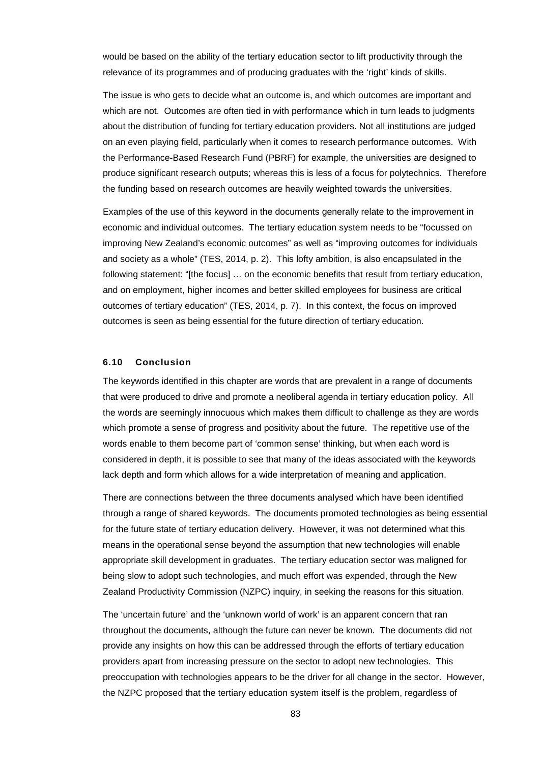would be based on the ability of the tertiary education sector to lift productivity through the relevance of its programmes and of producing graduates with the 'right' kinds of skills.

The issue is who gets to decide what an outcome is, and which outcomes are important and which are not. Outcomes are often tied in with performance which in turn leads to judgments about the distribution of funding for tertiary education providers. Not all institutions are judged on an even playing field, particularly when it comes to research performance outcomes. With the Performance-Based Research Fund (PBRF) for example, the universities are designed to produce significant research outputs; whereas this is less of a focus for polytechnics. Therefore the funding based on research outcomes are heavily weighted towards the universities.

Examples of the use of this keyword in the documents generally relate to the improvement in economic and individual outcomes. The tertiary education system needs to be "focussed on improving New Zealand's economic outcomes" as well as "improving outcomes for individuals and society as a whole" (TES, 2014, p. 2). This lofty ambition, is also encapsulated in the following statement: "[the focus] ... on the economic benefits that result from tertiary education, and on employment, higher incomes and better skilled employees for business are critical outcomes of tertiary education" (TES, 2014, p. 7). In this context, the focus on improved outcomes is seen as being essential for the future direction of tertiary education.

## **6.10 Conclusion**

The keywords identified in this chapter are words that are prevalent in a range of documents that were produced to drive and promote a neoliberal agenda in tertiary education policy. All the words are seemingly innocuous which makes them difficult to challenge as they are words which promote a sense of progress and positivity about the future. The repetitive use of the words enable to them become part of 'common sense' thinking, but when each word is considered in depth, it is possible to see that many of the ideas associated with the keywords lack depth and form which allows for a wide interpretation of meaning and application.

There are connections between the three documents analysed which have been identified through a range of shared keywords. The documents promoted technologies as being essential for the future state of tertiary education delivery. However, it was not determined what this means in the operational sense beyond the assumption that new technologies will enable appropriate skill development in graduates. The tertiary education sector was maligned for being slow to adopt such technologies, and much effort was expended, through the New Zealand Productivity Commission (NZPC) inquiry, in seeking the reasons for this situation.

The 'uncertain future' and the 'unknown world of work' is an apparent concern that ran throughout the documents, although the future can never be known. The documents did not provide any insights on how this can be addressed through the efforts of tertiary education providers apart from increasing pressure on the sector to adopt new technologies. This preoccupation with technologies appears to be the driver for all change in the sector. However, the NZPC proposed that the tertiary education system itself is the problem, regardless of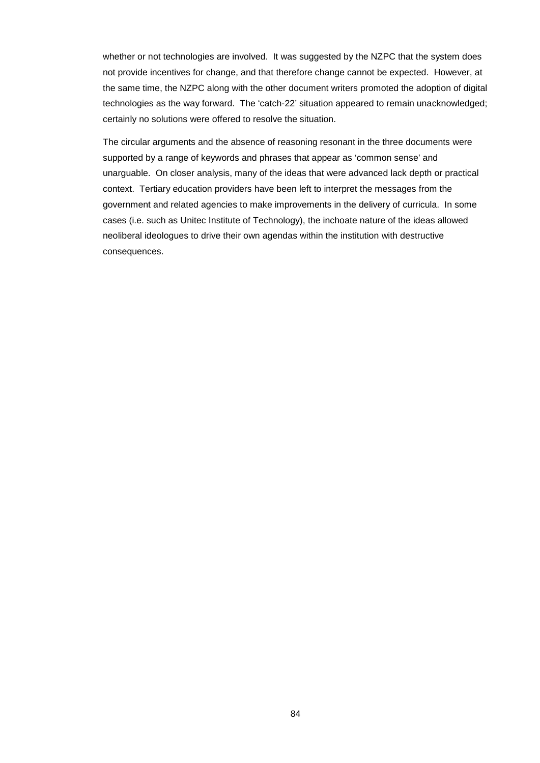whether or not technologies are involved. It was suggested by the NZPC that the system does not provide incentives for change, and that therefore change cannot be expected. However, at the same time, the NZPC along with the other document writers promoted the adoption of digital technologies as the way forward. The 'catch-22' situation appeared to remain unacknowledged; certainly no solutions were offered to resolve the situation.

The circular arguments and the absence of reasoning resonant in the three documents were supported by a range of keywords and phrases that appear as 'common sense' and unarguable. On closer analysis, many of the ideas that were advanced lack depth or practical context. Tertiary education providers have been left to interpret the messages from the government and related agencies to make improvements in the delivery of curricula. In some cases (i.e. such as Unitec Institute of Technology), the inchoate nature of the ideas allowed neoliberal ideologues to drive their own agendas within the institution with destructive consequences.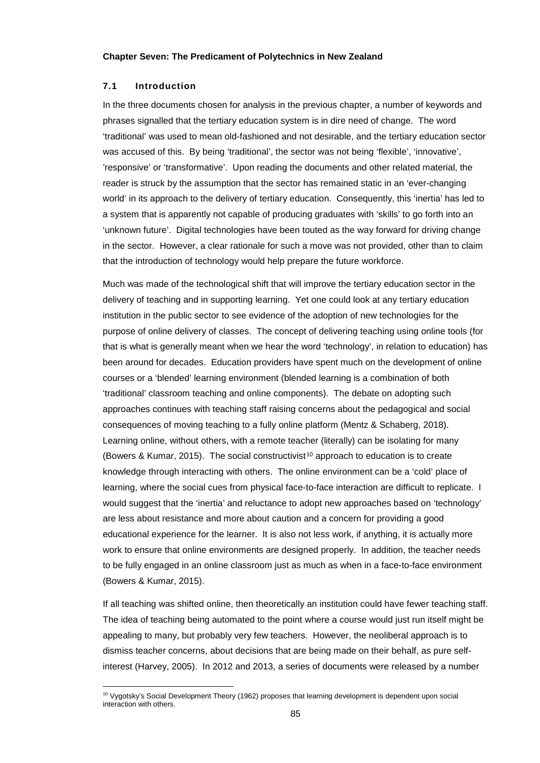### **7.1 Introduction**

1

In the three documents chosen for analysis in the previous chapter, a number of keywords and phrases signalled that the tertiary education system is in dire need of change. The word 'traditional' was used to mean old-fashioned and not desirable, and the tertiary education sector was accused of this. By being 'traditional', the sector was not being 'flexible', 'innovative', 'responsive' or 'transformative'. Upon reading the documents and other related material, the reader is struck by the assumption that the sector has remained static in an 'ever-changing world' in its approach to the delivery of tertiary education. Consequently, this 'inertia' has led to a system that is apparently not capable of producing graduates with 'skills' to go forth into an 'unknown future'. Digital technologies have been touted as the way forward for driving change in the sector. However, a clear rationale for such a move was not provided, other than to claim that the introduction of technology would help prepare the future workforce.

Much was made of the technological shift that will improve the tertiary education sector in the delivery of teaching and in supporting learning. Yet one could look at any tertiary education institution in the public sector to see evidence of the adoption of new technologies for the purpose of online delivery of classes. The concept of delivering teaching using online tools (for that is what is generally meant when we hear the word 'technology', in relation to education) has been around for decades. Education providers have spent much on the development of online courses or a 'blended' learning environment (blended learning is a combination of both 'traditional' classroom teaching and online components). The debate on adopting such approaches continues with teaching staff raising concerns about the pedagogical and social consequences of moving teaching to a fully online platform (Mentz & Schaberg, 2018). Learning online, without others, with a remote teacher (literally) can be isolating for many (Bowers & Kumar, 2015). The social constructivist<sup>[10](#page-84-0)</sup> approach to education is to create knowledge through interacting with others. The online environment can be a 'cold' place of learning, where the social cues from physical face-to-face interaction are difficult to replicate. I would suggest that the 'inertia' and reluctance to adopt new approaches based on 'technology' are less about resistance and more about caution and a concern for providing a good educational experience for the learner. It is also not less work, if anything, it is actually more work to ensure that online environments are designed properly. In addition, the teacher needs to be fully engaged in an online classroom just as much as when in a face-to-face environment (Bowers & Kumar, 2015).

If all teaching was shifted online, then theoretically an institution could have fewer teaching staff. The idea of teaching being automated to the point where a course would just run itself might be appealing to many, but probably very few teachers. However, the neoliberal approach is to dismiss teacher concerns, about decisions that are being made on their behalf, as pure selfinterest (Harvey, 2005). In 2012 and 2013, a series of documents were released by a number

<span id="page-84-0"></span><sup>&</sup>lt;sup>10</sup> Vygotsky's Social Development Theory (1962) proposes that learning development is dependent upon social interaction with others.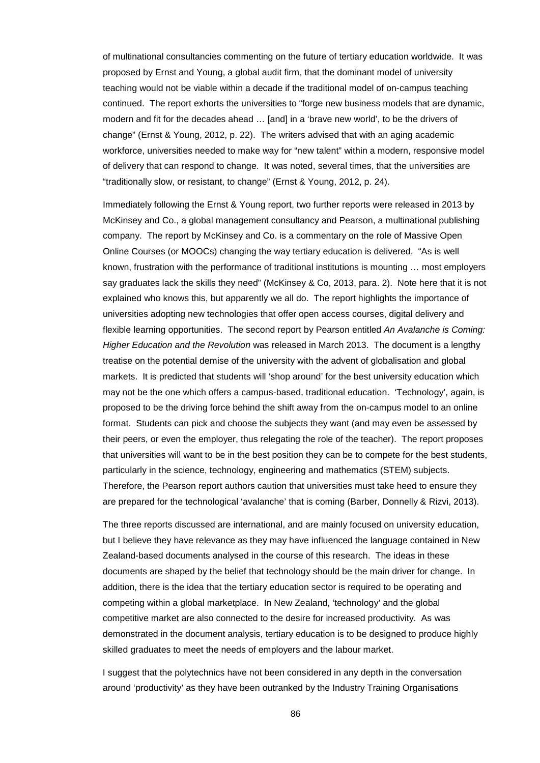of multinational consultancies commenting on the future of tertiary education worldwide. It was proposed by Ernst and Young, a global audit firm, that the dominant model of university teaching would not be viable within a decade if the traditional model of on-campus teaching continued. The report exhorts the universities to "forge new business models that are dynamic, modern and fit for the decades ahead … [and] in a 'brave new world', to be the drivers of change" (Ernst & Young, 2012, p. 22). The writers advised that with an aging academic workforce, universities needed to make way for "new talent" within a modern, responsive model of delivery that can respond to change. It was noted, several times, that the universities are "traditionally slow, or resistant, to change" (Ernst & Young, 2012, p. 24).

Immediately following the Ernst & Young report, two further reports were released in 2013 by McKinsey and Co., a global management consultancy and Pearson, a multinational publishing company. The report by McKinsey and Co. is a commentary on the role of Massive Open Online Courses (or MOOCs) changing the way tertiary education is delivered. "As is well known, frustration with the performance of traditional institutions is mounting … most employers say graduates lack the skills they need" (McKinsey & Co, 2013, para. 2). Note here that it is not explained who knows this, but apparently we all do. The report highlights the importance of universities adopting new technologies that offer open access courses, digital delivery and flexible learning opportunities. The second report by Pearson entitled *An Avalanche is Coming: Higher Education and the Revolution* was released in March 2013. The document is a lengthy treatise on the potential demise of the university with the advent of globalisation and global markets. It is predicted that students will 'shop around' for the best university education which may not be the one which offers a campus-based, traditional education. 'Technology', again, is proposed to be the driving force behind the shift away from the on-campus model to an online format. Students can pick and choose the subjects they want (and may even be assessed by their peers, or even the employer, thus relegating the role of the teacher). The report proposes that universities will want to be in the best position they can be to compete for the best students, particularly in the science, technology, engineering and mathematics (STEM) subjects. Therefore, the Pearson report authors caution that universities must take heed to ensure they are prepared for the technological 'avalanche' that is coming (Barber, Donnelly & Rizvi, 2013).

The three reports discussed are international, and are mainly focused on university education, but I believe they have relevance as they may have influenced the language contained in New Zealand-based documents analysed in the course of this research. The ideas in these documents are shaped by the belief that technology should be the main driver for change. In addition, there is the idea that the tertiary education sector is required to be operating and competing within a global marketplace. In New Zealand, 'technology' and the global competitive market are also connected to the desire for increased productivity. As was demonstrated in the document analysis, tertiary education is to be designed to produce highly skilled graduates to meet the needs of employers and the labour market.

I suggest that the polytechnics have not been considered in any depth in the conversation around 'productivity' as they have been outranked by the Industry Training Organisations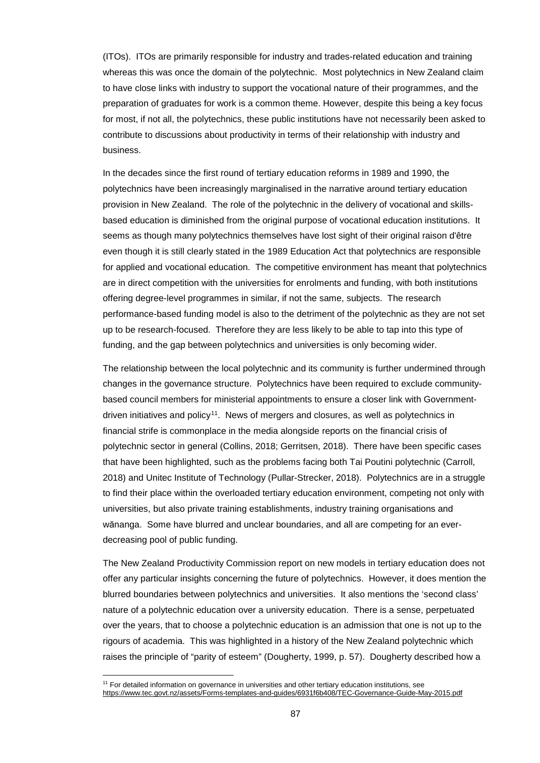(ITOs). ITOs are primarily responsible for industry and trades-related education and training whereas this was once the domain of the polytechnic. Most polytechnics in New Zealand claim to have close links with industry to support the vocational nature of their programmes, and the preparation of graduates for work is a common theme. However, despite this being a key focus for most, if not all, the polytechnics, these public institutions have not necessarily been asked to contribute to discussions about productivity in terms of their relationship with industry and business.

In the decades since the first round of tertiary education reforms in 1989 and 1990, the polytechnics have been increasingly marginalised in the narrative around tertiary education provision in New Zealand. The role of the polytechnic in the delivery of vocational and skillsbased education is diminished from the original purpose of vocational education institutions. It seems as though many polytechnics themselves have lost sight of their original raison d'être even though it is still clearly stated in the 1989 Education Act that polytechnics are responsible for applied and vocational education. The competitive environment has meant that polytechnics are in direct competition with the universities for enrolments and funding, with both institutions offering degree-level programmes in similar, if not the same, subjects. The research performance-based funding model is also to the detriment of the polytechnic as they are not set up to be research-focused. Therefore they are less likely to be able to tap into this type of funding, and the gap between polytechnics and universities is only becoming wider.

The relationship between the local polytechnic and its community is further undermined through changes in the governance structure. Polytechnics have been required to exclude communitybased council members for ministerial appointments to ensure a closer link with Government-driven initiatives and policy<sup>[11](#page-86-0)</sup>. News of mergers and closures, as well as polytechnics in financial strife is commonplace in the media alongside reports on the financial crisis of polytechnic sector in general (Collins, 2018; Gerritsen, 2018). There have been specific cases that have been highlighted, such as the problems facing both Tai Poutini polytechnic (Carroll, 2018) and Unitec Institute of Technology (Pullar-Strecker, 2018). Polytechnics are in a struggle to find their place within the overloaded tertiary education environment, competing not only with universities, but also private training establishments, industry training organisations and wānanga. Some have blurred and unclear boundaries, and all are competing for an everdecreasing pool of public funding.

The New Zealand Productivity Commission report on new models in tertiary education does not offer any particular insights concerning the future of polytechnics. However, it does mention the blurred boundaries between polytechnics and universities. It also mentions the 'second class' nature of a polytechnic education over a university education. There is a sense, perpetuated over the years, that to choose a polytechnic education is an admission that one is not up to the rigours of academia. This was highlighted in a history of the New Zealand polytechnic which raises the principle of "parity of esteem" (Dougherty, 1999, p. 57). Dougherty described how a

<span id="page-86-0"></span><sup>&</sup>lt;sup>11</sup> For detailed information on governance in universities and other tertiary education institutions, see <https://www.tec.govt.nz/assets/Forms-templates-and-guides/6931f6b408/TEC-Governance-Guide-May-2015.pdf>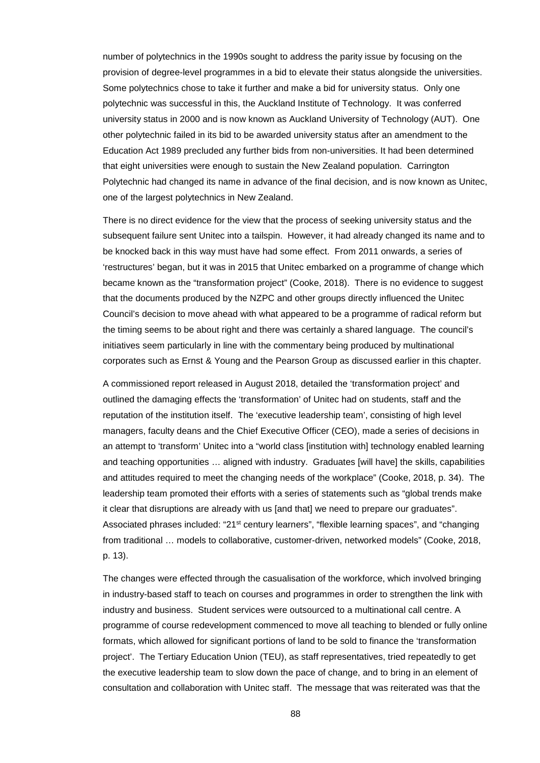number of polytechnics in the 1990s sought to address the parity issue by focusing on the provision of degree-level programmes in a bid to elevate their status alongside the universities. Some polytechnics chose to take it further and make a bid for university status. Only one polytechnic was successful in this, the Auckland Institute of Technology. It was conferred university status in 2000 and is now known as Auckland University of Technology (AUT). One other polytechnic failed in its bid to be awarded university status after an amendment to the Education Act 1989 precluded any further bids from non-universities. It had been determined that eight universities were enough to sustain the New Zealand population. Carrington Polytechnic had changed its name in advance of the final decision, and is now known as Unitec, one of the largest polytechnics in New Zealand.

There is no direct evidence for the view that the process of seeking university status and the subsequent failure sent Unitec into a tailspin. However, it had already changed its name and to be knocked back in this way must have had some effect. From 2011 onwards, a series of 'restructures' began, but it was in 2015 that Unitec embarked on a programme of change which became known as the "transformation project" (Cooke, 2018). There is no evidence to suggest that the documents produced by the NZPC and other groups directly influenced the Unitec Council's decision to move ahead with what appeared to be a programme of radical reform but the timing seems to be about right and there was certainly a shared language. The council's initiatives seem particularly in line with the commentary being produced by multinational corporates such as Ernst & Young and the Pearson Group as discussed earlier in this chapter.

A commissioned report released in August 2018, detailed the 'transformation project' and outlined the damaging effects the 'transformation' of Unitec had on students, staff and the reputation of the institution itself. The 'executive leadership team', consisting of high level managers, faculty deans and the Chief Executive Officer (CEO), made a series of decisions in an attempt to 'transform' Unitec into a "world class [institution with] technology enabled learning and teaching opportunities … aligned with industry. Graduates [will have] the skills, capabilities and attitudes required to meet the changing needs of the workplace" (Cooke, 2018, p. 34). The leadership team promoted their efforts with a series of statements such as "global trends make it clear that disruptions are already with us [and that] we need to prepare our graduates". Associated phrases included: "21<sup>st</sup> century learners", "flexible learning spaces", and "changing from traditional … models to collaborative, customer-driven, networked models" (Cooke, 2018, p. 13).

The changes were effected through the casualisation of the workforce, which involved bringing in industry-based staff to teach on courses and programmes in order to strengthen the link with industry and business. Student services were outsourced to a multinational call centre. A programme of course redevelopment commenced to move all teaching to blended or fully online formats, which allowed for significant portions of land to be sold to finance the 'transformation project'. The Tertiary Education Union (TEU), as staff representatives, tried repeatedly to get the executive leadership team to slow down the pace of change, and to bring in an element of consultation and collaboration with Unitec staff. The message that was reiterated was that the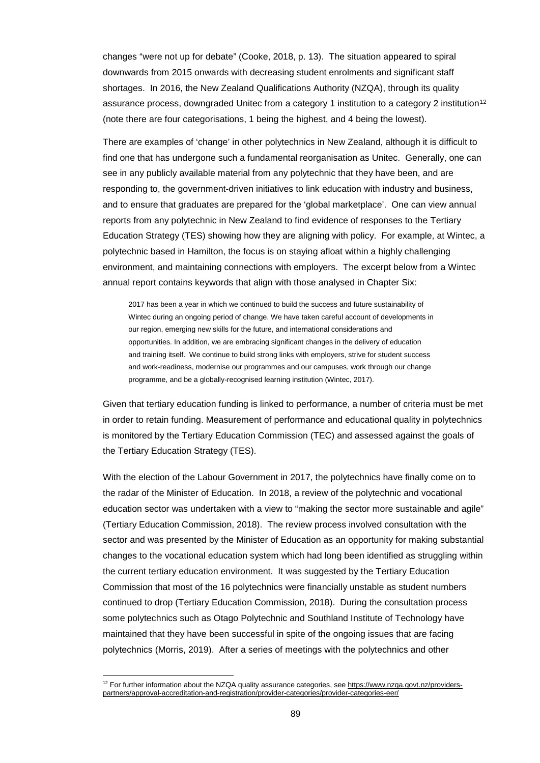changes "were not up for debate" (Cooke, 2018, p. 13). The situation appeared to spiral downwards from 2015 onwards with decreasing student enrolments and significant staff shortages. In 2016, the New Zealand Qualifications Authority (NZQA), through its quality assurance process, downgraded Unitec from a category 1 institution to a category 2 institution<sup>[12](#page-88-0)</sup> (note there are four categorisations, 1 being the highest, and 4 being the lowest).

There are examples of 'change' in other polytechnics in New Zealand, although it is difficult to find one that has undergone such a fundamental reorganisation as Unitec. Generally, one can see in any publicly available material from any polytechnic that they have been, and are responding to, the government-driven initiatives to link education with industry and business, and to ensure that graduates are prepared for the 'global marketplace'. One can view annual reports from any polytechnic in New Zealand to find evidence of responses to the Tertiary Education Strategy (TES) showing how they are aligning with policy. For example, at Wintec, a polytechnic based in Hamilton, the focus is on staying afloat within a highly challenging environment, and maintaining connections with employers. The excerpt below from a Wintec annual report contains keywords that align with those analysed in Chapter Six:

2017 has been a year in which we continued to build the success and future sustainability of Wintec during an ongoing period of change. We have taken careful account of developments in our region, emerging new skills for the future, and international considerations and opportunities. In addition, we are embracing significant changes in the delivery of education and training itself. We continue to build strong links with employers, strive for student success and work-readiness, modernise our programmes and our campuses, work through our change programme, and be a globally-recognised learning institution (Wintec, 2017).

Given that tertiary education funding is linked to performance, a number of criteria must be met in order to retain funding. Measurement of performance and educational quality in polytechnics is monitored by the Tertiary Education Commission (TEC) and assessed against the goals of the Tertiary Education Strategy (TES).

With the election of the Labour Government in 2017, the polytechnics have finally come on to the radar of the Minister of Education. In 2018, a review of the polytechnic and vocational education sector was undertaken with a view to "making the sector more sustainable and agile" (Tertiary Education Commission, 2018). The review process involved consultation with the sector and was presented by the Minister of Education as an opportunity for making substantial changes to the vocational education system which had long been identified as struggling within the current tertiary education environment. It was suggested by the Tertiary Education Commission that most of the 16 polytechnics were financially unstable as student numbers continued to drop (Tertiary Education Commission, 2018). During the consultation process some polytechnics such as Otago Polytechnic and Southland Institute of Technology have maintained that they have been successful in spite of the ongoing issues that are facing polytechnics (Morris, 2019). After a series of meetings with the polytechnics and other

<span id="page-88-0"></span><sup>&</sup>lt;sup>12</sup> For further information about the NZQA quality assurance categories, se[e https://www.nzqa.govt.nz/providers](https://www.nzqa.govt.nz/providers-partners/approval-accreditation-and-registration/provider-categories/provider-categories-eer/)[partners/approval-accreditation-and-registration/provider-categories/provider-categories-eer/](https://www.nzqa.govt.nz/providers-partners/approval-accreditation-and-registration/provider-categories/provider-categories-eer/)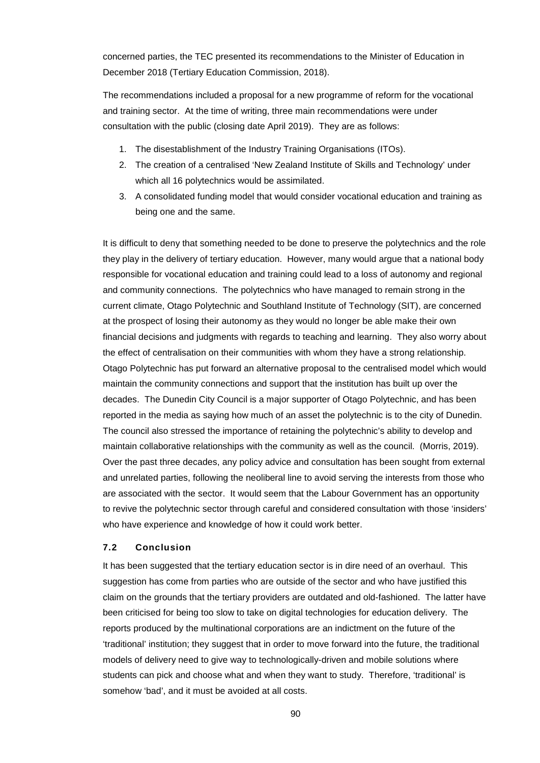concerned parties, the TEC presented its recommendations to the Minister of Education in December 2018 (Tertiary Education Commission, 2018).

The recommendations included a proposal for a new programme of reform for the vocational and training sector. At the time of writing, three main recommendations were under consultation with the public (closing date April 2019). They are as follows:

- 1. The disestablishment of the Industry Training Organisations (ITOs).
- 2. The creation of a centralised 'New Zealand Institute of Skills and Technology' under which all 16 polytechnics would be assimilated.
- 3. A consolidated funding model that would consider vocational education and training as being one and the same.

It is difficult to deny that something needed to be done to preserve the polytechnics and the role they play in the delivery of tertiary education. However, many would argue that a national body responsible for vocational education and training could lead to a loss of autonomy and regional and community connections. The polytechnics who have managed to remain strong in the current climate, Otago Polytechnic and Southland Institute of Technology (SIT), are concerned at the prospect of losing their autonomy as they would no longer be able make their own financial decisions and judgments with regards to teaching and learning. They also worry about the effect of centralisation on their communities with whom they have a strong relationship. Otago Polytechnic has put forward an alternative proposal to the centralised model which would maintain the community connections and support that the institution has built up over the decades. The Dunedin City Council is a major supporter of Otago Polytechnic, and has been reported in the media as saying how much of an asset the polytechnic is to the city of Dunedin. The council also stressed the importance of retaining the polytechnic's ability to develop and maintain collaborative relationships with the community as well as the council. (Morris, 2019). Over the past three decades, any policy advice and consultation has been sought from external and unrelated parties, following the neoliberal line to avoid serving the interests from those who are associated with the sector. It would seem that the Labour Government has an opportunity to revive the polytechnic sector through careful and considered consultation with those 'insiders' who have experience and knowledge of how it could work better.

#### **7.2 Conclusion**

It has been suggested that the tertiary education sector is in dire need of an overhaul. This suggestion has come from parties who are outside of the sector and who have justified this claim on the grounds that the tertiary providers are outdated and old-fashioned. The latter have been criticised for being too slow to take on digital technologies for education delivery. The reports produced by the multinational corporations are an indictment on the future of the 'traditional' institution; they suggest that in order to move forward into the future, the traditional models of delivery need to give way to technologically-driven and mobile solutions where students can pick and choose what and when they want to study. Therefore, 'traditional' is somehow 'bad', and it must be avoided at all costs.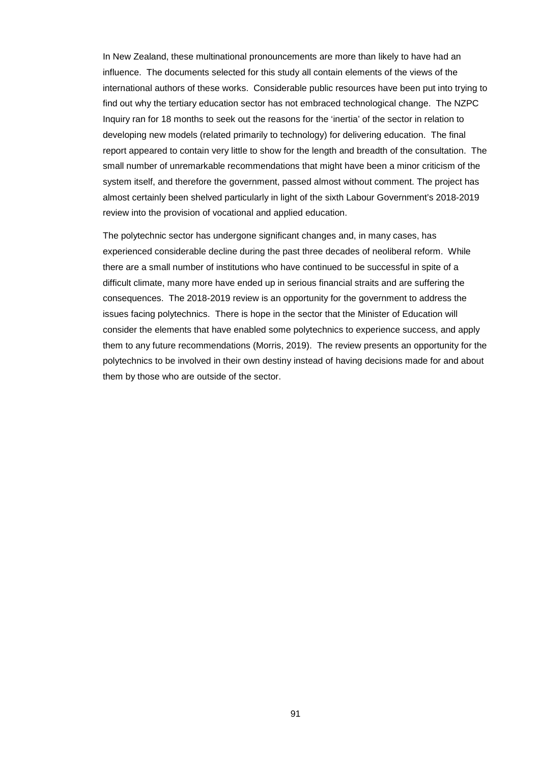In New Zealand, these multinational pronouncements are more than likely to have had an influence. The documents selected for this study all contain elements of the views of the international authors of these works. Considerable public resources have been put into trying to find out why the tertiary education sector has not embraced technological change. The NZPC Inquiry ran for 18 months to seek out the reasons for the 'inertia' of the sector in relation to developing new models (related primarily to technology) for delivering education. The final report appeared to contain very little to show for the length and breadth of the consultation. The small number of unremarkable recommendations that might have been a minor criticism of the system itself, and therefore the government, passed almost without comment. The project has almost certainly been shelved particularly in light of the sixth Labour Government's 2018-2019 review into the provision of vocational and applied education.

The polytechnic sector has undergone significant changes and, in many cases, has experienced considerable decline during the past three decades of neoliberal reform. While there are a small number of institutions who have continued to be successful in spite of a difficult climate, many more have ended up in serious financial straits and are suffering the consequences. The 2018-2019 review is an opportunity for the government to address the issues facing polytechnics. There is hope in the sector that the Minister of Education will consider the elements that have enabled some polytechnics to experience success, and apply them to any future recommendations (Morris, 2019). The review presents an opportunity for the polytechnics to be involved in their own destiny instead of having decisions made for and about them by those who are outside of the sector.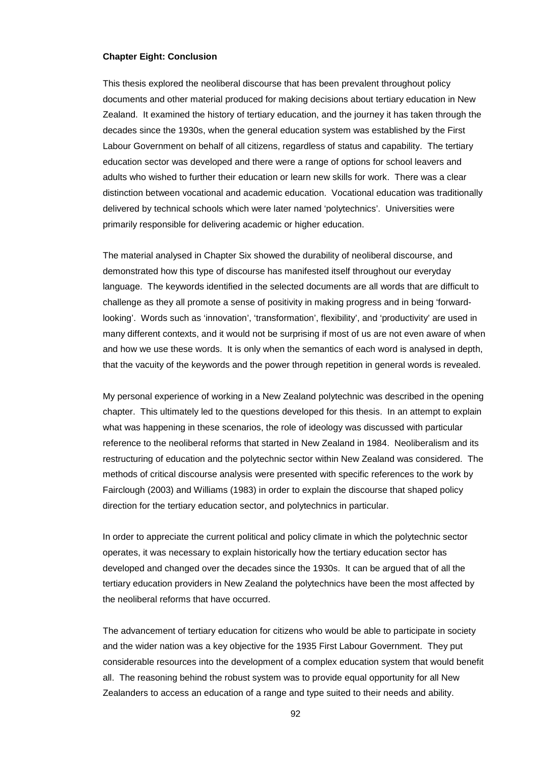#### **Chapter Eight: Conclusion**

This thesis explored the neoliberal discourse that has been prevalent throughout policy documents and other material produced for making decisions about tertiary education in New Zealand. It examined the history of tertiary education, and the journey it has taken through the decades since the 1930s, when the general education system was established by the First Labour Government on behalf of all citizens, regardless of status and capability. The tertiary education sector was developed and there were a range of options for school leavers and adults who wished to further their education or learn new skills for work. There was a clear distinction between vocational and academic education. Vocational education was traditionally delivered by technical schools which were later named 'polytechnics'. Universities were primarily responsible for delivering academic or higher education.

The material analysed in Chapter Six showed the durability of neoliberal discourse, and demonstrated how this type of discourse has manifested itself throughout our everyday language. The keywords identified in the selected documents are all words that are difficult to challenge as they all promote a sense of positivity in making progress and in being 'forwardlooking'. Words such as 'innovation', 'transformation', flexibility', and 'productivity' are used in many different contexts, and it would not be surprising if most of us are not even aware of when and how we use these words. It is only when the semantics of each word is analysed in depth, that the vacuity of the keywords and the power through repetition in general words is revealed.

My personal experience of working in a New Zealand polytechnic was described in the opening chapter. This ultimately led to the questions developed for this thesis. In an attempt to explain what was happening in these scenarios, the role of ideology was discussed with particular reference to the neoliberal reforms that started in New Zealand in 1984. Neoliberalism and its restructuring of education and the polytechnic sector within New Zealand was considered. The methods of critical discourse analysis were presented with specific references to the work by Fairclough (2003) and Williams (1983) in order to explain the discourse that shaped policy direction for the tertiary education sector, and polytechnics in particular.

In order to appreciate the current political and policy climate in which the polytechnic sector operates, it was necessary to explain historically how the tertiary education sector has developed and changed over the decades since the 1930s. It can be argued that of all the tertiary education providers in New Zealand the polytechnics have been the most affected by the neoliberal reforms that have occurred.

The advancement of tertiary education for citizens who would be able to participate in society and the wider nation was a key objective for the 1935 First Labour Government. They put considerable resources into the development of a complex education system that would benefit all. The reasoning behind the robust system was to provide equal opportunity for all New Zealanders to access an education of a range and type suited to their needs and ability.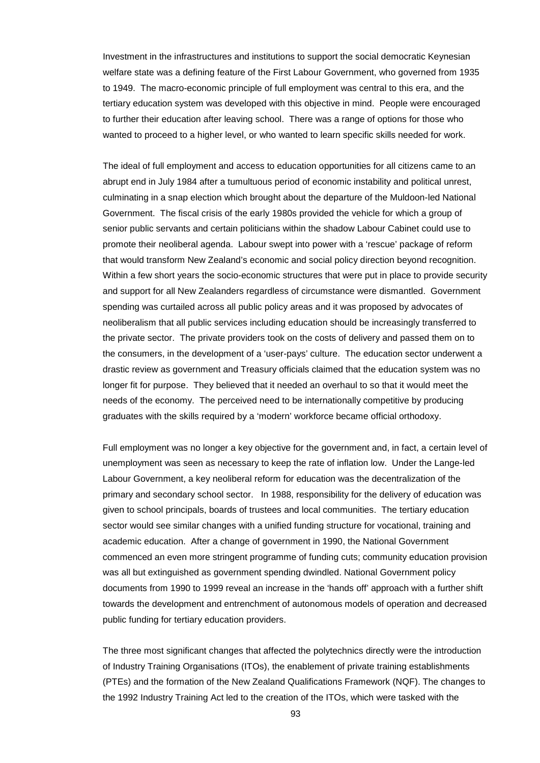Investment in the infrastructures and institutions to support the social democratic Keynesian welfare state was a defining feature of the First Labour Government, who governed from 1935 to 1949. The macro-economic principle of full employment was central to this era, and the tertiary education system was developed with this objective in mind. People were encouraged to further their education after leaving school. There was a range of options for those who wanted to proceed to a higher level, or who wanted to learn specific skills needed for work.

The ideal of full employment and access to education opportunities for all citizens came to an abrupt end in July 1984 after a tumultuous period of economic instability and political unrest, culminating in a snap election which brought about the departure of the Muldoon-led National Government. The fiscal crisis of the early 1980s provided the vehicle for which a group of senior public servants and certain politicians within the shadow Labour Cabinet could use to promote their neoliberal agenda. Labour swept into power with a 'rescue' package of reform that would transform New Zealand's economic and social policy direction beyond recognition. Within a few short years the socio-economic structures that were put in place to provide security and support for all New Zealanders regardless of circumstance were dismantled. Government spending was curtailed across all public policy areas and it was proposed by advocates of neoliberalism that all public services including education should be increasingly transferred to the private sector. The private providers took on the costs of delivery and passed them on to the consumers, in the development of a 'user-pays' culture. The education sector underwent a drastic review as government and Treasury officials claimed that the education system was no longer fit for purpose. They believed that it needed an overhaul to so that it would meet the needs of the economy. The perceived need to be internationally competitive by producing graduates with the skills required by a 'modern' workforce became official orthodoxy.

Full employment was no longer a key objective for the government and, in fact, a certain level of unemployment was seen as necessary to keep the rate of inflation low. Under the Lange-led Labour Government, a key neoliberal reform for education was the decentralization of the primary and secondary school sector. In 1988, responsibility for the delivery of education was given to school principals, boards of trustees and local communities. The tertiary education sector would see similar changes with a unified funding structure for vocational, training and academic education. After a change of government in 1990, the National Government commenced an even more stringent programme of funding cuts; community education provision was all but extinguished as government spending dwindled. National Government policy documents from 1990 to 1999 reveal an increase in the 'hands off' approach with a further shift towards the development and entrenchment of autonomous models of operation and decreased public funding for tertiary education providers.

The three most significant changes that affected the polytechnics directly were the introduction of Industry Training Organisations (ITOs), the enablement of private training establishments (PTEs) and the formation of the New Zealand Qualifications Framework (NQF). The changes to the 1992 Industry Training Act led to the creation of the ITOs, which were tasked with the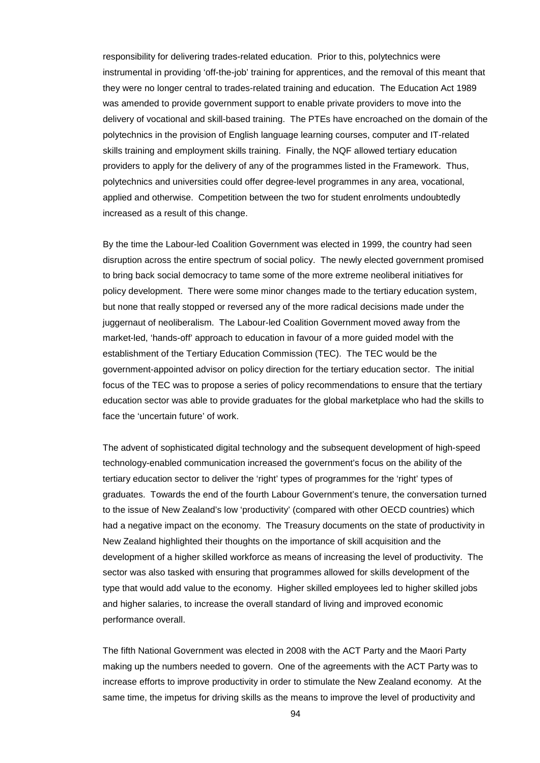responsibility for delivering trades-related education. Prior to this, polytechnics were instrumental in providing 'off-the-job' training for apprentices, and the removal of this meant that they were no longer central to trades-related training and education. The Education Act 1989 was amended to provide government support to enable private providers to move into the delivery of vocational and skill-based training. The PTEs have encroached on the domain of the polytechnics in the provision of English language learning courses, computer and IT-related skills training and employment skills training. Finally, the NQF allowed tertiary education providers to apply for the delivery of any of the programmes listed in the Framework. Thus, polytechnics and universities could offer degree-level programmes in any area, vocational, applied and otherwise. Competition between the two for student enrolments undoubtedly increased as a result of this change.

By the time the Labour-led Coalition Government was elected in 1999, the country had seen disruption across the entire spectrum of social policy. The newly elected government promised to bring back social democracy to tame some of the more extreme neoliberal initiatives for policy development. There were some minor changes made to the tertiary education system, but none that really stopped or reversed any of the more radical decisions made under the juggernaut of neoliberalism. The Labour-led Coalition Government moved away from the market-led, 'hands-off' approach to education in favour of a more guided model with the establishment of the Tertiary Education Commission (TEC). The TEC would be the government-appointed advisor on policy direction for the tertiary education sector. The initial focus of the TEC was to propose a series of policy recommendations to ensure that the tertiary education sector was able to provide graduates for the global marketplace who had the skills to face the 'uncertain future' of work.

The advent of sophisticated digital technology and the subsequent development of high-speed technology-enabled communication increased the government's focus on the ability of the tertiary education sector to deliver the 'right' types of programmes for the 'right' types of graduates. Towards the end of the fourth Labour Government's tenure, the conversation turned to the issue of New Zealand's low 'productivity' (compared with other OECD countries) which had a negative impact on the economy. The Treasury documents on the state of productivity in New Zealand highlighted their thoughts on the importance of skill acquisition and the development of a higher skilled workforce as means of increasing the level of productivity. The sector was also tasked with ensuring that programmes allowed for skills development of the type that would add value to the economy. Higher skilled employees led to higher skilled jobs and higher salaries, to increase the overall standard of living and improved economic performance overall.

The fifth National Government was elected in 2008 with the ACT Party and the Maori Party making up the numbers needed to govern. One of the agreements with the ACT Party was to increase efforts to improve productivity in order to stimulate the New Zealand economy. At the same time, the impetus for driving skills as the means to improve the level of productivity and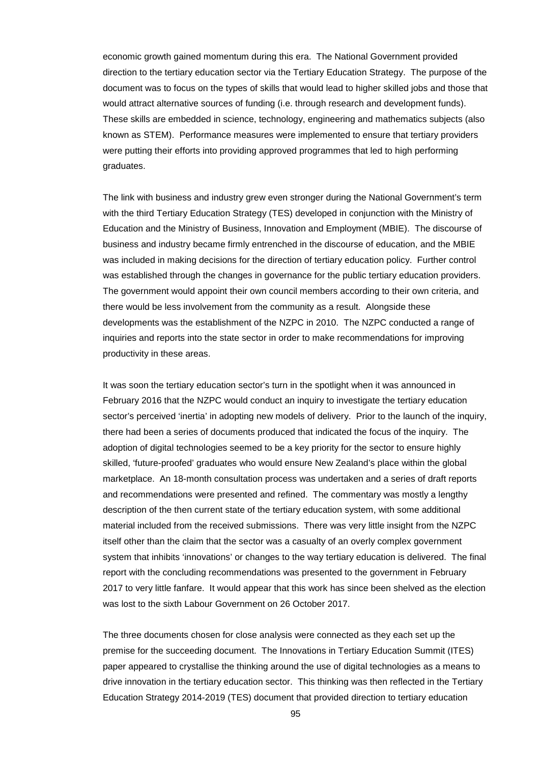economic growth gained momentum during this era. The National Government provided direction to the tertiary education sector via the Tertiary Education Strategy. The purpose of the document was to focus on the types of skills that would lead to higher skilled jobs and those that would attract alternative sources of funding (i.e. through research and development funds). These skills are embedded in science, technology, engineering and mathematics subjects (also known as STEM). Performance measures were implemented to ensure that tertiary providers were putting their efforts into providing approved programmes that led to high performing graduates.

The link with business and industry grew even stronger during the National Government's term with the third Tertiary Education Strategy (TES) developed in conjunction with the Ministry of Education and the Ministry of Business, Innovation and Employment (MBIE). The discourse of business and industry became firmly entrenched in the discourse of education, and the MBIE was included in making decisions for the direction of tertiary education policy. Further control was established through the changes in governance for the public tertiary education providers. The government would appoint their own council members according to their own criteria, and there would be less involvement from the community as a result. Alongside these developments was the establishment of the NZPC in 2010. The NZPC conducted a range of inquiries and reports into the state sector in order to make recommendations for improving productivity in these areas.

It was soon the tertiary education sector's turn in the spotlight when it was announced in February 2016 that the NZPC would conduct an inquiry to investigate the tertiary education sector's perceived 'inertia' in adopting new models of delivery. Prior to the launch of the inquiry, there had been a series of documents produced that indicated the focus of the inquiry. The adoption of digital technologies seemed to be a key priority for the sector to ensure highly skilled, 'future-proofed' graduates who would ensure New Zealand's place within the global marketplace. An 18-month consultation process was undertaken and a series of draft reports and recommendations were presented and refined. The commentary was mostly a lengthy description of the then current state of the tertiary education system, with some additional material included from the received submissions. There was very little insight from the NZPC itself other than the claim that the sector was a casualty of an overly complex government system that inhibits 'innovations' or changes to the way tertiary education is delivered. The final report with the concluding recommendations was presented to the government in February 2017 to very little fanfare. It would appear that this work has since been shelved as the election was lost to the sixth Labour Government on 26 October 2017.

The three documents chosen for close analysis were connected as they each set up the premise for the succeeding document. The Innovations in Tertiary Education Summit (ITES) paper appeared to crystallise the thinking around the use of digital technologies as a means to drive innovation in the tertiary education sector. This thinking was then reflected in the Tertiary Education Strategy 2014-2019 (TES) document that provided direction to tertiary education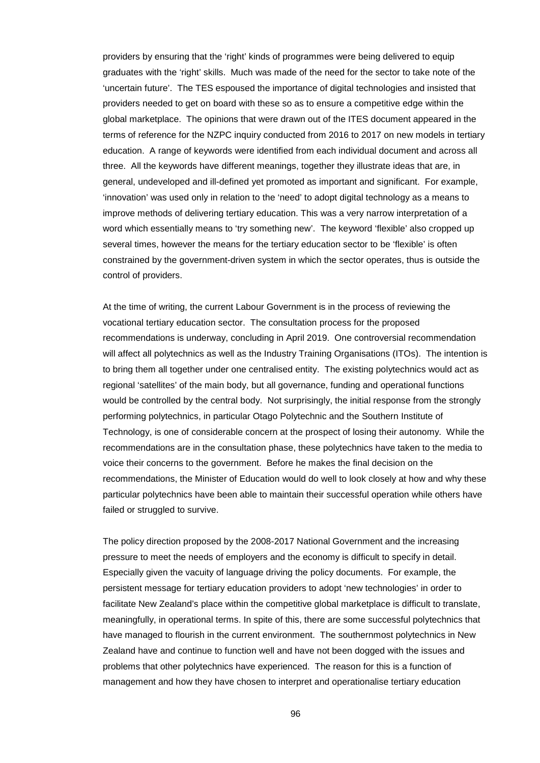providers by ensuring that the 'right' kinds of programmes were being delivered to equip graduates with the 'right' skills. Much was made of the need for the sector to take note of the 'uncertain future'. The TES espoused the importance of digital technologies and insisted that providers needed to get on board with these so as to ensure a competitive edge within the global marketplace. The opinions that were drawn out of the ITES document appeared in the terms of reference for the NZPC inquiry conducted from 2016 to 2017 on new models in tertiary education. A range of keywords were identified from each individual document and across all three. All the keywords have different meanings, together they illustrate ideas that are, in general, undeveloped and ill-defined yet promoted as important and significant. For example, 'innovation' was used only in relation to the 'need' to adopt digital technology as a means to improve methods of delivering tertiary education. This was a very narrow interpretation of a word which essentially means to 'try something new'. The keyword 'flexible' also cropped up several times, however the means for the tertiary education sector to be 'flexible' is often constrained by the government-driven system in which the sector operates, thus is outside the control of providers.

At the time of writing, the current Labour Government is in the process of reviewing the vocational tertiary education sector. The consultation process for the proposed recommendations is underway, concluding in April 2019. One controversial recommendation will affect all polytechnics as well as the Industry Training Organisations (ITOs). The intention is to bring them all together under one centralised entity. The existing polytechnics would act as regional 'satellites' of the main body, but all governance, funding and operational functions would be controlled by the central body. Not surprisingly, the initial response from the strongly performing polytechnics, in particular Otago Polytechnic and the Southern Institute of Technology, is one of considerable concern at the prospect of losing their autonomy. While the recommendations are in the consultation phase, these polytechnics have taken to the media to voice their concerns to the government. Before he makes the final decision on the recommendations, the Minister of Education would do well to look closely at how and why these particular polytechnics have been able to maintain their successful operation while others have failed or struggled to survive.

The policy direction proposed by the 2008-2017 National Government and the increasing pressure to meet the needs of employers and the economy is difficult to specify in detail. Especially given the vacuity of language driving the policy documents. For example, the persistent message for tertiary education providers to adopt 'new technologies' in order to facilitate New Zealand's place within the competitive global marketplace is difficult to translate, meaningfully, in operational terms. In spite of this, there are some successful polytechnics that have managed to flourish in the current environment. The southernmost polytechnics in New Zealand have and continue to function well and have not been dogged with the issues and problems that other polytechnics have experienced. The reason for this is a function of management and how they have chosen to interpret and operationalise tertiary education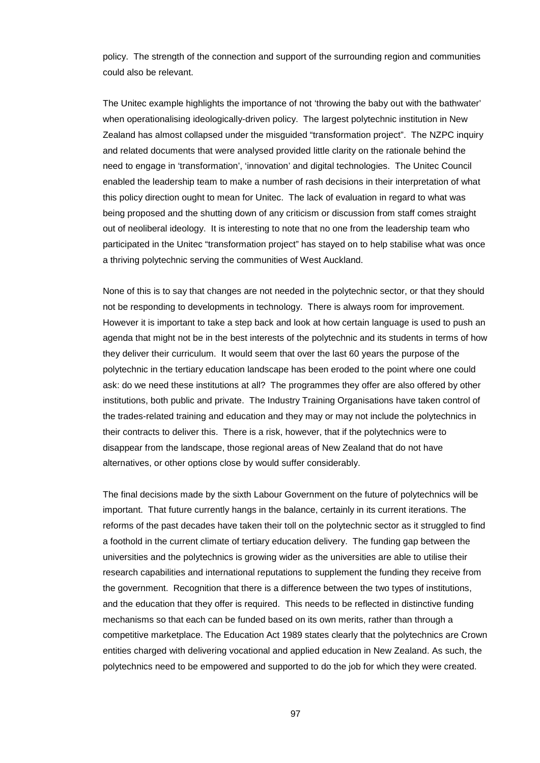policy. The strength of the connection and support of the surrounding region and communities could also be relevant.

The Unitec example highlights the importance of not 'throwing the baby out with the bathwater' when operationalising ideologically-driven policy. The largest polytechnic institution in New Zealand has almost collapsed under the misguided "transformation project". The NZPC inquiry and related documents that were analysed provided little clarity on the rationale behind the need to engage in 'transformation', 'innovation' and digital technologies. The Unitec Council enabled the leadership team to make a number of rash decisions in their interpretation of what this policy direction ought to mean for Unitec. The lack of evaluation in regard to what was being proposed and the shutting down of any criticism or discussion from staff comes straight out of neoliberal ideology. It is interesting to note that no one from the leadership team who participated in the Unitec "transformation project" has stayed on to help stabilise what was once a thriving polytechnic serving the communities of West Auckland.

None of this is to say that changes are not needed in the polytechnic sector, or that they should not be responding to developments in technology. There is always room for improvement. However it is important to take a step back and look at how certain language is used to push an agenda that might not be in the best interests of the polytechnic and its students in terms of how they deliver their curriculum. It would seem that over the last 60 years the purpose of the polytechnic in the tertiary education landscape has been eroded to the point where one could ask: do we need these institutions at all? The programmes they offer are also offered by other institutions, both public and private. The Industry Training Organisations have taken control of the trades-related training and education and they may or may not include the polytechnics in their contracts to deliver this. There is a risk, however, that if the polytechnics were to disappear from the landscape, those regional areas of New Zealand that do not have alternatives, or other options close by would suffer considerably.

The final decisions made by the sixth Labour Government on the future of polytechnics will be important. That future currently hangs in the balance, certainly in its current iterations. The reforms of the past decades have taken their toll on the polytechnic sector as it struggled to find a foothold in the current climate of tertiary education delivery. The funding gap between the universities and the polytechnics is growing wider as the universities are able to utilise their research capabilities and international reputations to supplement the funding they receive from the government. Recognition that there is a difference between the two types of institutions, and the education that they offer is required. This needs to be reflected in distinctive funding mechanisms so that each can be funded based on its own merits, rather than through a competitive marketplace. The Education Act 1989 states clearly that the polytechnics are Crown entities charged with delivering vocational and applied education in New Zealand. As such, the polytechnics need to be empowered and supported to do the job for which they were created.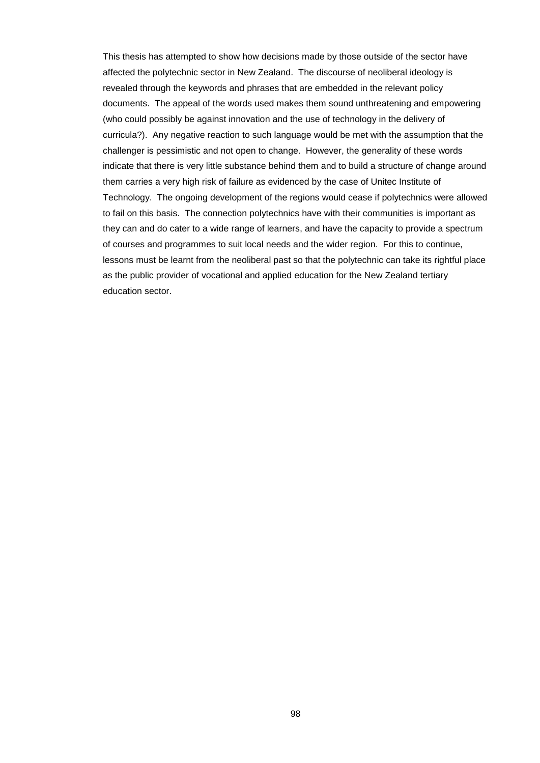This thesis has attempted to show how decisions made by those outside of the sector have affected the polytechnic sector in New Zealand. The discourse of neoliberal ideology is revealed through the keywords and phrases that are embedded in the relevant policy documents. The appeal of the words used makes them sound unthreatening and empowering (who could possibly be against innovation and the use of technology in the delivery of curricula?). Any negative reaction to such language would be met with the assumption that the challenger is pessimistic and not open to change. However, the generality of these words indicate that there is very little substance behind them and to build a structure of change around them carries a very high risk of failure as evidenced by the case of Unitec Institute of Technology. The ongoing development of the regions would cease if polytechnics were allowed to fail on this basis. The connection polytechnics have with their communities is important as they can and do cater to a wide range of learners, and have the capacity to provide a spectrum of courses and programmes to suit local needs and the wider region. For this to continue, lessons must be learnt from the neoliberal past so that the polytechnic can take its rightful place as the public provider of vocational and applied education for the New Zealand tertiary education sector.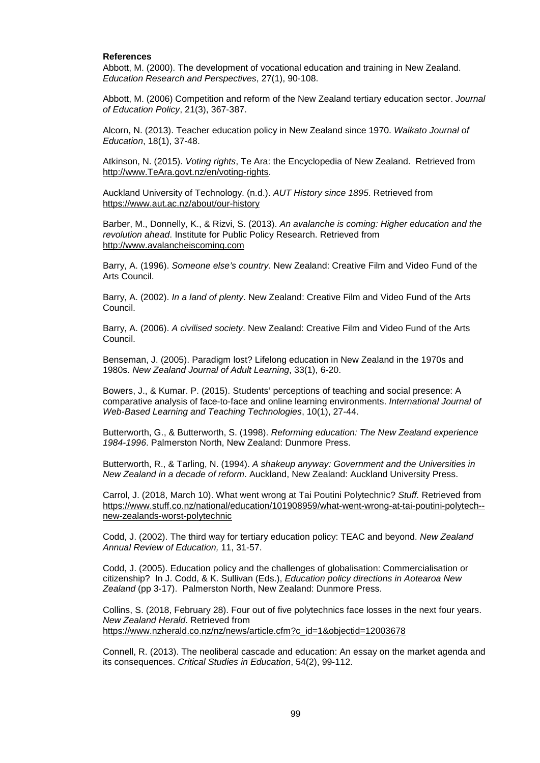#### **References**

Abbott, M. (2000). The development of vocational education and training in New Zealand. *Education Research and Perspectives*, 27(1), 90-108.

Abbott, M. (2006) Competition and reform of the New Zealand tertiary education sector. *Journal of Education Policy*, 21(3), 367-387.

Alcorn, N. (2013). Teacher education policy in New Zealand since 1970. *Waikato Journal of Education*, 18(1), 37-48.

Atkinson, N. (2015). *Voting rights*, Te Ara: the Encyclopedia of New Zealand. Retrieved from [http://www.TeAra.govt.nz/en/voting-rights.](http://www.teara.govt.nz/en/voting-rights)

Auckland University of Technology. (n.d.). *AUT History since 1895*. Retrieved from <https://www.aut.ac.nz/about/our-history>

Barber, M., Donnelly, K., & Rizvi, S. (2013). *An avalanche is coming: Higher education and the revolution ahead*. Institute for Public Policy Research. Retrieved from [http://www.avalancheiscoming.com](http://www.avalancheiscoming.com/)

Barry, A. (1996). *Someone else's country*. New Zealand: Creative Film and Video Fund of the Arts Council.

Barry, A. (2002). *In a land of plenty*. New Zealand: Creative Film and Video Fund of the Arts Council.

Barry, A. (2006). *A civilised society*. New Zealand: Creative Film and Video Fund of the Arts Council.

Benseman, J. (2005). Paradigm lost? Lifelong education in New Zealand in the 1970s and 1980s. *New Zealand Journal of Adult Learning*, 33(1), 6-20.

Bowers, J., & Kumar. P. (2015). Students' perceptions of teaching and social presence: A comparative analysis of face-to-face and online learning environments. *International Journal of Web-Based Learning and Teaching Technologies*, 10(1), 27-44.

Butterworth, G., & Butterworth, S. (1998). *Reforming education: The New Zealand experience 1984-1996*. Palmerston North, New Zealand: Dunmore Press.

Butterworth, R., & Tarling, N. (1994). *A shakeup anyway: Government and the Universities in New Zealand in a decade of reform*. Auckland, New Zealand: Auckland University Press.

Carrol, J. (2018, March 10). What went wrong at Tai Poutini Polytechnic? *Stuff.* Retrieved from [https://www.stuff.co.nz/national/education/101908959/what-went-wrong-at-tai-poutini-polytech-](https://www.stuff.co.nz/national/education/101908959/what-went-wrong-at-tai-poutini-polytech--new-zealands-worst-polytechnic) [new-zealands-worst-polytechnic](https://www.stuff.co.nz/national/education/101908959/what-went-wrong-at-tai-poutini-polytech--new-zealands-worst-polytechnic)

Codd, J. (2002). The third way for tertiary education policy: TEAC and beyond. *New Zealand Annual Review of Education,* 11, 31-57.

Codd, J. (2005). Education policy and the challenges of globalisation: Commercialisation or citizenship? In J. Codd, & K. Sullivan (Eds.), *Education policy directions in Aotearoa New Zealand* (pp 3-17). Palmerston North, New Zealand: Dunmore Press.

Collins, S. (2018, February 28). Four out of five polytechnics face losses in the next four years. *New Zealand Herald*. Retrieved from [https://www.nzherald.co.nz/nz/news/article.cfm?c\\_id=1&objectid=12003678](https://www.nzherald.co.nz/nz/news/article.cfm?c_id=1&objectid=12003678)

Connell, R. (2013). The neoliberal cascade and education: An essay on the market agenda and its consequences. *Critical Studies in Education*, 54(2), 99-112.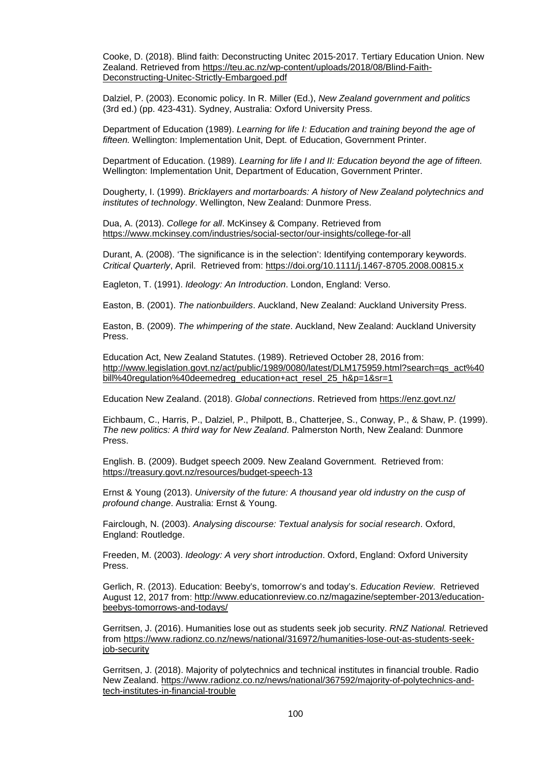Cooke, D. (2018). Blind faith: Deconstructing Unitec 2015-2017. Tertiary Education Union. New Zealand. Retrieved from [https://teu.ac.nz/wp-content/uploads/2018/08/Blind-Faith-](https://teu.ac.nz/wp-content/uploads/2018/08/Blind-Faith-Deconstructing-Unitec-Strictly-Embargoed.pdf)[Deconstructing-Unitec-Strictly-Embargoed.pdf](https://teu.ac.nz/wp-content/uploads/2018/08/Blind-Faith-Deconstructing-Unitec-Strictly-Embargoed.pdf)

Dalziel, P. (2003). Economic policy. In R. Miller (Ed.), *New Zealand government and politics*  (3rd ed.) (pp. 423-431). Sydney, Australia: Oxford University Press.

Department of Education (1989). *Learning for life I: Education and training beyond the age of fifteen.* Wellington: Implementation Unit, Dept. of Education, Government Printer.

Department of Education. (1989). *Learning for life I and II: Education beyond the age of fifteen.* Wellington: Implementation Unit, Department of Education, Government Printer.

Dougherty, I. (1999). *Bricklayers and mortarboards: A history of New Zealand polytechnics and institutes of technology*. Wellington, New Zealand: Dunmore Press.

Dua, A. (2013). *College for all*. McKinsey & Company. Retrieved from <https://www.mckinsey.com/industries/social-sector/our-insights/college-for-all>

Durant, A. (2008). 'The significance is in the selection': Identifying contemporary keywords. *Critical Quarterly*, April. Retrieved from:<https://doi.org/10.1111/j.1467-8705.2008.00815.x>

Eagleton, T. (1991). *Ideology: An Introduction*. London, England: Verso.

Easton, B. (2001). *The nationbuilders*. Auckland, New Zealand: Auckland University Press.

Easton, B. (2009). *The whimpering of the state*. Auckland, New Zealand: Auckland University Press.

Education Act, New Zealand Statutes. (1989). Retrieved October 28, 2016 from: [http://www.legislation.govt.nz/act/public/1989/0080/latest/DLM175959.html?search=qs\\_act%40](http://www.legislation.govt.nz/act/public/1989/0080/latest/DLM175959.html?search=qs_act%40bill%40regulation%40deemedreg_education+act_resel_25_h&p=1&sr=1) [bill%40regulation%40deemedreg\\_education+act\\_resel\\_25\\_h&p=1&sr=1](http://www.legislation.govt.nz/act/public/1989/0080/latest/DLM175959.html?search=qs_act%40bill%40regulation%40deemedreg_education+act_resel_25_h&p=1&sr=1)

Education New Zealand. (2018). *Global connections*. Retrieved from <https://enz.govt.nz/>

Eichbaum, C., Harris, P., Dalziel, P., Philpott, B., Chatterjee, S., Conway, P., & Shaw, P. (1999). *The new politics: A third way for New Zealand*. Palmerston North, New Zealand: Dunmore Press.

English. B. (2009). Budget speech 2009. New Zealand Government. Retrieved from: <https://treasury.govt.nz/resources/budget-speech-13>

Ernst & Young (2013). *University of the future: A thousand year old industry on the cusp of profound change*. Australia: Ernst & Young.

Fairclough, N. (2003). *Analysing discourse: Textual analysis for social research*. Oxford, England: Routledge.

Freeden, M. (2003). *Ideology: A very short introduction*. Oxford, England: Oxford University Press.

Gerlich, R. (2013). Education: Beeby's, tomorrow's and today's. *Education Review*. Retrieved August 12, 2017 from: [http://www.educationreview.co.nz/magazine/september-2013/education](http://www.educationreview.co.nz/magazine/september-2013/education-beebys-tomorrows-and-todays/)[beebys-tomorrows-and-todays/](http://www.educationreview.co.nz/magazine/september-2013/education-beebys-tomorrows-and-todays/)

Gerritsen, J. (2016). Humanities lose out as students seek job security. *RNZ National.* Retrieved from [https://www.radionz.co.nz/news/national/316972/humanities-lose-out-as-students-seek](https://www.radionz.co.nz/news/national/316972/humanities-lose-out-as-students-seek-job-security)[job-security](https://www.radionz.co.nz/news/national/316972/humanities-lose-out-as-students-seek-job-security)

Gerritsen, J. (2018). Majority of polytechnics and technical institutes in financial trouble. Radio New Zealand. [https://www.radionz.co.nz/news/national/367592/majority-of-polytechnics-and](https://www.radionz.co.nz/news/national/367592/majority-of-polytechnics-and-tech-institutes-in-financial-trouble)[tech-institutes-in-financial-trouble](https://www.radionz.co.nz/news/national/367592/majority-of-polytechnics-and-tech-institutes-in-financial-trouble)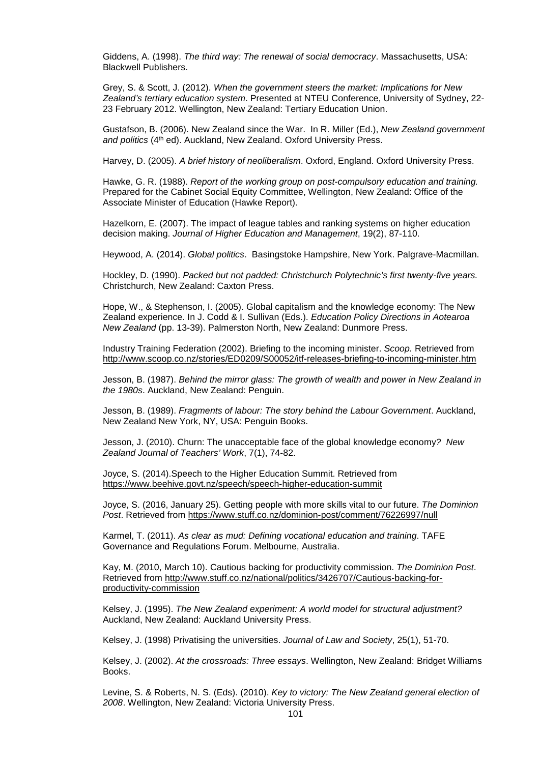Giddens, A. (1998). *The third way: The renewal of social democracy*. Massachusetts, USA: Blackwell Publishers.

Grey, S. & Scott, J. (2012). *When the government steers the market: Implications for New Zealand's tertiary education system*. Presented at NTEU Conference, University of Sydney, 22- 23 February 2012. Wellington, New Zealand: Tertiary Education Union.

Gustafson, B. (2006). New Zealand since the War. In R. Miller (Ed.), *New Zealand government*  and politics (4<sup>th</sup> ed). Auckland, New Zealand. Oxford University Press.

Harvey, D. (2005). *A brief history of neoliberalism*. Oxford, England. Oxford University Press.

Hawke, G. R. (1988). *Report of the working group on post-compulsory education and training.* Prepared for the Cabinet Social Equity Committee, Wellington, New Zealand: Office of the Associate Minister of Education (Hawke Report).

Hazelkorn, E. (2007). The impact of league tables and ranking systems on higher education decision making. *Journal of Higher Education and Management*, 19(2), 87-110.

Heywood, A. (2014). *Global politics*. Basingstoke Hampshire, New York. Palgrave-Macmillan.

Hockley, D. (1990). *Packed but not padded: Christchurch Polytechnic's first twenty-five years.* Christchurch, New Zealand: Caxton Press.

Hope, W., & Stephenson, I. (2005). Global capitalism and the knowledge economy: The New Zealand experience. In J. Codd & I. Sullivan (Eds.). *Education Policy Directions in Aotearoa New Zealand* (pp. 13-39). Palmerston North, New Zealand: Dunmore Press.

Industry Training Federation (2002). Briefing to the incoming minister. *Scoop.* Retrieved from <http://www.scoop.co.nz/stories/ED0209/S00052/itf-releases-briefing-to-incoming-minister.htm>

Jesson, B. (1987). *Behind the mirror glass: The growth of wealth and power in New Zealand in the 1980s*. Auckland, New Zealand: Penguin.

Jesson, B. (1989). *Fragments of labour: The story behind the Labour Government*. Auckland, New Zealand New York, NY, USA: Penguin Books.

Jesson, J. (2010). Churn: The unacceptable face of the global knowledge economy*? New Zealand Journal of Teachers' Work*, 7(1), 74-82.

Joyce, S. (2014).Speech to the Higher Education Summit. Retrieved from <https://www.beehive.govt.nz/speech/speech-higher-education-summit>

Joyce, S. (2016, January 25). Getting people with more skills vital to our future. *The Dominion Post*. Retrieved from<https://www.stuff.co.nz/dominion-post/comment/76226997/null>

Karmel, T. (2011). *As clear as mud: Defining vocational education and training*. TAFE Governance and Regulations Forum. Melbourne, Australia.

Kay, M. (2010, March 10). Cautious backing for productivity commission. *The Dominion Post*. Retrieved from [http://www.stuff.co.nz/national/politics/3426707/Cautious-backing-for](http://www.stuff.co.nz/national/politics/3426707/Cautious-backing-for-productivity-commission)[productivity-commission](http://www.stuff.co.nz/national/politics/3426707/Cautious-backing-for-productivity-commission)

Kelsey, J. (1995). *The New Zealand experiment: A world model for structural adjustment?*  Auckland, New Zealand: Auckland University Press.

Kelsey, J. (1998) Privatising the universities. *Journal of Law and Society*, 25(1), 51-70.

Kelsey, J. (2002). *At the crossroads: Three essays*. Wellington, New Zealand: Bridget Williams Books.

Levine, S. & Roberts, N. S. (Eds). (2010). *Key to victory: The New Zealand general election of 2008*. Wellington, New Zealand: Victoria University Press.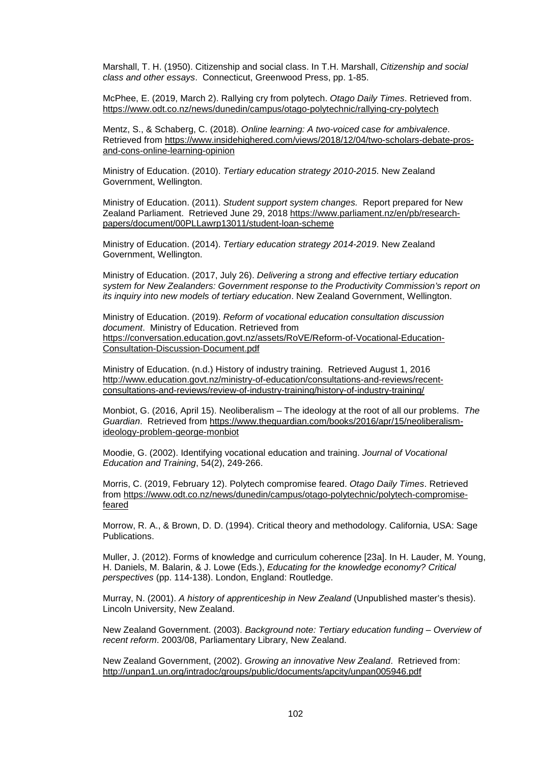Marshall, T. H. (1950). Citizenship and social class. In T.H. Marshall, *Citizenship and social class and other essays*. Connecticut, Greenwood Press, pp. 1-85.

McPhee, E. (2019, March 2). Rallying cry from polytech. *Otago Daily Times*. Retrieved from. <https://www.odt.co.nz/news/dunedin/campus/otago-polytechnic/rallying-cry-polytech>

Mentz, S., & Schaberg, C. (2018). *Online learning: A two-voiced case for ambivalence*. Retrieved from [https://www.insidehighered.com/views/2018/12/04/two-scholars-debate-pros](https://www.insidehighered.com/views/2018/12/04/two-scholars-debate-pros-and-cons-online-learning-opinion)[and-cons-online-learning-opinion](https://www.insidehighered.com/views/2018/12/04/two-scholars-debate-pros-and-cons-online-learning-opinion)

Ministry of Education. (2010). *Tertiary education strategy 2010-2015*. New Zealand Government, Wellington.

Ministry of Education. (2011). *Student support system changes.* Report prepared for New Zealand Parliament. Retrieved June 29, 2018 [https://www.parliament.nz/en/pb/research](https://www.parliament.nz/en/pb/research-papers/document/00PLLawrp13011/student-loan-scheme)[papers/document/00PLLawrp13011/student-loan-scheme](https://www.parliament.nz/en/pb/research-papers/document/00PLLawrp13011/student-loan-scheme)

Ministry of Education. (2014). *Tertiary education strategy 2014-2019*. New Zealand Government, Wellington.

Ministry of Education. (2017, July 26). *Delivering a strong and effective tertiary education system for New Zealanders: Government response to the Productivity Commission's report on its inquiry into new models of tertiary education*. New Zealand Government, Wellington.

Ministry of Education. (2019). *Reform of vocational education consultation discussion document*. Ministry of Education. Retrieved from [https://conversation.education.govt.nz/assets/RoVE/Reform-of-Vocational-Education-](https://conversation.education.govt.nz/assets/RoVE/Reform-of-Vocational-Education-Consultation-Discussion-Document.pdf)[Consultation-Discussion-Document.pdf](https://conversation.education.govt.nz/assets/RoVE/Reform-of-Vocational-Education-Consultation-Discussion-Document.pdf)

Ministry of Education. (n.d.) History of industry training. Retrieved August 1, 2016 [http://www.education.govt.nz/ministry-of-education/consultations-and-reviews/recent](http://www.education.govt.nz/ministry-of-education/consultations-and-reviews/recent-consultations-and-reviews/review-of-industry-training/history-of-industry-training/)[consultations-and-reviews/review-of-industry-training/history-of-industry-training/](http://www.education.govt.nz/ministry-of-education/consultations-and-reviews/recent-consultations-and-reviews/review-of-industry-training/history-of-industry-training/)

Monbiot, G. (2016, April 15). Neoliberalism – The ideology at the root of all our problems. *The Guardian*. Retrieved from [https://www.theguardian.com/books/2016/apr/15/neoliberalism](https://www.theguardian.com/books/2016/apr/15/neoliberalism-ideology-problem-george-monbiot)[ideology-problem-george-monbiot](https://www.theguardian.com/books/2016/apr/15/neoliberalism-ideology-problem-george-monbiot)

Moodie, G. (2002). Identifying vocational education and training. *Journal of Vocational Education and Training*, 54(2), 249-266.

Morris, C. (2019, February 12). Polytech compromise feared. *Otago Daily Times*. Retrieved from [https://www.odt.co.nz/news/dunedin/campus/otago-polytechnic/polytech-compromise](https://www.odt.co.nz/news/dunedin/campus/otago-polytechnic/polytech-compromise-feared)[feared](https://www.odt.co.nz/news/dunedin/campus/otago-polytechnic/polytech-compromise-feared)

Morrow, R. A., & Brown, D. D. (1994). Critical theory and methodology. California, USA: Sage Publications.

Muller, J. (2012). Forms of knowledge and curriculum coherence [23a]. In H. Lauder, M. Young, H. Daniels, M. Balarin, & J. Lowe (Eds.), *Educating for the knowledge economy? Critical perspectives* (pp. 114-138). London, England: Routledge.

Murray, N. (2001). *A history of apprenticeship in New Zealand* (Unpublished master's thesis). Lincoln University, New Zealand.

New Zealand Government. (2003). *Background note: Tertiary education funding – Overview of recent reform*. 2003/08, Parliamentary Library, New Zealand.

New Zealand Government, (2002). *Growing an innovative New Zealand*. Retrieved from: <http://unpan1.un.org/intradoc/groups/public/documents/apcity/unpan005946.pdf>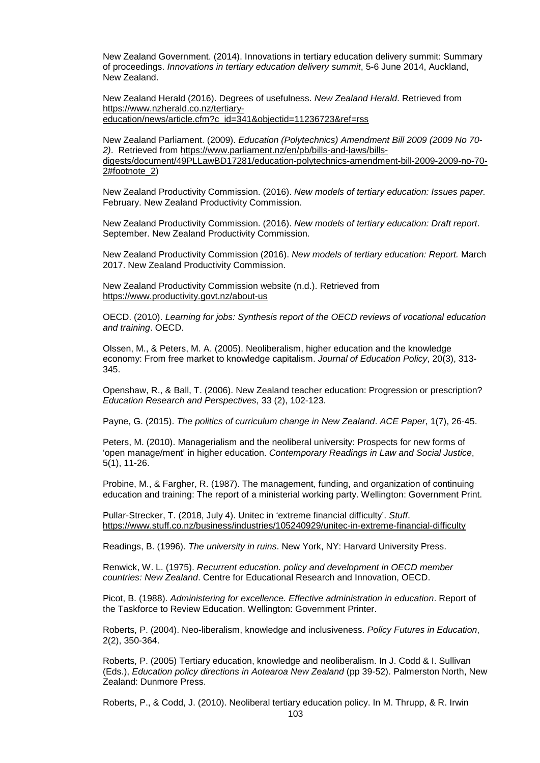New Zealand Government. (2014). Innovations in tertiary education delivery summit: Summary of proceedings. *Innovations in tertiary education delivery summit*, 5-6 June 2014, Auckland, New Zealand.

New Zealand Herald (2016). Degrees of usefulness. *New Zealand Herald*. Retrieved from [https://www.nzherald.co.nz/tertiary](https://www.nzherald.co.nz/tertiary-education/news/article.cfm?c_id=341&objectid=11236723&ref=rss)[education/news/article.cfm?c\\_id=341&objectid=11236723&ref=rss](https://www.nzherald.co.nz/tertiary-education/news/article.cfm?c_id=341&objectid=11236723&ref=rss)

New Zealand Parliament. (2009). *Education (Polytechnics) Amendment Bill 2009 (2009 No 70- 2)*. Retrieved from [https://www.parliament.nz/en/pb/bills-and-laws/bills](https://www.parliament.nz/en/pb/bills-and-laws/bills-digests/document/49PLLawBD17281/education-polytechnics-amendment-bill-2009-2009-no-70-2#footnote_2)[digests/document/49PLLawBD17281/education-polytechnics-amendment-bill-2009-2009-no-70-](https://www.parliament.nz/en/pb/bills-and-laws/bills-digests/document/49PLLawBD17281/education-polytechnics-amendment-bill-2009-2009-no-70-2#footnote_2) [2#footnote\\_2\)](https://www.parliament.nz/en/pb/bills-and-laws/bills-digests/document/49PLLawBD17281/education-polytechnics-amendment-bill-2009-2009-no-70-2#footnote_2)

New Zealand Productivity Commission. (2016). *New models of tertiary education: Issues paper.*  February. New Zealand Productivity Commission.

New Zealand Productivity Commission. (2016). *New models of tertiary education: Draft report*. September. New Zealand Productivity Commission.

New Zealand Productivity Commission (2016). *New models of tertiary education: Report.* March 2017. New Zealand Productivity Commission.

New Zealand Productivity Commission website (n.d.). Retrieved from <https://www.productivity.govt.nz/about-us>

OECD. (2010). *Learning for jobs: Synthesis report of the OECD reviews of vocational education and training*. OECD.

Olssen, M., & Peters, M. A. (2005). Neoliberalism, higher education and the knowledge economy: From free market to knowledge capitalism. *Journal of Education Policy*, 20(3), 313- 345.

Openshaw, R., & Ball, T. (2006). New Zealand teacher education: Progression or prescription? *Education Research and Perspectives*, 33 (2), 102-123.

Payne, G. (2015). *The politics of curriculum change in New Zealand*. *ACE Paper*, 1(7), 26-45.

Peters, M. (2010). Managerialism and the neoliberal university: Prospects for new forms of 'open manage/ment' in higher education. *Contemporary Readings in Law and Social Justice*, 5(1), 11-26.

Probine, M., & Fargher, R. (1987). The management, funding, and organization of continuing education and training: The report of a ministerial working party. Wellington: Government Print.

Pullar-Strecker, T. (2018, July 4). Unitec in 'extreme financial difficulty'. *Stuff*. <https://www.stuff.co.nz/business/industries/105240929/unitec-in-extreme-financial-difficulty>

Readings, B. (1996). *The university in ruins*. New York, NY: Harvard University Press.

Renwick, W. L. (1975). *Recurrent education. policy and development in OECD member countries: New Zealand*. Centre for Educational Research and Innovation, OECD.

Picot, B. (1988). *Administering for excellence. Effective administration in education*. Report of the Taskforce to Review Education. Wellington: Government Printer.

Roberts, P. (2004). Neo-liberalism, knowledge and inclusiveness. *Policy Futures in Education*, 2(2), 350-364.

Roberts, P. (2005) Tertiary education, knowledge and neoliberalism. In J. Codd & I. Sullivan (Eds.), *Education policy directions in Aotearoa New Zealand* (pp 39-52). Palmerston North, New Zealand: Dunmore Press.

Roberts, P., & Codd, J. (2010). Neoliberal tertiary education policy. In M. Thrupp, & R. Irwin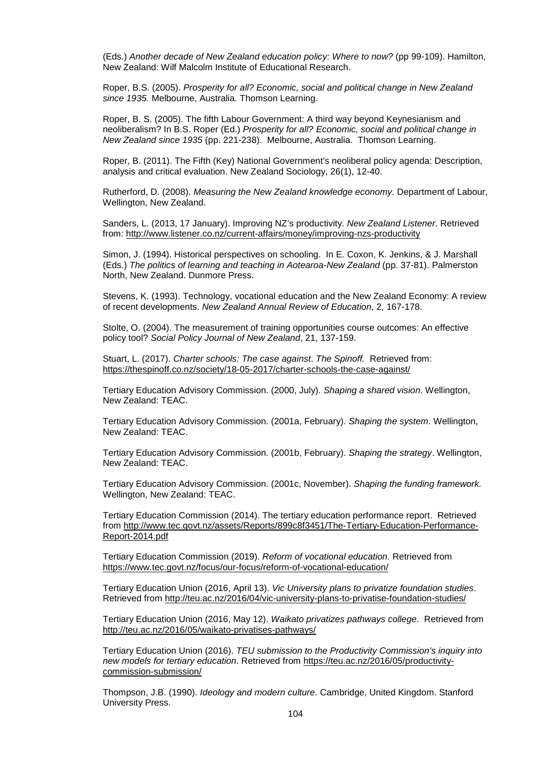(Eds.) *Another decade of New Zealand education policy: Where to now?* (pp 99-109). Hamilton, New Zealand: Wilf Malcolm Institute of Educational Research.

Roper, B.S. (2005). *Prosperity for all? Economic, social and political change in New Zealand since 1935.* Melbourne, Australia. Thomson Learning.

Roper, B. S. (2005). The fifth Labour Government: A third way beyond Keynesianism and neoliberalism? In B.S. Roper (Ed.) *Prosperity for all? Economic, social and political change in New Zealand since 1935* (pp. 221-238). Melbourne, Australia. Thomson Learning.

Roper, B. (2011). The Fifth (Key) National Government's neoliberal policy agenda: Description, analysis and critical evaluation. New Zealand Sociology, 26(1), 12-40.

Rutherford, D. (2008). *Measuring the New Zealand knowledge economy*. Department of Labour, Wellington, New Zealand.

Sanders, L. (2013, 17 January). Improving NZ's productivity. *New Zealand Listener*. Retrieved from:<http://www.listener.co.nz/current-affairs/money/improving-nzs-productivity>

Simon, J. (1994). Historical perspectives on schooling. In E. Coxon, K. Jenkins, & J. Marshall (Eds.) *The politics of learning and teaching in Aotearoa-New Zealand* (pp. 37-81). Palmerston North, New Zealand. Dunmore Press.

Stevens, K. (1993). Technology, vocational education and the New Zealand Economy: A review of recent developments. *New Zealand Annual Review of Education*, 2, 167-178.

Stolte, O. (2004). The measurement of training opportunities course outcomes: An effective policy tool? *Social Policy Journal of New Zealand*, 21, 137-159.

Stuart, L. (2017). *Charter schools: The case against*. *The Spinoff.* Retrieved from: <https://thespinoff.co.nz/society/18-05-2017/charter-schools-the-case-against/>

Tertiary Education Advisory Commission. (2000, July). *Shaping a shared vision*. Wellington, New Zealand: TEAC.

Tertiary Education Advisory Commission. (2001a, February). *Shaping the system*. Wellington, New Zealand: TEAC.

Tertiary Education Advisory Commission. (2001b, February). *Shaping the strategy*. Wellington, New Zealand: TEAC.

Tertiary Education Advisory Commission. (2001c, November). *Shaping the funding framework.* Wellington, New Zealand: TEAC.

Tertiary Education Commission (2014). The tertiary education performance report. Retrieved from [http://www.tec.govt.nz/assets/Reports/899c8f3451/The-Tertiary-Education-Performance-](http://www.tec.govt.nz/assets/Reports/899c8f3451/The-Tertiary-Education-Performance-Report-2014.pdf)[Report-2014.pdf](http://www.tec.govt.nz/assets/Reports/899c8f3451/The-Tertiary-Education-Performance-Report-2014.pdf)

Tertiary Education Commission (2019). *Reform of vocational education*. Retrieved from <https://www.tec.govt.nz/focus/our-focus/reform-of-vocational-education/>

Tertiary Education Union (2016, April 13). *Vic University plans to privatize foundation studies*. Retrieved from<http://teu.ac.nz/2016/04/vic-university-plans-to-privatise-foundation-studies/>

Tertiary Education Union (2016, May 12). *Waikato privatizes pathways college*. Retrieved from <http://teu.ac.nz/2016/05/waikato-privatises-pathways/>

Tertiary Education Union (2016). *TEU submission to the Productivity Commission's inquiry into new models for tertiary education*. Retrieved from [https://teu.ac.nz/2016/05/productivity](https://teu.ac.nz/2016/05/productivity-commission-submission/)[commission-submission/](https://teu.ac.nz/2016/05/productivity-commission-submission/)

Thompson, J.B. (1990). *Ideology and modern culture*. Cambridge, United Kingdom. Stanford University Press.